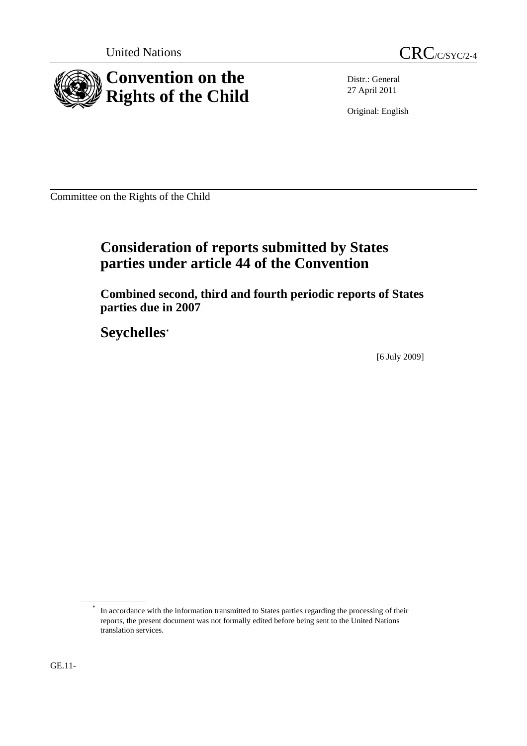

Distr.: General 27 April 2011

Original: English

Committee on the Rights of the Child

# **Consideration of reports submitted by States parties under article 44 of the Convention**

 **Combined second, third and fourth periodic reports of States parties due in 2007** 

 **Seychelles[\\*](#page-0-0)**

[6 July 2009]

<span id="page-0-0"></span>GE.11-

In accordance with the information transmitted to States parties regarding the processing of their reports, the present document was not formally edited before being sent to the United Nations translation services.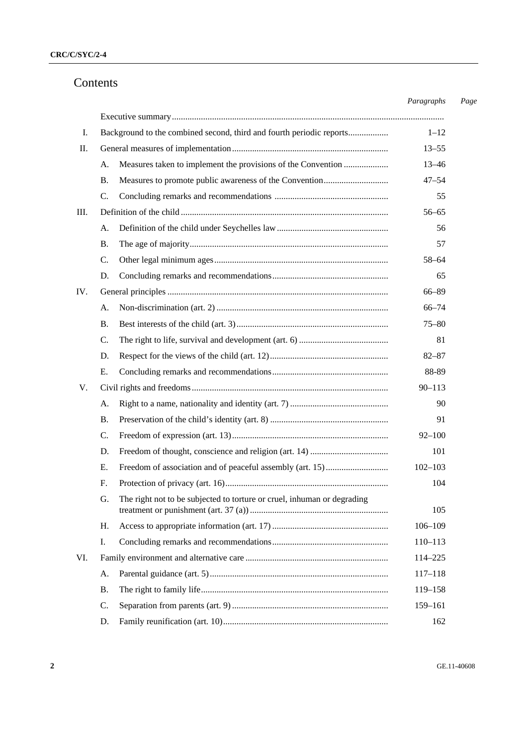# Contents

|     |                                                                               | Paragraphs  |
|-----|-------------------------------------------------------------------------------|-------------|
|     |                                                                               |             |
| I.  | Background to the combined second, third and fourth periodic reports          | $1 - 12$    |
| П.  |                                                                               | $13 - 55$   |
|     | Measures taken to implement the provisions of the Convention<br>A.            | $13 - 46$   |
|     | В.                                                                            | $47 - 54$   |
|     | $\mathcal{C}$ .                                                               | 55          |
| Ш.  |                                                                               | $56 - 65$   |
|     | A.                                                                            | 56          |
|     | В.                                                                            | 57          |
|     | $\mathcal{C}$ .                                                               | 58-64       |
|     | D.                                                                            | 65          |
| IV. |                                                                               | 66-89       |
|     | А.                                                                            | $66 - 74$   |
|     | <b>B.</b>                                                                     | $75 - 80$   |
|     | C.                                                                            | 81          |
|     | D.                                                                            | $82 - 87$   |
|     | Ε.                                                                            | 88-89       |
| V.  |                                                                               | $90 - 113$  |
|     | A.                                                                            | 90          |
|     | <b>B.</b>                                                                     | 91          |
|     | C.                                                                            | $92 - 100$  |
|     | D.                                                                            | 101         |
|     | E.                                                                            | $102 - 103$ |
| F.  |                                                                               | 104         |
|     | The right not to be subjected to torture or cruel, inhuman or degrading<br>G. | 105         |
|     | Н.                                                                            | $106 - 109$ |
| Ι.  |                                                                               | 110-113     |
| VI. |                                                                               | 114-225     |
|     | A.                                                                            | $117 - 118$ |
|     | В.                                                                            | 119-158     |
|     | C.                                                                            | 159-161     |
|     | D.                                                                            | 162         |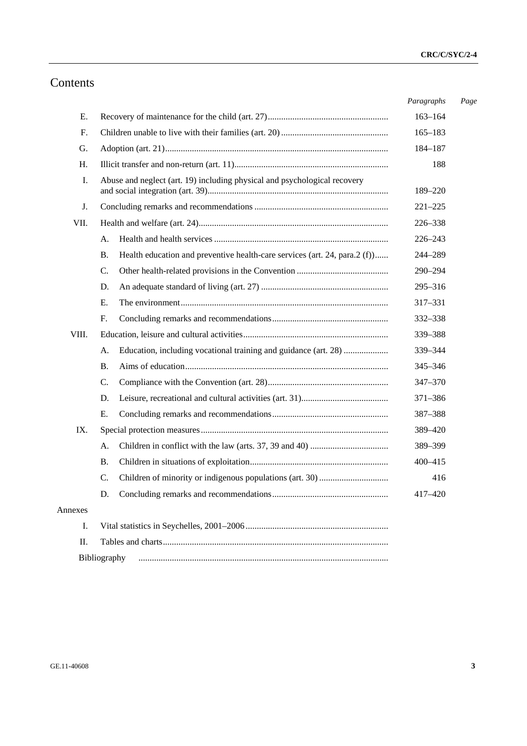# Contents

|         |                                                                                         | Paragraphs  | Page |
|---------|-----------------------------------------------------------------------------------------|-------------|------|
| Е.      |                                                                                         | $163 - 164$ |      |
| F.      |                                                                                         | $165 - 183$ |      |
| G.      |                                                                                         | 184-187     |      |
| H.      |                                                                                         | 188         |      |
| I.      | Abuse and neglect (art. 19) including physical and psychological recovery               | 189-220     |      |
| J.      |                                                                                         | $221 - 225$ |      |
| VII.    |                                                                                         | 226-338     |      |
|         | А.                                                                                      | 226-243     |      |
|         | Health education and preventive health-care services (art. 24, para.2 (f))<br><b>B.</b> | 244-289     |      |
|         | C.                                                                                      | 290-294     |      |
|         | D.                                                                                      | 295-316     |      |
|         | Ε.                                                                                      | 317-331     |      |
|         | F.                                                                                      | 332-338     |      |
| VIII.   |                                                                                         | 339-388     |      |
|         | Education, including vocational training and guidance (art. 28)<br>A.                   | 339-344     |      |
|         | В.                                                                                      | 345-346     |      |
|         | C.                                                                                      | 347-370     |      |
|         | D.                                                                                      | 371-386     |      |
|         | Е.                                                                                      | 387-388     |      |
| IX.     |                                                                                         | 389-420     |      |
|         | А.                                                                                      | 389-399     |      |
|         | В.                                                                                      | 400-415     |      |
|         | C.                                                                                      | 416         |      |
|         |                                                                                         | 417-420     |      |
| Annexes |                                                                                         |             |      |
| I.      |                                                                                         |             |      |
| II.     |                                                                                         |             |      |
|         | Bibliography                                                                            |             |      |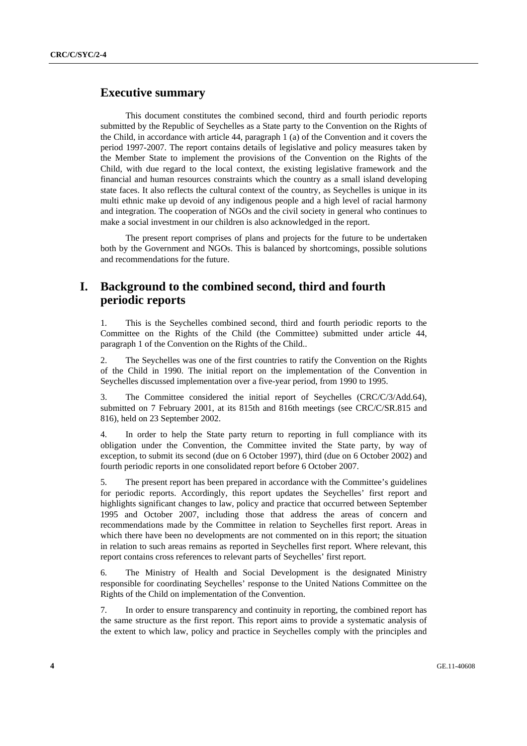## **Executive summary**

 This document constitutes the combined second, third and fourth periodic reports submitted by the Republic of Seychelles as a State party to the Convention on the Rights of the Child, in accordance with article 44, paragraph 1 (a) of the Convention and it covers the period 1997-2007. The report contains details of legislative and policy measures taken by the Member State to implement the provisions of the Convention on the Rights of the Child, with due regard to the local context, the existing legislative framework and the financial and human resources constraints which the country as a small island developing state faces. It also reflects the cultural context of the country, as Seychelles is unique in its multi ethnic make up devoid of any indigenous people and a high level of racial harmony and integration. The cooperation of NGOs and the civil society in general who continues to make a social investment in our children is also acknowledged in the report.

 The present report comprises of plans and projects for the future to be undertaken both by the Government and NGOs. This is balanced by shortcomings, possible solutions and recommendations for the future.

# **I. Background to the combined second, third and fourth periodic reports**

1. This is the Seychelles combined second, third and fourth periodic reports to the Committee on the Rights of the Child (the Committee) submitted under article 44, paragraph 1 of the Convention on the Rights of the Child..

2. The Seychelles was one of the first countries to ratify the Convention on the Rights of the Child in 1990. The initial report on the implementation of the Convention in Seychelles discussed implementation over a five-year period, from 1990 to 1995.

3. The Committee considered the initial report of Seychelles (CRC/C/3/Add.64), submitted on 7 February 2001, at its 815th and 816th meetings (see CRC/C/SR.815 and 816), held on 23 September 2002.

4. In order to help the State party return to reporting in full compliance with its obligation under the Convention, the Committee invited the State party, by way of exception, to submit its second (due on 6 October 1997), third (due on 6 October 2002) and fourth periodic reports in one consolidated report before 6 October 2007.

5. The present report has been prepared in accordance with the Committee's guidelines for periodic reports. Accordingly, this report updates the Seychelles' first report and highlights significant changes to law, policy and practice that occurred between September 1995 and October 2007, including those that address the areas of concern and recommendations made by the Committee in relation to Seychelles first report. Areas in which there have been no developments are not commented on in this report; the situation in relation to such areas remains as reported in Seychelles first report. Where relevant, this report contains cross references to relevant parts of Seychelles' first report.

6. The Ministry of Health and Social Development is the designated Ministry responsible for coordinating Seychelles' response to the United Nations Committee on the Rights of the Child on implementation of the Convention.

7. In order to ensure transparency and continuity in reporting, the combined report has the same structure as the first report. This report aims to provide a systematic analysis of the extent to which law, policy and practice in Seychelles comply with the principles and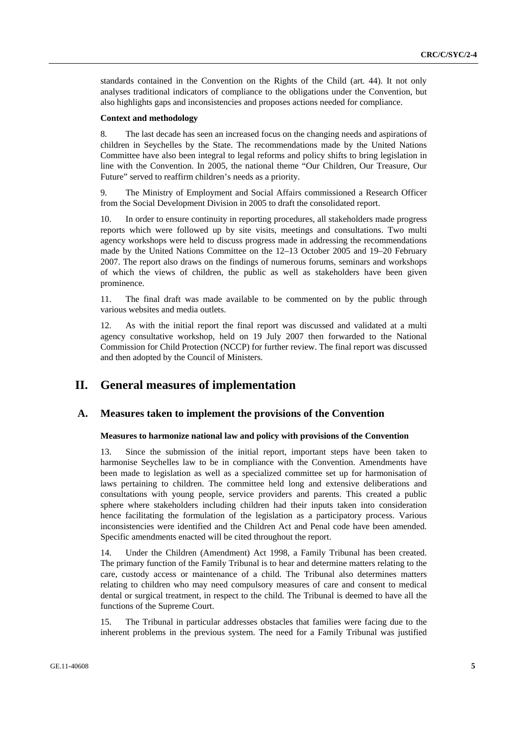standards contained in the Convention on the Rights of the Child (art. 44). It not only analyses traditional indicators of compliance to the obligations under the Convention, but also highlights gaps and inconsistencies and proposes actions needed for compliance.

### **Context and methodology**

8. The last decade has seen an increased focus on the changing needs and aspirations of children in Seychelles by the State. The recommendations made by the United Nations Committee have also been integral to legal reforms and policy shifts to bring legislation in line with the Convention. In 2005, the national theme "Our Children, Our Treasure, Our Future" served to reaffirm children's needs as a priority.

9. The Ministry of Employment and Social Affairs commissioned a Research Officer from the Social Development Division in 2005 to draft the consolidated report.

10. In order to ensure continuity in reporting procedures, all stakeholders made progress reports which were followed up by site visits, meetings and consultations. Two multi agency workshops were held to discuss progress made in addressing the recommendations made by the United Nations Committee on the 12–13 October 2005 and 19–20 February 2007. The report also draws on the findings of numerous forums, seminars and workshops of which the views of children, the public as well as stakeholders have been given prominence.

11. The final draft was made available to be commented on by the public through various websites and media outlets.

12. As with the initial report the final report was discussed and validated at a multi agency consultative workshop, held on 19 July 2007 then forwarded to the National Commission for Child Protection (NCCP) for further review. The final report was discussed and then adopted by the Council of Ministers.

# **II. General measures of implementation**

## **A. Measures taken to implement the provisions of the Convention**

### **Measures to harmonize national law and policy with provisions of the Convention**

Since the submission of the initial report, important steps have been taken to harmonise Seychelles law to be in compliance with the Convention. Amendments have been made to legislation as well as a specialized committee set up for harmonisation of laws pertaining to children. The committee held long and extensive deliberations and consultations with young people, service providers and parents. This created a public sphere where stakeholders including children had their inputs taken into consideration hence facilitating the formulation of the legislation as a participatory process. Various inconsistencies were identified and the Children Act and Penal code have been amended. Specific amendments enacted will be cited throughout the report.

14. Under the Children (Amendment) Act 1998, a Family Tribunal has been created. The primary function of the Family Tribunal is to hear and determine matters relating to the care, custody access or maintenance of a child. The Tribunal also determines matters relating to children who may need compulsory measures of care and consent to medical dental or surgical treatment, in respect to the child. The Tribunal is deemed to have all the functions of the Supreme Court.

15. The Tribunal in particular addresses obstacles that families were facing due to the inherent problems in the previous system. The need for a Family Tribunal was justified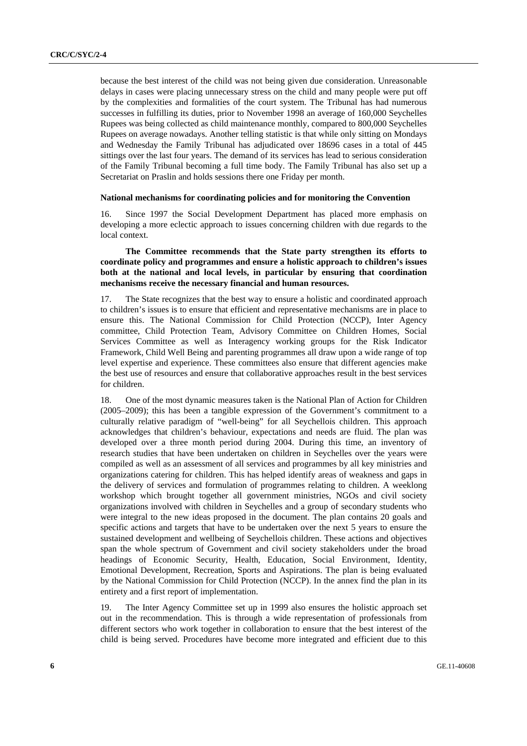because the best interest of the child was not being given due consideration. Unreasonable delays in cases were placing unnecessary stress on the child and many people were put off by the complexities and formalities of the court system. The Tribunal has had numerous successes in fulfilling its duties, prior to November 1998 an average of 160,000 Seychelles Rupees was being collected as child maintenance monthly, compared to 800,000 Seychelles Rupees on average nowadays. Another telling statistic is that while only sitting on Mondays and Wednesday the Family Tribunal has adjudicated over 18696 cases in a total of 445 sittings over the last four years. The demand of its services has lead to serious consideration of the Family Tribunal becoming a full time body. The Family Tribunal has also set up a Secretariat on Praslin and holds sessions there one Friday per month.

## **National mechanisms for coordinating policies and for monitoring the Convention**

16. Since 1997 the Social Development Department has placed more emphasis on developing a more eclectic approach to issues concerning children with due regards to the local context.

## **The Committee recommends that the State party strengthen its efforts to coordinate policy and programmes and ensure a holistic approach to children's issues both at the national and local levels, in particular by ensuring that coordination mechanisms receive the necessary financial and human resources.**

17. The State recognizes that the best way to ensure a holistic and coordinated approach to children's issues is to ensure that efficient and representative mechanisms are in place to ensure this. The National Commission for Child Protection (NCCP), Inter Agency committee, Child Protection Team, Advisory Committee on Children Homes, Social Services Committee as well as Interagency working groups for the Risk Indicator Framework, Child Well Being and parenting programmes all draw upon a wide range of top level expertise and experience. These committees also ensure that different agencies make the best use of resources and ensure that collaborative approaches result in the best services for children.

18. One of the most dynamic measures taken is the National Plan of Action for Children (2005–2009); this has been a tangible expression of the Government's commitment to a culturally relative paradigm of "well-being" for all Seychellois children. This approach acknowledges that children's behaviour, expectations and needs are fluid. The plan was developed over a three month period during 2004. During this time, an inventory of research studies that have been undertaken on children in Seychelles over the years were compiled as well as an assessment of all services and programmes by all key ministries and organizations catering for children. This has helped identify areas of weakness and gaps in the delivery of services and formulation of programmes relating to children. A weeklong workshop which brought together all government ministries, NGOs and civil society organizations involved with children in Seychelles and a group of secondary students who were integral to the new ideas proposed in the document. The plan contains 20 goals and specific actions and targets that have to be undertaken over the next 5 years to ensure the sustained development and wellbeing of Seychellois children. These actions and objectives span the whole spectrum of Government and civil society stakeholders under the broad headings of Economic Security, Health, Education, Social Environment, Identity, Emotional Development, Recreation, Sports and Aspirations. The plan is being evaluated by the National Commission for Child Protection (NCCP). In the annex find the plan in its entirety and a first report of implementation.

19. The Inter Agency Committee set up in 1999 also ensures the holistic approach set out in the recommendation. This is through a wide representation of professionals from different sectors who work together in collaboration to ensure that the best interest of the child is being served. Procedures have become more integrated and efficient due to this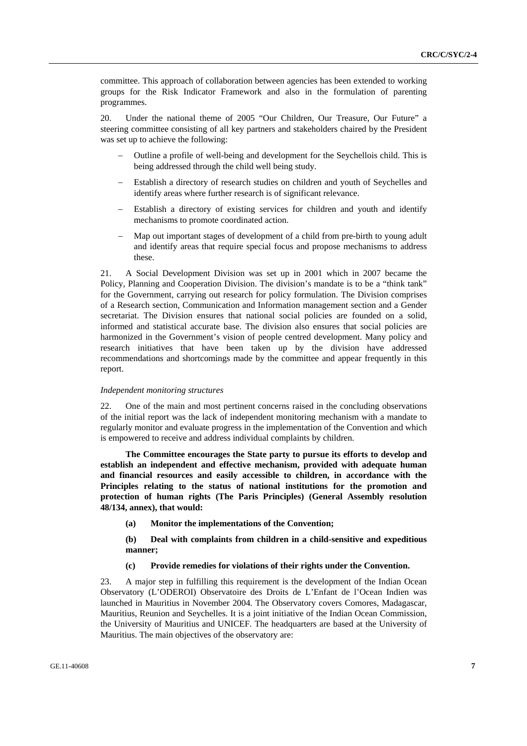committee. This approach of collaboration between agencies has been extended to working groups for the Risk Indicator Framework and also in the formulation of parenting programmes.

20. Under the national theme of 2005 "Our Children, Our Treasure, Our Future" a steering committee consisting of all key partners and stakeholders chaired by the President was set up to achieve the following:

- − Outline a profile of well-being and development for the Seychellois child. This is being addressed through the child well being study.
- Establish a directory of research studies on children and youth of Seychelles and identify areas where further research is of significant relevance.
- Establish a directory of existing services for children and youth and identify mechanisms to promote coordinated action.
- Map out important stages of development of a child from pre-birth to young adult and identify areas that require special focus and propose mechanisms to address these.

21. A Social Development Division was set up in 2001 which in 2007 became the Policy, Planning and Cooperation Division. The division's mandate is to be a "think tank" for the Government, carrying out research for policy formulation. The Division comprises of a Research section, Communication and Information management section and a Gender secretariat. The Division ensures that national social policies are founded on a solid, informed and statistical accurate base. The division also ensures that social policies are harmonized in the Government's vision of people centred development. Many policy and research initiatives that have been taken up by the division have addressed recommendations and shortcomings made by the committee and appear frequently in this report.

#### *Independent monitoring structures*

22. One of the main and most pertinent concerns raised in the concluding observations of the initial report was the lack of independent monitoring mechanism with a mandate to regularly monitor and evaluate progress in the implementation of the Convention and which is empowered to receive and address individual complaints by children.

**The Committee encourages the State party to pursue its efforts to develop and establish an independent and effective mechanism, provided with adequate human and financial resources and easily accessible to children, in accordance with the Principles relating to the status of national institutions for the promotion and protection of human rights (The Paris Principles) (General Assembly resolution 48/134, annex), that would:** 

**(a) Monitor the implementations of the Convention;** 

 **(b) Deal with complaints from children in a child-sensitive and expeditious manner;** 

## **(c) Provide remedies for violations of their rights under the Convention.**

23. A major step in fulfilling this requirement is the development of the Indian Ocean Observatory (L'ODEROI) Observatoire des Droits de L'Enfant de l'Ocean Indien was launched in Mauritius in November 2004. The Observatory covers Comores, Madagascar, Mauritius, Reunion and Seychelles. It is a joint initiative of the Indian Ocean Commission, the University of Mauritius and UNICEF. The headquarters are based at the University of Mauritius. The main objectives of the observatory are: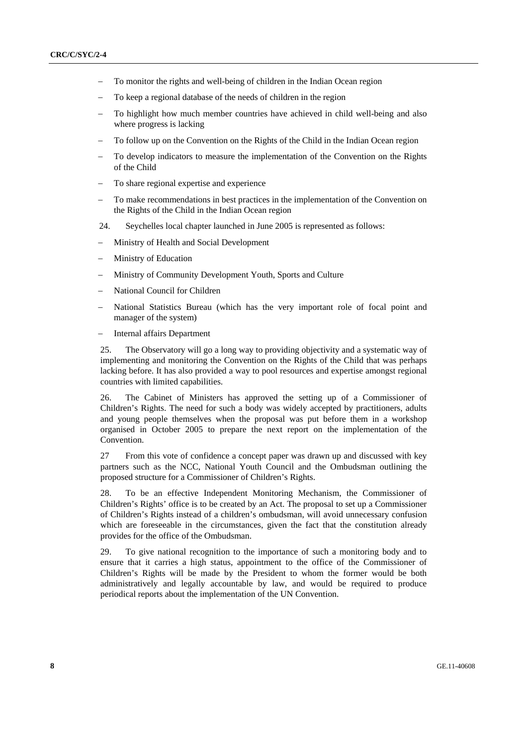- To monitor the rights and well-being of children in the Indian Ocean region
- To keep a regional database of the needs of children in the region
- To highlight how much member countries have achieved in child well-being and also where progress is lacking
- To follow up on the Convention on the Rights of the Child in the Indian Ocean region
- To develop indicators to measure the implementation of the Convention on the Rights of the Child
- To share regional expertise and experience
- To make recommendations in best practices in the implementation of the Convention on the Rights of the Child in the Indian Ocean region
- 24. Seychelles local chapter launched in June 2005 is represented as follows:
- Ministry of Health and Social Development
- − Ministry of Education
- Ministry of Community Development Youth, Sports and Culture
- − National Council for Children
- National Statistics Bureau (which has the very important role of focal point and manager of the system)
- − Internal affairs Department

25. The Observatory will go a long way to providing objectivity and a systematic way of implementing and monitoring the Convention on the Rights of the Child that was perhaps lacking before. It has also provided a way to pool resources and expertise amongst regional countries with limited capabilities.

26. The Cabinet of Ministers has approved the setting up of a Commissioner of Children's Rights. The need for such a body was widely accepted by practitioners, adults and young people themselves when the proposal was put before them in a workshop organised in October 2005 to prepare the next report on the implementation of the Convention.

27 From this vote of confidence a concept paper was drawn up and discussed with key partners such as the NCC, National Youth Council and the Ombudsman outlining the proposed structure for a Commissioner of Children's Rights.

28. To be an effective Independent Monitoring Mechanism, the Commissioner of Children's Rights' office is to be created by an Act. The proposal to set up a Commissioner of Children's Rights instead of a children's ombudsman, will avoid unnecessary confusion which are foreseeable in the circumstances, given the fact that the constitution already provides for the office of the Ombudsman.

29. To give national recognition to the importance of such a monitoring body and to ensure that it carries a high status, appointment to the office of the Commissioner of Children's Rights will be made by the President to whom the former would be both administratively and legally accountable by law, and would be required to produce periodical reports about the implementation of the UN Convention.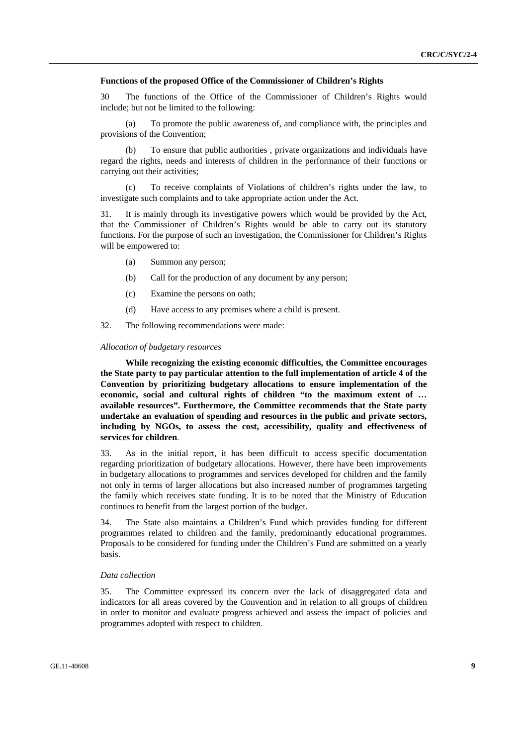#### **Functions of the proposed Office of the Commissioner of Children's Rights**

30 The functions of the Office of the Commissioner of Children's Rights would include; but not be limited to the following:

 (a) To promote the public awareness of, and compliance with, the principles and provisions of the Convention;

 (b) To ensure that public authorities , private organizations and individuals have regard the rights, needs and interests of children in the performance of their functions or carrying out their activities;

 (c) To receive complaints of Violations of children's rights under the law, to investigate such complaints and to take appropriate action under the Act.

31. It is mainly through its investigative powers which would be provided by the Act, that the Commissioner of Children's Rights would be able to carry out its statutory functions. For the purpose of such an investigation, the Commissioner for Children's Rights will be empowered to:

- (a) Summon any person;
- (b) Call for the production of any document by any person;
- (c) Examine the persons on oath;
- (d) Have access to any premises where a child is present.

32. The following recommendations were made:

#### *Allocation of budgetary resources*

**While recognizing the existing economic difficulties, the Committee encourages the State party to pay particular attention to the full implementation of article 4 of the Convention by prioritizing budgetary allocations to ensure implementation of the economic, social and cultural rights of children "to the maximum extent of … available resources". Furthermore, the Committee recommends that the State party undertake an evaluation of spending and resources in the public and private sectors, including by NGOs, to assess the cost, accessibility, quality and effectiveness of services for children***.* 

33. As in the initial report, it has been difficult to access specific documentation regarding prioritization of budgetary allocations. However, there have been improvements in budgetary allocations to programmes and services developed for children and the family not only in terms of larger allocations but also increased number of programmes targeting the family which receives state funding. It is to be noted that the Ministry of Education continues to benefit from the largest portion of the budget.

34. The State also maintains a Children's Fund which provides funding for different programmes related to children and the family, predominantly educational programmes. Proposals to be considered for funding under the Children's Fund are submitted on a yearly basis.

#### *Data collection*

35. The Committee expressed its concern over the lack of disaggregated data and indicators for all areas covered by the Convention and in relation to all groups of children in order to monitor and evaluate progress achieved and assess the impact of policies and programmes adopted with respect to children.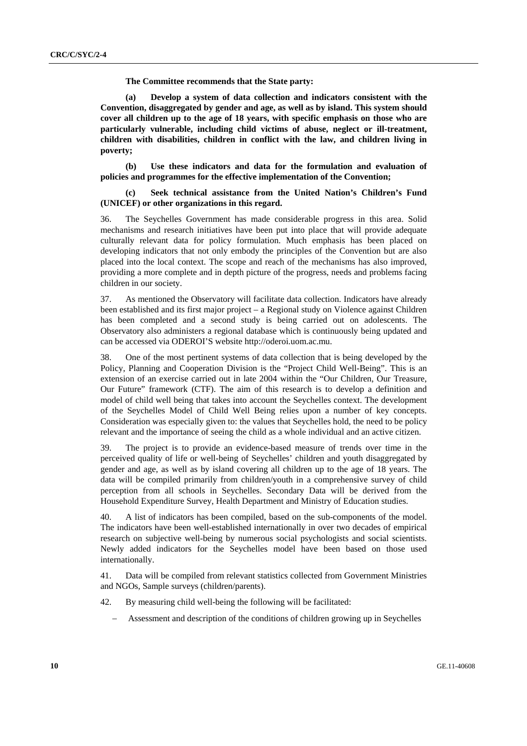**The Committee recommends that the State party:** 

 **(a) Develop a system of data collection and indicators consistent with the Convention, disaggregated by gender and age, as well as by island. This system should cover all children up to the age of 18 years, with specific emphasis on those who are particularly vulnerable, including child victims of abuse, neglect or ill-treatment, children with disabilities, children in conflict with the law, and children living in poverty;** 

 **(b) Use these indicators and data for the formulation and evaluation of policies and programmes for the effective implementation of the Convention;** 

Seek technical assistance from the United Nation's Children's Fund **(UNICEF) or other organizations in this regard.** 

36. The Seychelles Government has made considerable progress in this area. Solid mechanisms and research initiatives have been put into place that will provide adequate culturally relevant data for policy formulation. Much emphasis has been placed on developing indicators that not only embody the principles of the Convention but are also placed into the local context. The scope and reach of the mechanisms has also improved, providing a more complete and in depth picture of the progress, needs and problems facing children in our society.

37. As mentioned the Observatory will facilitate data collection. Indicators have already been established and its first major project – a Regional study on Violence against Children has been completed and a second study is being carried out on adolescents. The Observatory also administers a regional database which is continuously being updated and can be accessed via ODEROI'S website http://oderoi.uom.ac.mu.

38. One of the most pertinent systems of data collection that is being developed by the Policy, Planning and Cooperation Division is the "Project Child Well-Being". This is an extension of an exercise carried out in late 2004 within the "Our Children, Our Treasure, Our Future" framework (CTF). The aim of this research is to develop a definition and model of child well being that takes into account the Seychelles context. The development of the Seychelles Model of Child Well Being relies upon a number of key concepts. Consideration was especially given to: the values that Seychelles hold, the need to be policy relevant and the importance of seeing the child as a whole individual and an active citizen.

39. The project is to provide an evidence-based measure of trends over time in the perceived quality of life or well-being of Seychelles' children and youth disaggregated by gender and age, as well as by island covering all children up to the age of 18 years. The data will be compiled primarily from children/youth in a comprehensive survey of child perception from all schools in Seychelles. Secondary Data will be derived from the Household Expenditure Survey, Health Department and Ministry of Education studies.

40. A list of indicators has been compiled, based on the sub-components of the model. The indicators have been well-established internationally in over two decades of empirical research on subjective well-being by numerous social psychologists and social scientists. Newly added indicators for the Seychelles model have been based on those used internationally.

41. Data will be compiled from relevant statistics collected from Government Ministries and NGOs, Sample surveys (children/parents).

- 42. By measuring child well-being the following will be facilitated:
	- − Assessment and description of the conditions of children growing up in Seychelles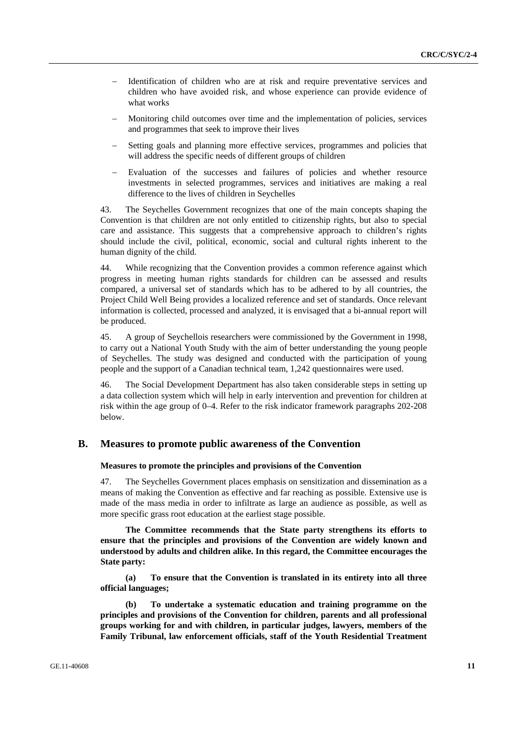- Identification of children who are at risk and require preventative services and children who have avoided risk, and whose experience can provide evidence of what works
- Monitoring child outcomes over time and the implementation of policies, services and programmes that seek to improve their lives
- Setting goals and planning more effective services, programmes and policies that will address the specific needs of different groups of children
- Evaluation of the successes and failures of policies and whether resource investments in selected programmes, services and initiatives are making a real difference to the lives of children in Seychelles

43. The Seychelles Government recognizes that one of the main concepts shaping the Convention is that children are not only entitled to citizenship rights, but also to special care and assistance. This suggests that a comprehensive approach to children's rights should include the civil, political, economic, social and cultural rights inherent to the human dignity of the child.

44. While recognizing that the Convention provides a common reference against which progress in meeting human rights standards for children can be assessed and results compared, a universal set of standards which has to be adhered to by all countries, the Project Child Well Being provides a localized reference and set of standards. Once relevant information is collected, processed and analyzed, it is envisaged that a bi-annual report will be produced.

45. A group of Seychellois researchers were commissioned by the Government in 1998, to carry out a National Youth Study with the aim of better understanding the young people of Seychelles. The study was designed and conducted with the participation of young people and the support of a Canadian technical team, 1,242 questionnaires were used.

46. The Social Development Department has also taken considerable steps in setting up a data collection system which will help in early intervention and prevention for children at risk within the age group of 0–4. Refer to the risk indicator framework paragraphs 202-208 below.

## **B. Measures to promote public awareness of the Convention**

#### **Measures to promote the principles and provisions of the Convention**

47. The Seychelles Government places emphasis on sensitization and dissemination as a means of making the Convention as effective and far reaching as possible. Extensive use is made of the mass media in order to infiltrate as large an audience as possible, as well as more specific grass root education at the earliest stage possible.

**The Committee recommends that the State party strengthens its efforts to ensure that the principles and provisions of the Convention are widely known and understood by adults and children alike. In this regard, the Committee encourages the State party:** 

**(a) To ensure that the Convention is translated in its entirety into all three official languages;** 

 **(b) To undertake a systematic education and training programme on the principles and provisions of the Convention for children, parents and all professional groups working for and with children, in particular judges, lawyers, members of the Family Tribunal, law enforcement officials, staff of the Youth Residential Treatment**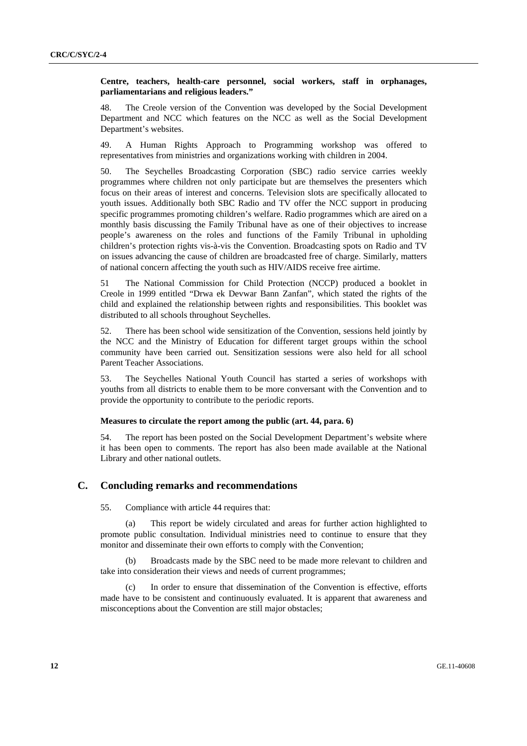## **Centre, teachers, health-care personnel, social workers, staff in orphanages, parliamentarians and religious leaders."**

48. The Creole version of the Convention was developed by the Social Development Department and NCC which features on the NCC as well as the Social Development Department's websites.

49. A Human Rights Approach to Programming workshop was offered to representatives from ministries and organizations working with children in 2004.

50. The Seychelles Broadcasting Corporation (SBC) radio service carries weekly programmes where children not only participate but are themselves the presenters which focus on their areas of interest and concerns. Television slots are specifically allocated to youth issues. Additionally both SBC Radio and TV offer the NCC support in producing specific programmes promoting children's welfare. Radio programmes which are aired on a monthly basis discussing the Family Tribunal have as one of their objectives to increase people's awareness on the roles and functions of the Family Tribunal in upholding children's protection rights vis-à-vis the Convention. Broadcasting spots on Radio and TV on issues advancing the cause of children are broadcasted free of charge. Similarly, matters of national concern affecting the youth such as HIV/AIDS receive free airtime.

51 The National Commission for Child Protection (NCCP) produced a booklet in Creole in 1999 entitled "Drwa ek Devwar Bann Zanfan", which stated the rights of the child and explained the relationship between rights and responsibilities. This booklet was distributed to all schools throughout Seychelles.

52. There has been school wide sensitization of the Convention, sessions held jointly by the NCC and the Ministry of Education for different target groups within the school community have been carried out. Sensitization sessions were also held for all school Parent Teacher Associations.

53. The Seychelles National Youth Council has started a series of workshops with youths from all districts to enable them to be more conversant with the Convention and to provide the opportunity to contribute to the periodic reports.

#### **Measures to circulate the report among the public (art. 44, para. 6)**

54. The report has been posted on the Social Development Department's website where it has been open to comments. The report has also been made available at the National Library and other national outlets.

## **C. Concluding remarks and recommendations**

55. Compliance with article 44 requires that:

 (a) This report be widely circulated and areas for further action highlighted to promote public consultation. Individual ministries need to continue to ensure that they monitor and disseminate their own efforts to comply with the Convention;

 (b) Broadcasts made by the SBC need to be made more relevant to children and take into consideration their views and needs of current programmes;

 (c) In order to ensure that dissemination of the Convention is effective, efforts made have to be consistent and continuously evaluated. It is apparent that awareness and misconceptions about the Convention are still major obstacles;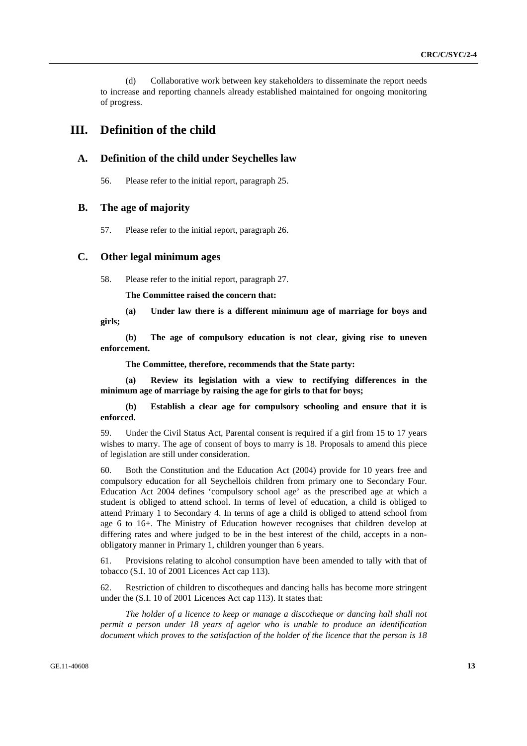(d) Collaborative work between key stakeholders to disseminate the report needs to increase and reporting channels already established maintained for ongoing monitoring of progress.

## **III. Definition of the child**

## **A. Definition of the child under Seychelles law**

56. Please refer to the initial report, paragraph 25.

## **B. The age of majority**

57. Please refer to the initial report, paragraph 26.

## **C. Other legal minimum ages**

58. Please refer to the initial report, paragraph 27.

**The Committee raised the concern that:** 

 **(a) Under law there is a different minimum age of marriage for boys and girls;** 

 **(b) The age of compulsory education is not clear, giving rise to uneven enforcement.** 

 **The Committee, therefore, recommends that the State party:** 

 **(a) Review its legislation with a view to rectifying differences in the minimum age of marriage by raising the age for girls to that for boys;** 

 **(b) Establish a clear age for compulsory schooling and ensure that it is enforced.** 

59. Under the Civil Status Act, Parental consent is required if a girl from 15 to 17 years wishes to marry. The age of consent of boys to marry is 18. Proposals to amend this piece of legislation are still under consideration.

60. Both the Constitution and the Education Act (2004) provide for 10 years free and compulsory education for all Seychellois children from primary one to Secondary Four. Education Act 2004 defines 'compulsory school age' as the prescribed age at which a student is obliged to attend school. In terms of level of education, a child is obliged to attend Primary 1 to Secondary 4. In terms of age a child is obliged to attend school from age 6 to 16+. The Ministry of Education however recognises that children develop at differing rates and where judged to be in the best interest of the child, accepts in a nonobligatory manner in Primary 1, children younger than 6 years.

61. Provisions relating to alcohol consumption have been amended to tally with that of tobacco (S.I. 10 of 2001 Licences Act cap 113).

62. Restriction of children to discotheques and dancing halls has become more stringent under the (S.I. 10 of 2001 Licences Act cap 113). It states that:

 *The holder of a licence to keep or manage a discotheque or dancing hall shall not permit a person under 18 years of age\or who is unable to produce an identification document which proves to the satisfaction of the holder of the licence that the person is 18*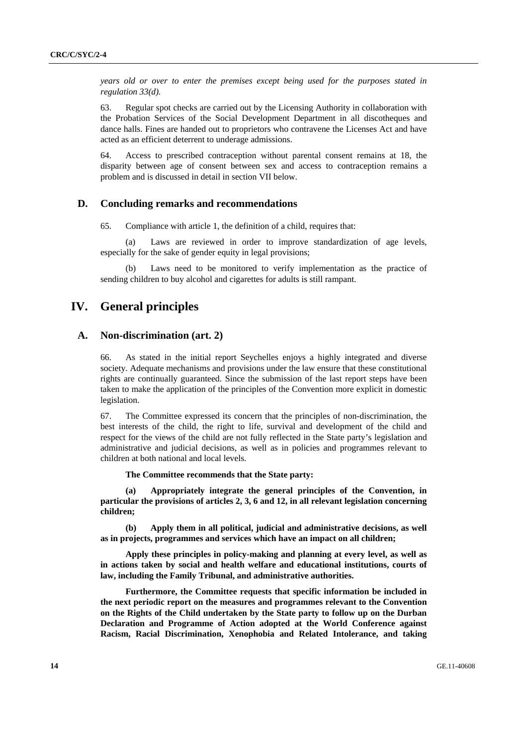*years old or over to enter the premises except being used for the purposes stated in regulation 33(d).* 

63. Regular spot checks are carried out by the Licensing Authority in collaboration with the Probation Services of the Social Development Department in all discotheques and dance halls. Fines are handed out to proprietors who contravene the Licenses Act and have acted as an efficient deterrent to underage admissions.

64. Access to prescribed contraception without parental consent remains at 18, the disparity between age of consent between sex and access to contraception remains a problem and is discussed in detail in section VII below.

## **D. Concluding remarks and recommendations**

65. Compliance with article 1, the definition of a child, requires that:

 (a) Laws are reviewed in order to improve standardization of age levels, especially for the sake of gender equity in legal provisions;

 (b) Laws need to be monitored to verify implementation as the practice of sending children to buy alcohol and cigarettes for adults is still rampant.

# **IV. General principles**

## **A. Non-discrimination (art. 2)**

66. As stated in the initial report Seychelles enjoys a highly integrated and diverse society. Adequate mechanisms and provisions under the law ensure that these constitutional rights are continually guaranteed. Since the submission of the last report steps have been taken to make the application of the principles of the Convention more explicit in domestic legislation.

67. The Committee expressed its concern that the principles of non-discrimination, the best interests of the child, the right to life, survival and development of the child and respect for the views of the child are not fully reflected in the State party's legislation and administrative and judicial decisions, as well as in policies and programmes relevant to children at both national and local levels.

**The Committee recommends that the State party:** 

**(a) Appropriately integrate the general principles of the Convention, in particular the provisions of articles 2, 3, 6 and 12, in all relevant legislation concerning children;** 

 **(b) Apply them in all political, judicial and administrative decisions, as well as in projects, programmes and services which have an impact on all children;** 

 **Apply these principles in policy-making and planning at every level, as well as in actions taken by social and health welfare and educational institutions, courts of law, including the Family Tribunal, and administrative authorities.** 

 **Furthermore, the Committee requests that specific information be included in the next periodic report on the measures and programmes relevant to the Convention on the Rights of the Child undertaken by the State party to follow up on the Durban Declaration and Programme of Action adopted at the World Conference against Racism, Racial Discrimination, Xenophobia and Related Intolerance, and taking**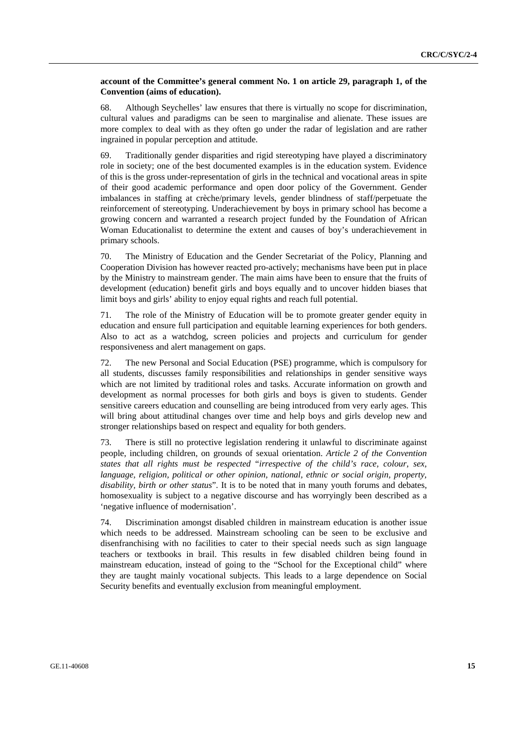## **account of the Committee's general comment No. 1 on article 29, paragraph 1, of the Convention (aims of education).**

68. Although Seychelles' law ensures that there is virtually no scope for discrimination, cultural values and paradigms can be seen to marginalise and alienate. These issues are more complex to deal with as they often go under the radar of legislation and are rather ingrained in popular perception and attitude.

69. Traditionally gender disparities and rigid stereotyping have played a discriminatory role in society; one of the best documented examples is in the education system. Evidence of this is the gross under-representation of girls in the technical and vocational areas in spite of their good academic performance and open door policy of the Government. Gender imbalances in staffing at crèche/primary levels, gender blindness of staff/perpetuate the reinforcement of stereotyping. Underachievement by boys in primary school has become a growing concern and warranted a research project funded by the Foundation of African Woman Educationalist to determine the extent and causes of boy's underachievement in primary schools.

70. The Ministry of Education and the Gender Secretariat of the Policy, Planning and Cooperation Division has however reacted pro-actively; mechanisms have been put in place by the Ministry to mainstream gender. The main aims have been to ensure that the fruits of development (education) benefit girls and boys equally and to uncover hidden biases that limit boys and girls' ability to enjoy equal rights and reach full potential.

71. The role of the Ministry of Education will be to promote greater gender equity in education and ensure full participation and equitable learning experiences for both genders. Also to act as a watchdog, screen policies and projects and curriculum for gender responsiveness and alert management on gaps.

72. The new Personal and Social Education (PSE) programme, which is compulsory for all students, discusses family responsibilities and relationships in gender sensitive ways which are not limited by traditional roles and tasks. Accurate information on growth and development as normal processes for both girls and boys is given to students. Gender sensitive careers education and counselling are being introduced from very early ages. This will bring about attitudinal changes over time and help boys and girls develop new and stronger relationships based on respect and equality for both genders.

73. There is still no protective legislation rendering it unlawful to discriminate against people, including children, on grounds of sexual orientation. *Article 2 of the Convention states that all rights must be respected* "*irrespective of the child's race, colour, sex, language, religion, political or other opinion, national, ethnic or social origin, property, disability, birth or other status*". It is to be noted that in many youth forums and debates, homosexuality is subject to a negative discourse and has worryingly been described as a 'negative influence of modernisation'.

74. Discrimination amongst disabled children in mainstream education is another issue which needs to be addressed. Mainstream schooling can be seen to be exclusive and disenfranchising with no facilities to cater to their special needs such as sign language teachers or textbooks in brail. This results in few disabled children being found in mainstream education, instead of going to the "School for the Exceptional child" where they are taught mainly vocational subjects. This leads to a large dependence on Social Security benefits and eventually exclusion from meaningful employment.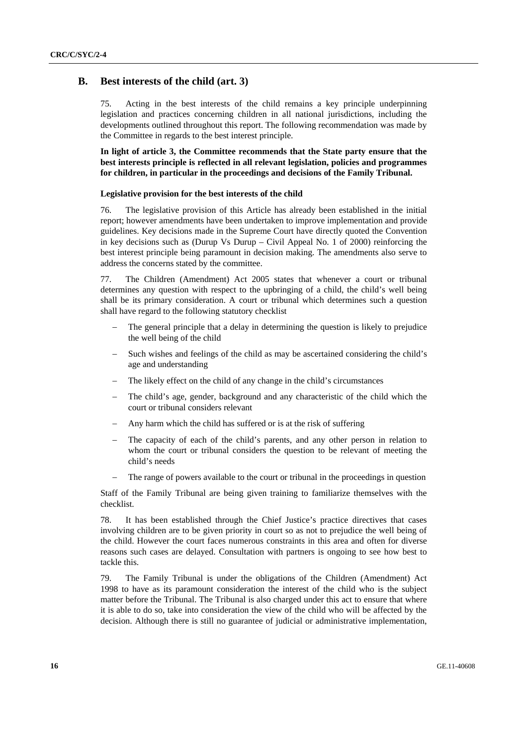## **B. Best interests of the child (art. 3)**

75. Acting in the best interests of the child remains a key principle underpinning legislation and practices concerning children in all national jurisdictions, including the developments outlined throughout this report. The following recommendation was made by the Committee in regards to the best interest principle.

**In light of article 3, the Committee recommends that the State party ensure that the best interests principle is reflected in all relevant legislation, policies and programmes for children, in particular in the proceedings and decisions of the Family Tribunal.** 

#### **Legislative provision for the best interests of the child**

76. The legislative provision of this Article has already been established in the initial report; however amendments have been undertaken to improve implementation and provide guidelines. Key decisions made in the Supreme Court have directly quoted the Convention in key decisions such as (Durup Vs Durup – Civil Appeal No. 1 of 2000) reinforcing the best interest principle being paramount in decision making. The amendments also serve to address the concerns stated by the committee.

77. The Children (Amendment) Act 2005 states that whenever a court or tribunal determines any question with respect to the upbringing of a child, the child's well being shall be its primary consideration. A court or tribunal which determines such a question shall have regard to the following statutory checklist

- The general principle that a delay in determining the question is likely to prejudice the well being of the child
- Such wishes and feelings of the child as may be ascertained considering the child's age and understanding
- The likely effect on the child of any change in the child's circumstances
- The child's age, gender, background and any characteristic of the child which the court or tribunal considers relevant
- Any harm which the child has suffered or is at the risk of suffering
- The capacity of each of the child's parents, and any other person in relation to whom the court or tribunal considers the question to be relevant of meeting the child's needs
- The range of powers available to the court or tribunal in the proceedings in question

Staff of the Family Tribunal are being given training to familiarize themselves with the checklist.

78. It has been established through the Chief Justice's practice directives that cases involving children are to be given priority in court so as not to prejudice the well being of the child. However the court faces numerous constraints in this area and often for diverse reasons such cases are delayed. Consultation with partners is ongoing to see how best to tackle this.

79. The Family Tribunal is under the obligations of the Children (Amendment) Act 1998 to have as its paramount consideration the interest of the child who is the subject matter before the Tribunal. The Tribunal is also charged under this act to ensure that where it is able to do so, take into consideration the view of the child who will be affected by the decision. Although there is still no guarantee of judicial or administrative implementation,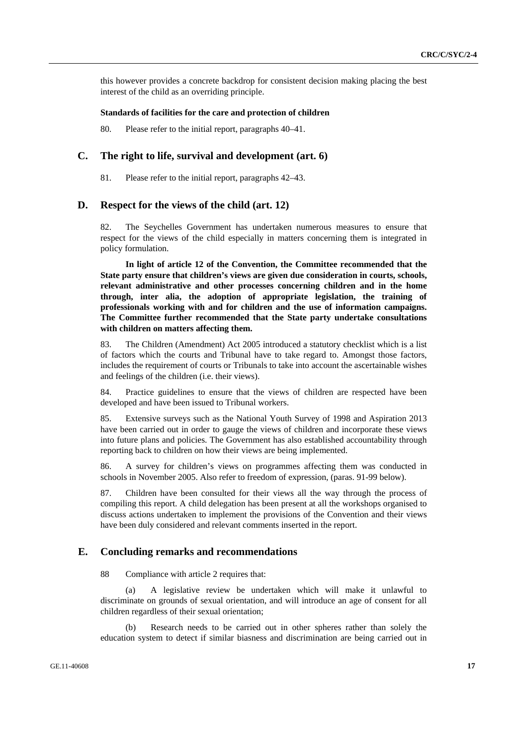this however provides a concrete backdrop for consistent decision making placing the best interest of the child as an overriding principle.

### **Standards of facilities for the care and protection of children**

80. Please refer to the initial report, paragraphs 40–41.

## **C. The right to life, survival and development (art. 6)**

81. Please refer to the initial report, paragraphs 42–43.

## **D. Respect for the views of the child (art. 12)**

82. The Seychelles Government has undertaken numerous measures to ensure that respect for the views of the child especially in matters concerning them is integrated in policy formulation.

**In light of article 12 of the Convention, the Committee recommended that the State party ensure that children's views are given due consideration in courts, schools, relevant administrative and other processes concerning children and in the home through, inter alia, the adoption of appropriate legislation, the training of professionals working with and for children and the use of information campaigns. The Committee further recommended that the State party undertake consultations with children on matters affecting them.** 

83. The Children (Amendment) Act 2005 introduced a statutory checklist which is a list of factors which the courts and Tribunal have to take regard to. Amongst those factors, includes the requirement of courts or Tribunals to take into account the ascertainable wishes and feelings of the children (i.e. their views).

84. Practice guidelines to ensure that the views of children are respected have been developed and have been issued to Tribunal workers.

85. Extensive surveys such as the National Youth Survey of 1998 and Aspiration 2013 have been carried out in order to gauge the views of children and incorporate these views into future plans and policies. The Government has also established accountability through reporting back to children on how their views are being implemented.

86. A survey for children's views on programmes affecting them was conducted in schools in November 2005. Also refer to freedom of expression, (paras. 91-99 below).

87. Children have been consulted for their views all the way through the process of compiling this report. A child delegation has been present at all the workshops organised to discuss actions undertaken to implement the provisions of the Convention and their views have been duly considered and relevant comments inserted in the report.

## **E. Concluding remarks and recommendations**

88 Compliance with article 2 requires that:

 (a) A legislative review be undertaken which will make it unlawful to discriminate on grounds of sexual orientation, and will introduce an age of consent for all children regardless of their sexual orientation;

 (b) Research needs to be carried out in other spheres rather than solely the education system to detect if similar biasness and discrimination are being carried out in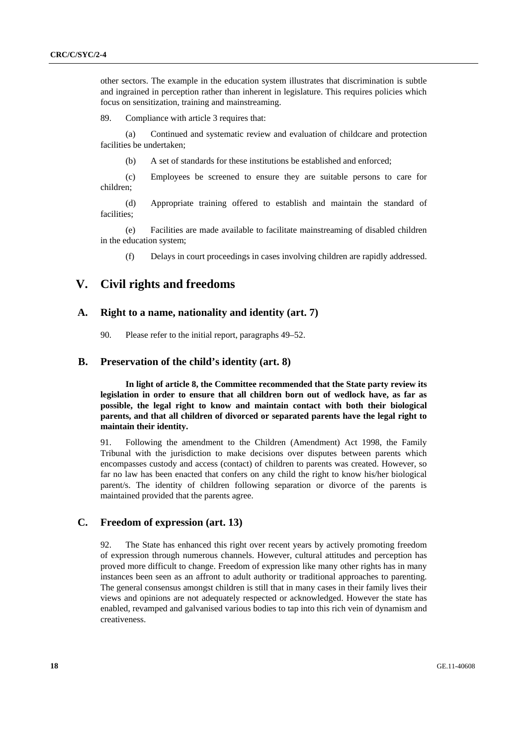other sectors. The example in the education system illustrates that discrimination is subtle and ingrained in perception rather than inherent in legislature. This requires policies which focus on sensitization, training and mainstreaming.

89. Compliance with article 3 requires that:

Continued and systematic review and evaluation of childcare and protection facilities be undertaken;

(b) A set of standards for these institutions be established and enforced;

 (c) Employees be screened to ensure they are suitable persons to care for children;

 (d) Appropriate training offered to establish and maintain the standard of facilities;

 (e) Facilities are made available to facilitate mainstreaming of disabled children in the education system;

(f) Delays in court proceedings in cases involving children are rapidly addressed.

# **V. Civil rights and freedoms**

## **A. Right to a name, nationality and identity (art. 7)**

90. Please refer to the initial report, paragraphs 49–52.

## **B. Preservation of the child's identity (art. 8)**

**In light of article 8, the Committee recommended that the State party review its legislation in order to ensure that all children born out of wedlock have, as far as possible, the legal right to know and maintain contact with both their biological parents, and that all children of divorced or separated parents have the legal right to maintain their identity.**

91. Following the amendment to the Children (Amendment) Act 1998, the Family Tribunal with the jurisdiction to make decisions over disputes between parents which encompasses custody and access (contact) of children to parents was created. However, so far no law has been enacted that confers on any child the right to know his/her biological parent/s. The identity of children following separation or divorce of the parents is maintained provided that the parents agree.

## **C. Freedom of expression (art. 13)**

92. The State has enhanced this right over recent years by actively promoting freedom of expression through numerous channels. However, cultural attitudes and perception has proved more difficult to change. Freedom of expression like many other rights has in many instances been seen as an affront to adult authority or traditional approaches to parenting. The general consensus amongst children is still that in many cases in their family lives their views and opinions are not adequately respected or acknowledged. However the state has enabled, revamped and galvanised various bodies to tap into this rich vein of dynamism and creativeness.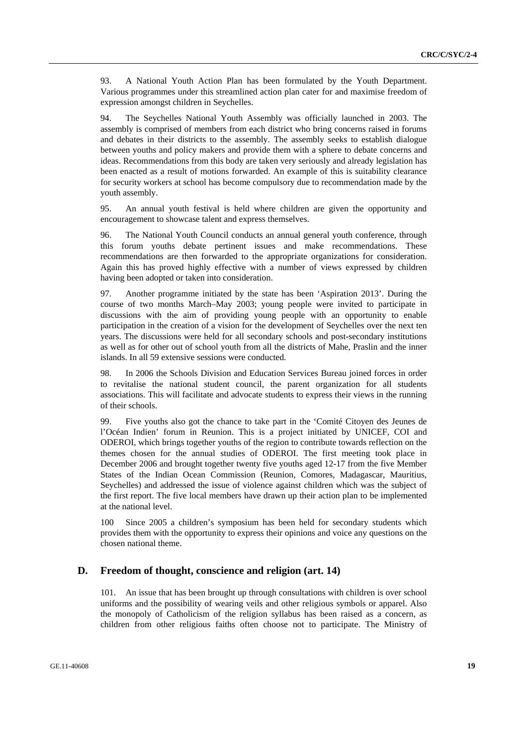93. A National Youth Action Plan has been formulated by the Youth Department. Various programmes under this streamlined action plan cater for and maximise freedom of expression amongst children in Seychelles.

94. The Seychelles National Youth Assembly was officially launched in 2003. The assembly is comprised of members from each district who bring concerns raised in forums and debates in their districts to the assembly. The assembly seeks to establish dialogue between youths and policy makers and provide them with a sphere to debate concerns and ideas. Recommendations from this body are taken very seriously and already legislation has been enacted as a result of motions forwarded. An example of this is suitability clearance for security workers at school has become compulsory due to recommendation made by the youth assembly.

95. An annual youth festival is held where children are given the opportunity and encouragement to showcase talent and express themselves.

96. The National Youth Council conducts an annual general youth conference, through this forum youths debate pertinent issues and make recommendations. These recommendations are then forwarded to the appropriate organizations for consideration. Again this has proved highly effective with a number of views expressed by children having been adopted or taken into consideration.

97. Another programme initiated by the state has been 'Aspiration 2013'. During the course of two months March–May 2003; young people were invited to participate in discussions with the aim of providing young people with an opportunity to enable participation in the creation of a vision for the development of Seychelles over the next ten years. The discussions were held for all secondary schools and post-secondary institutions as well as for other out of school youth from all the districts of Mahe, Praslin and the inner islands. In all 59 extensive sessions were conducted.

98. In 2006 the Schools Division and Education Services Bureau joined forces in order to revitalise the national student council, the parent organization for all students associations. This will facilitate and advocate students to express their views in the running of their schools.

99. Five youths also got the chance to take part in the 'Comité Citoyen des Jeunes de l'Océan Indien' forum in Reunion. This is a project initiated by UNICEF, COI and ODEROI, which brings together youths of the region to contribute towards reflection on the themes chosen for the annual studies of ODEROI. The first meeting took place in December 2006 and brought together twenty five youths aged 12-17 from the five Member States of the Indian Ocean Commission (Reunion, Comores, Madagascar, Mauritius, Seychelles) and addressed the issue of violence against children which was the subject of the first report. The five local members have drawn up their action plan to be implemented at the national level.

100 Since 2005 a children's symposium has been held for secondary students which provides them with the opportunity to express their opinions and voice any questions on the chosen national theme.

## **D. Freedom of thought, conscience and religion (art. 14)**

101. An issue that has been brought up through consultations with children is over school uniforms and the possibility of wearing veils and other religious symbols or apparel. Also the monopoly of Catholicism of the religion syllabus has been raised as a concern, as children from other religious faiths often choose not to participate. The Ministry of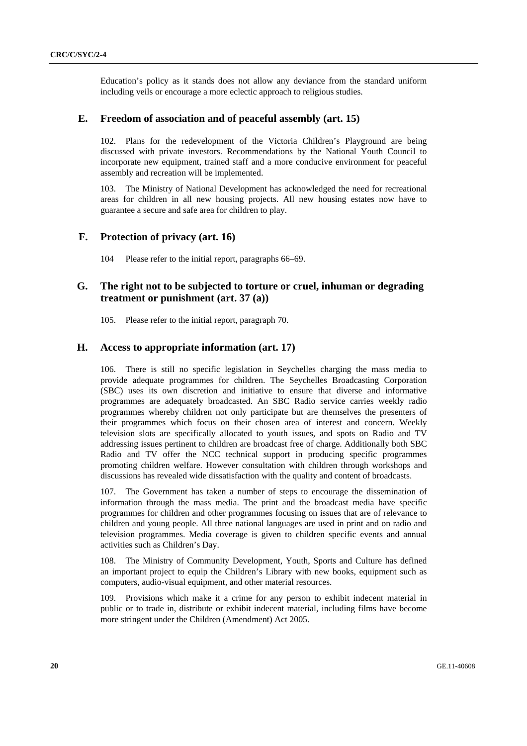Education's policy as it stands does not allow any deviance from the standard uniform including veils or encourage a more eclectic approach to religious studies.

## **E. Freedom of association and of peaceful assembly (art. 15)**

102. Plans for the redevelopment of the Victoria Children's Playground are being discussed with private investors. Recommendations by the National Youth Council to incorporate new equipment, trained staff and a more conducive environment for peaceful assembly and recreation will be implemented.

103. The Ministry of National Development has acknowledged the need for recreational areas for children in all new housing projects. All new housing estates now have to guarantee a secure and safe area for children to play.

## **F. Protection of privacy (art. 16)**

104 Please refer to the initial report, paragraphs 66–69.

## **G. The right not to be subjected to torture or cruel, inhuman or degrading treatment or punishment (art. 37 (a))**

105. Please refer to the initial report, paragraph 70.

## **H. Access to appropriate information (art. 17)**

106. There is still no specific legislation in Seychelles charging the mass media to provide adequate programmes for children. The Seychelles Broadcasting Corporation (SBC) uses its own discretion and initiative to ensure that diverse and informative programmes are adequately broadcasted. An SBC Radio service carries weekly radio programmes whereby children not only participate but are themselves the presenters of their programmes which focus on their chosen area of interest and concern. Weekly television slots are specifically allocated to youth issues, and spots on Radio and TV addressing issues pertinent to children are broadcast free of charge. Additionally both SBC Radio and TV offer the NCC technical support in producing specific programmes promoting children welfare. However consultation with children through workshops and discussions has revealed wide dissatisfaction with the quality and content of broadcasts.

107. The Government has taken a number of steps to encourage the dissemination of information through the mass media. The print and the broadcast media have specific programmes for children and other programmes focusing on issues that are of relevance to children and young people. All three national languages are used in print and on radio and television programmes. Media coverage is given to children specific events and annual activities such as Children's Day.

108. The Ministry of Community Development, Youth, Sports and Culture has defined an important project to equip the Children's Library with new books, equipment such as computers, audio-visual equipment, and other material resources.

109. Provisions which make it a crime for any person to exhibit indecent material in public or to trade in, distribute or exhibit indecent material, including films have become more stringent under the Children (Amendment) Act 2005.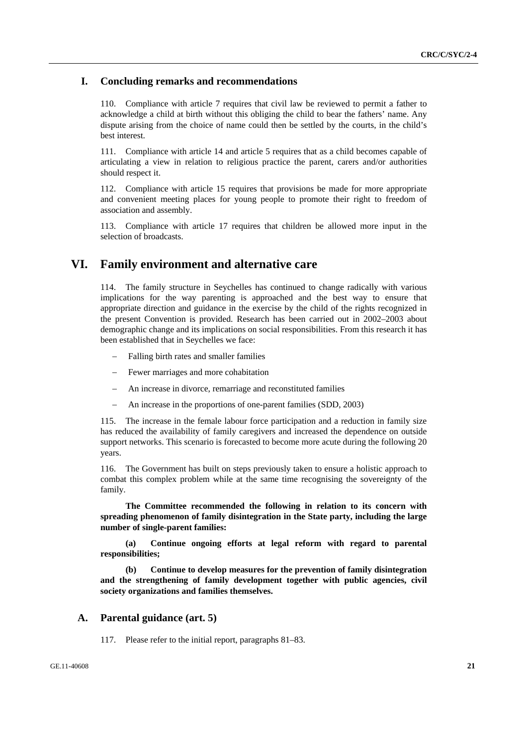## **I. Concluding remarks and recommendations**

110. Compliance with article 7 requires that civil law be reviewed to permit a father to acknowledge a child at birth without this obliging the child to bear the fathers' name. Any dispute arising from the choice of name could then be settled by the courts, in the child's best interest.

111. Compliance with article 14 and article 5 requires that as a child becomes capable of articulating a view in relation to religious practice the parent, carers and/or authorities should respect it.

112. Compliance with article 15 requires that provisions be made for more appropriate and convenient meeting places for young people to promote their right to freedom of association and assembly.

113. Compliance with article 17 requires that children be allowed more input in the selection of broadcasts.

# **VI. Family environment and alternative care**

114. The family structure in Seychelles has continued to change radically with various implications for the way parenting is approached and the best way to ensure that appropriate direction and guidance in the exercise by the child of the rights recognized in the present Convention is provided. Research has been carried out in 2002–2003 about demographic change and its implications on social responsibilities. From this research it has been established that in Seychelles we face:

- Falling birth rates and smaller families
- Fewer marriages and more cohabitation
- An increase in divorce, remarriage and reconstituted families
- An increase in the proportions of one-parent families (SDD, 2003)

115. The increase in the female labour force participation and a reduction in family size has reduced the availability of family caregivers and increased the dependence on outside support networks. This scenario is forecasted to become more acute during the following 20 years.

116. The Government has built on steps previously taken to ensure a holistic approach to combat this complex problem while at the same time recognising the sovereignty of the family.

**The Committee recommended the following in relation to its concern with spreading phenomenon of family disintegration in the State party, including the large number of single-parent families:** 

 **(a) Continue ongoing efforts at legal reform with regard to parental responsibilities;** 

**(b) Continue to develop measures for the prevention of family disintegration and the strengthening of family development together with public agencies, civil society organizations and families themselves.** 

## **A. Parental guidance (art. 5)**

117. Please refer to the initial report, paragraphs 81–83.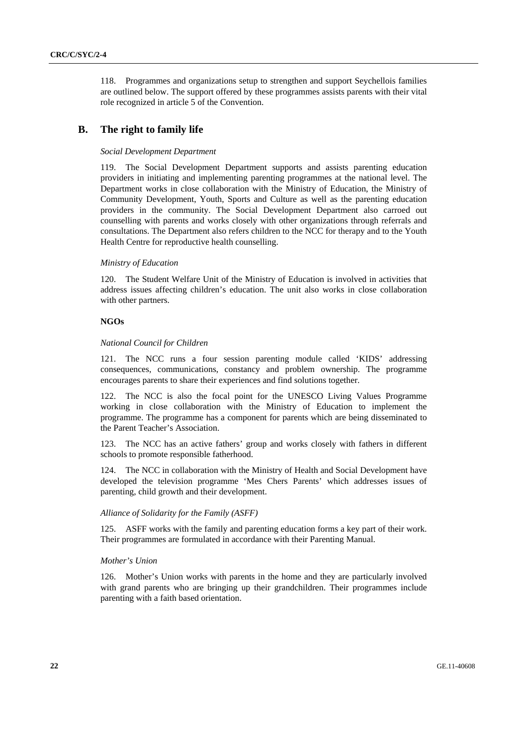118. Programmes and organizations setup to strengthen and support Seychellois families are outlined below. The support offered by these programmes assists parents with their vital role recognized in article 5 of the Convention.

## **B. The right to family life**

### *Social Development Department*

119. The Social Development Department supports and assists parenting education providers in initiating and implementing parenting programmes at the national level. The Department works in close collaboration with the Ministry of Education, the Ministry of Community Development, Youth, Sports and Culture as well as the parenting education providers in the community. The Social Development Department also carroed out counselling with parents and works closely with other organizations through referrals and consultations. The Department also refers children to the NCC for therapy and to the Youth Health Centre for reproductive health counselling.

### *Ministry of Education*

120. The Student Welfare Unit of the Ministry of Education is involved in activities that address issues affecting children's education. The unit also works in close collaboration with other partners.

## **NGOs**

## *National Council for Children*

121. The NCC runs a four session parenting module called 'KIDS' addressing consequences, communications, constancy and problem ownership. The programme encourages parents to share their experiences and find solutions together.

122. The NCC is also the focal point for the UNESCO Living Values Programme working in close collaboration with the Ministry of Education to implement the programme. The programme has a component for parents which are being disseminated to the Parent Teacher's Association.

123. The NCC has an active fathers' group and works closely with fathers in different schools to promote responsible fatherhood.

124. The NCC in collaboration with the Ministry of Health and Social Development have developed the television programme 'Mes Chers Parents' which addresses issues of parenting, child growth and their development.

### *Alliance of Solidarity for the Family (ASFF)*

125. ASFF works with the family and parenting education forms a key part of their work. Their programmes are formulated in accordance with their Parenting Manual.

### *Mother's Union*

126. Mother's Union works with parents in the home and they are particularly involved with grand parents who are bringing up their grandchildren. Their programmes include parenting with a faith based orientation.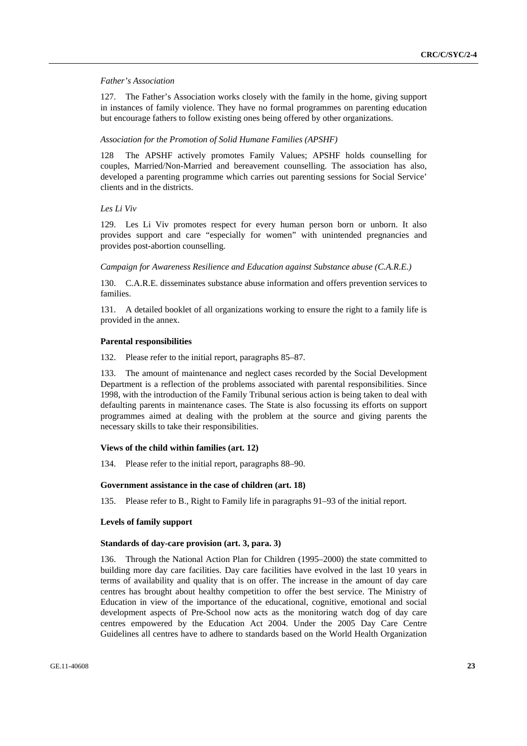### *Father's Association*

127. The Father's Association works closely with the family in the home, giving support in instances of family violence. They have no formal programmes on parenting education but encourage fathers to follow existing ones being offered by other organizations.

#### *Association for the Promotion of Solid Humane Families (APSHF)*

128 The APSHF actively promotes Family Values; APSHF holds counselling for couples, Married/Non-Married and bereavement counselling. The association has also, developed a parenting programme which carries out parenting sessions for Social Service' clients and in the districts.

## *Les Li Viv*

129. Les Li Viv promotes respect for every human person born or unborn. It also provides support and care "especially for women" with unintended pregnancies and provides post-abortion counselling.

 *Campaign for Awareness Resilience and Education against Substance abuse (C.A.R.E.)* 

130. C.A.R.E. disseminates substance abuse information and offers prevention services to families.

131. A detailed booklet of all organizations working to ensure the right to a family life is provided in the annex.

#### **Parental responsibilities**

132. Please refer to the initial report, paragraphs 85–87.

133. The amount of maintenance and neglect cases recorded by the Social Development Department is a reflection of the problems associated with parental responsibilities. Since 1998, with the introduction of the Family Tribunal serious action is being taken to deal with defaulting parents in maintenance cases. The State is also focussing its efforts on support programmes aimed at dealing with the problem at the source and giving parents the necessary skills to take their responsibilities.

#### **Views of the child within families (art. 12)**

134. Please refer to the initial report, paragraphs 88–90.

#### **Government assistance in the case of children (art. 18)**

135. Please refer to B., Right to Family life in paragraphs 91–93 of the initial report.

#### **Levels of family support**

#### **Standards of day-care provision (art. 3, para. 3)**

136. Through the National Action Plan for Children (1995–2000) the state committed to building more day care facilities. Day care facilities have evolved in the last 10 years in terms of availability and quality that is on offer. The increase in the amount of day care centres has brought about healthy competition to offer the best service. The Ministry of Education in view of the importance of the educational, cognitive, emotional and social development aspects of Pre-School now acts as the monitoring watch dog of day care centres empowered by the Education Act 2004. Under the 2005 Day Care Centre Guidelines all centres have to adhere to standards based on the World Health Organization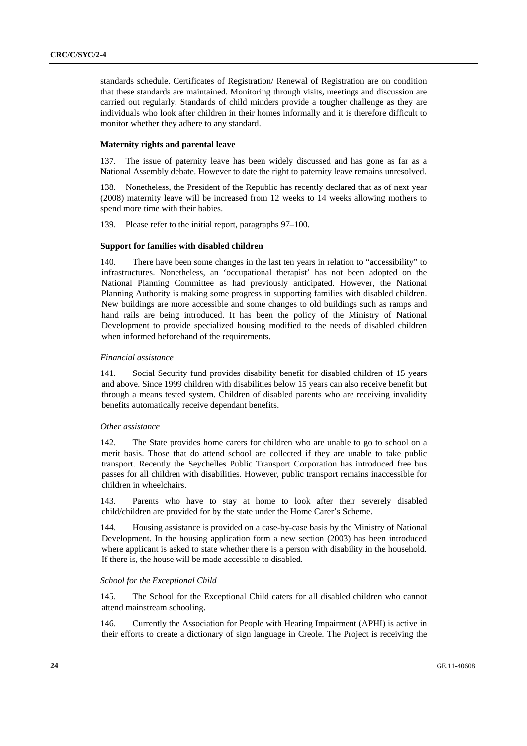standards schedule. Certificates of Registration/ Renewal of Registration are on condition that these standards are maintained. Monitoring through visits, meetings and discussion are carried out regularly. Standards of child minders provide a tougher challenge as they are individuals who look after children in their homes informally and it is therefore difficult to monitor whether they adhere to any standard.

## **Maternity rights and parental leave**

137. The issue of paternity leave has been widely discussed and has gone as far as a National Assembly debate. However to date the right to paternity leave remains unresolved.

138. Nonetheless, the President of the Republic has recently declared that as of next year (2008) maternity leave will be increased from 12 weeks to 14 weeks allowing mothers to spend more time with their babies.

139. Please refer to the initial report, paragraphs 97–100.

#### **Support for families with disabled children**

140. There have been some changes in the last ten years in relation to "accessibility" to infrastructures. Nonetheless, an 'occupational therapist' has not been adopted on the National Planning Committee as had previously anticipated. However, the National Planning Authority is making some progress in supporting families with disabled children. New buildings are more accessible and some changes to old buildings such as ramps and hand rails are being introduced. It has been the policy of the Ministry of National Development to provide specialized housing modified to the needs of disabled children when informed beforehand of the requirements.

#### *Financial assistance*

141. Social Security fund provides disability benefit for disabled children of 15 years and above. Since 1999 children with disabilities below 15 years can also receive benefit but through a means tested system. Children of disabled parents who are receiving invalidity benefits automatically receive dependant benefits.

## *Other assistance*

142. The State provides home carers for children who are unable to go to school on a merit basis. Those that do attend school are collected if they are unable to take public transport. Recently the Seychelles Public Transport Corporation has introduced free bus passes for all children with disabilities. However, public transport remains inaccessible for children in wheelchairs.

143. Parents who have to stay at home to look after their severely disabled child/children are provided for by the state under the Home Carer's Scheme.

144. Housing assistance is provided on a case-by-case basis by the Ministry of National Development. In the housing application form a new section (2003) has been introduced where applicant is asked to state whether there is a person with disability in the household. If there is, the house will be made accessible to disabled.

#### *School for the Exceptional Child*

145. The School for the Exceptional Child caters for all disabled children who cannot attend mainstream schooling.

146. Currently the Association for People with Hearing Impairment (APHI) is active in their efforts to create a dictionary of sign language in Creole. The Project is receiving the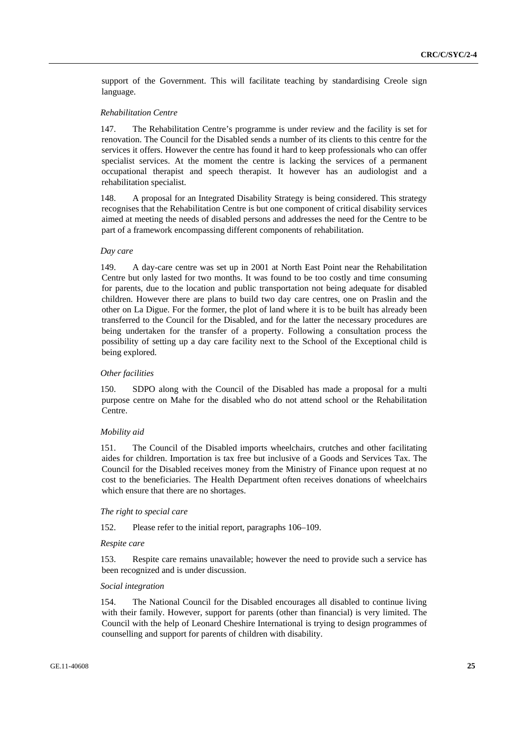support of the Government. This will facilitate teaching by standardising Creole sign language.

### *Rehabilitation Centre*

147. The Rehabilitation Centre's programme is under review and the facility is set for renovation. The Council for the Disabled sends a number of its clients to this centre for the services it offers. However the centre has found it hard to keep professionals who can offer specialist services. At the moment the centre is lacking the services of a permanent occupational therapist and speech therapist. It however has an audiologist and a rehabilitation specialist.

148. A proposal for an Integrated Disability Strategy is being considered. This strategy recognises that the Rehabilitation Centre is but one component of critical disability services aimed at meeting the needs of disabled persons and addresses the need for the Centre to be part of a framework encompassing different components of rehabilitation.

#### *Day care*

149. A day-care centre was set up in 2001 at North East Point near the Rehabilitation Centre but only lasted for two months. It was found to be too costly and time consuming for parents, due to the location and public transportation not being adequate for disabled children. However there are plans to build two day care centres, one on Praslin and the other on La Digue. For the former, the plot of land where it is to be built has already been transferred to the Council for the Disabled, and for the latter the necessary procedures are being undertaken for the transfer of a property. Following a consultation process the possibility of setting up a day care facility next to the School of the Exceptional child is being explored.

## *Other facilities*

150. SDPO along with the Council of the Disabled has made a proposal for a multi purpose centre on Mahe for the disabled who do not attend school or the Rehabilitation Centre.

#### *Mobility aid*

151. The Council of the Disabled imports wheelchairs, crutches and other facilitating aides for children. Importation is tax free but inclusive of a Goods and Services Tax. The Council for the Disabled receives money from the Ministry of Finance upon request at no cost to the beneficiaries. The Health Department often receives donations of wheelchairs which ensure that there are no shortages.

#### *The right to special care*

152. Please refer to the initial report, paragraphs 106–109.

#### *Respite care*

153. Respite care remains unavailable; however the need to provide such a service has been recognized and is under discussion.

#### *Social integration*

154. The National Council for the Disabled encourages all disabled to continue living with their family. However, support for parents (other than financial) is very limited. The Council with the help of Leonard Cheshire International is trying to design programmes of counselling and support for parents of children with disability.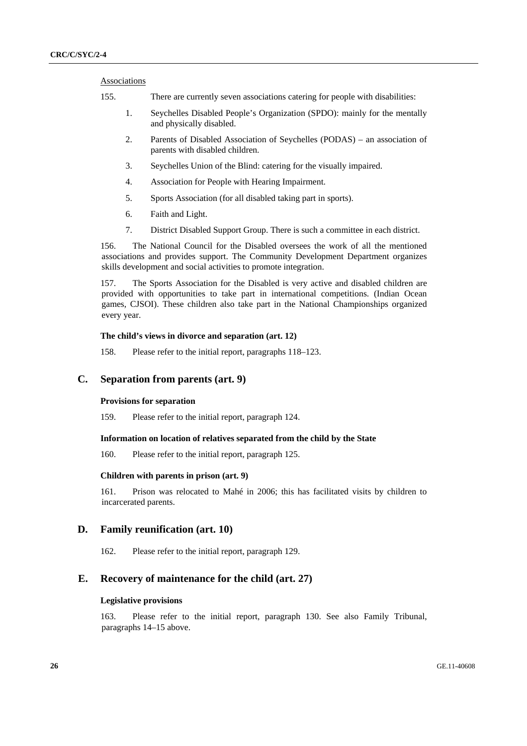### Associations

- 155. There are currently seven associations catering for people with disabilities:
	- 1. Seychelles Disabled People's Organization (SPDO): mainly for the mentally and physically disabled.
	- 2. Parents of Disabled Association of Seychelles (PODAS) an association of parents with disabled children.
	- 3. Seychelles Union of the Blind: catering for the visually impaired.
	- 4. Association for People with Hearing Impairment.
	- 5. Sports Association (for all disabled taking part in sports).
	- 6. Faith and Light.
	- 7. District Disabled Support Group. There is such a committee in each district.

156. The National Council for the Disabled oversees the work of all the mentioned associations and provides support. The Community Development Department organizes skills development and social activities to promote integration.

157. The Sports Association for the Disabled is very active and disabled children are provided with opportunities to take part in international competitions. (Indian Ocean games, CJSOI). These children also take part in the National Championships organized every year.

## **The child's views in divorce and separation (art. 12)**

158. Please refer to the initial report, paragraphs 118–123.

## **C. Separation from parents (art. 9)**

### **Provisions for separation**

159. Please refer to the initial report, paragraph 124.

### **Information on location of relatives separated from the child by the State**

160. Please refer to the initial report, paragraph 125.

### **Children with parents in prison (art. 9)**

161. Prison was relocated to Mahé in 2006; this has facilitated visits by children to incarcerated parents.

## **D. Family reunification (art. 10)**

162. Please refer to the initial report, paragraph 129.

## **E. Recovery of maintenance for the child (art. 27)**

#### **Legislative provisions**

163. Please refer to the initial report, paragraph 130. See also Family Tribunal, paragraphs 14–15 above.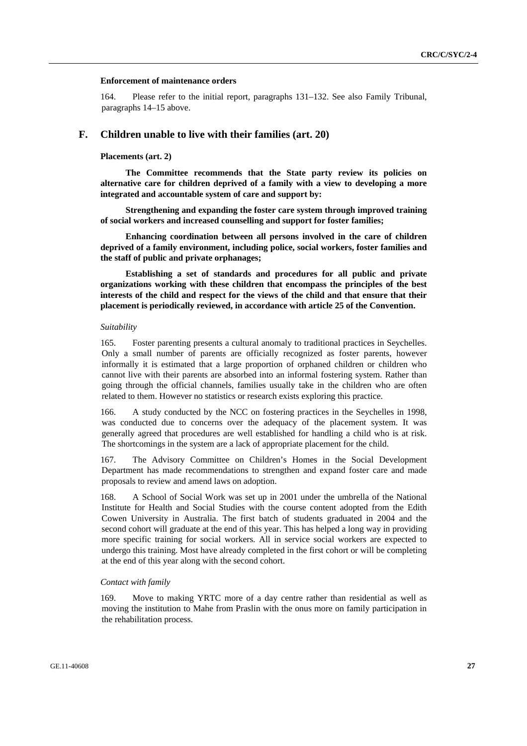#### **Enforcement of maintenance orders**

164. Please refer to the initial report, paragraphs 131–132. See also Family Tribunal, paragraphs 14–15 above.

## **F. Children unable to live with their families (art. 20)**

#### **Placements (art. 2)**

**The Committee recommends that the State party review its policies on alternative care for children deprived of a family with a view to developing a more integrated and accountable system of care and support by:** 

**Strengthening and expanding the foster care system through improved training of social workers and increased counselling and support for foster families;** 

**Enhancing coordination between all persons involved in the care of children deprived of a family environment, including police, social workers, foster families and the staff of public and private orphanages;** 

**Establishing a set of standards and procedures for all public and private organizations working with these children that encompass the principles of the best interests of the child and respect for the views of the child and that ensure that their placement is periodically reviewed, in accordance with article 25 of the Convention.** 

## *Suitability*

165. Foster parenting presents a cultural anomaly to traditional practices in Seychelles. Only a small number of parents are officially recognized as foster parents, however informally it is estimated that a large proportion of orphaned children or children who cannot live with their parents are absorbed into an informal fostering system. Rather than going through the official channels, families usually take in the children who are often related to them. However no statistics or research exists exploring this practice.

166. A study conducted by the NCC on fostering practices in the Seychelles in 1998, was conducted due to concerns over the adequacy of the placement system. It was generally agreed that procedures are well established for handling a child who is at risk. The shortcomings in the system are a lack of appropriate placement for the child.

167. The Advisory Committee on Children's Homes in the Social Development Department has made recommendations to strengthen and expand foster care and made proposals to review and amend laws on adoption.

168. A School of Social Work was set up in 2001 under the umbrella of the National Institute for Health and Social Studies with the course content adopted from the Edith Cowen University in Australia. The first batch of students graduated in 2004 and the second cohort will graduate at the end of this year. This has helped a long way in providing more specific training for social workers. All in service social workers are expected to undergo this training. Most have already completed in the first cohort or will be completing at the end of this year along with the second cohort.

### *Contact with family*

169. Move to making YRTC more of a day centre rather than residential as well as moving the institution to Mahe from Praslin with the onus more on family participation in the rehabilitation process.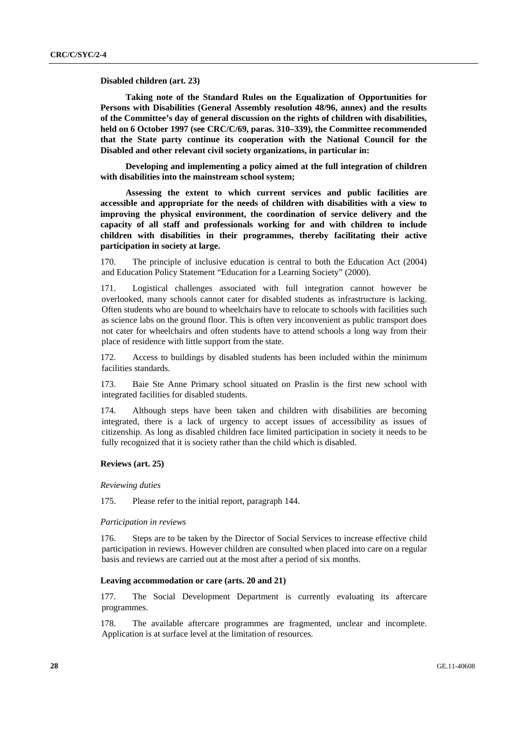#### **Disabled children (art. 23)**

**Taking note of the Standard Rules on the Equalization of Opportunities for Persons with Disabilities (General Assembly resolution 48/96, annex) and the results of the Committee's day of general discussion on the rights of children with disabilities, held on 6 October 1997 (see CRC/C/69, paras. 310–339), the Committee recommended that the State party continue its cooperation with the National Council for the Disabled and other relevant civil society organizations, in particular in:** 

 **Developing and implementing a policy aimed at the full integration of children with disabilities into the mainstream school system;** 

 **Assessing the extent to which current services and public facilities are accessible and appropriate for the needs of children with disabilities with a view to improving the physical environment, the coordination of service delivery and the capacity of all staff and professionals working for and with children to include children with disabilities in their programmes, thereby facilitating their active participation in society at large.** 

170. The principle of inclusive education is central to both the Education Act (2004) and Education Policy Statement "Education for a Learning Society" (2000).

171. Logistical challenges associated with full integration cannot however be overlooked, many schools cannot cater for disabled students as infrastructure is lacking. Often students who are bound to wheelchairs have to relocate to schools with facilities such as science labs on the ground floor. This is often very inconvenient as public transport does not cater for wheelchairs and often students have to attend schools a long way from their place of residence with little support from the state.

172. Access to buildings by disabled students has been included within the minimum facilities standards.

173. Baie Ste Anne Primary school situated on Praslin is the first new school with integrated facilities for disabled students.

174. Although steps have been taken and children with disabilities are becoming integrated, there is a lack of urgency to accept issues of accessibility as issues of citizenship. As long as disabled children face limited participation in society it needs to be fully recognized that it is society rather than the child which is disabled.

### **Reviews (art. 25)**

#### *Reviewing duties*

175. Please refer to the initial report, paragraph 144.

#### *Participation in reviews*

176. Steps are to be taken by the Director of Social Services to increase effective child participation in reviews. However children are consulted when placed into care on a regular basis and reviews are carried out at the most after a period of six months.

#### **Leaving accommodation or care (arts. 20 and 21)**

177. The Social Development Department is currently evaluating its aftercare programmes.

178. The available aftercare programmes are fragmented, unclear and incomplete. Application is at surface level at the limitation of resources.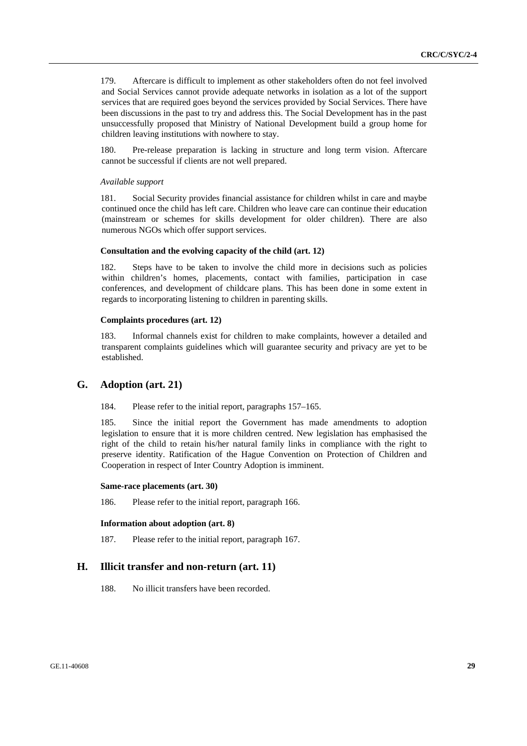179. Aftercare is difficult to implement as other stakeholders often do not feel involved and Social Services cannot provide adequate networks in isolation as a lot of the support services that are required goes beyond the services provided by Social Services. There have been discussions in the past to try and address this. The Social Development has in the past unsuccessfully proposed that Ministry of National Development build a group home for children leaving institutions with nowhere to stay.

180. Pre-release preparation is lacking in structure and long term vision. Aftercare cannot be successful if clients are not well prepared.

#### *Available support*

181. Social Security provides financial assistance for children whilst in care and maybe continued once the child has left care. Children who leave care can continue their education (mainstream or schemes for skills development for older children). There are also numerous NGOs which offer support services.

#### **Consultation and the evolving capacity of the child (art. 12)**

182. Steps have to be taken to involve the child more in decisions such as policies within children's homes, placements, contact with families, participation in case conferences, and development of childcare plans. This has been done in some extent in regards to incorporating listening to children in parenting skills.

#### **Complaints procedures (art. 12)**

183. Informal channels exist for children to make complaints, however a detailed and transparent complaints guidelines which will guarantee security and privacy are yet to be established.

## **G. Adoption (art. 21)**

184. Please refer to the initial report, paragraphs 157–165.

185. Since the initial report the Government has made amendments to adoption legislation to ensure that it is more children centred. New legislation has emphasised the right of the child to retain his/her natural family links in compliance with the right to preserve identity. Ratification of the Hague Convention on Protection of Children and Cooperation in respect of Inter Country Adoption is imminent.

#### **Same-race placements (art. 30)**

186. Please refer to the initial report, paragraph 166.

### **Information about adoption (art. 8)**

187. Please refer to the initial report, paragraph 167.

## **H. Illicit transfer and non-return (art. 11)**

188. No illicit transfers have been recorded.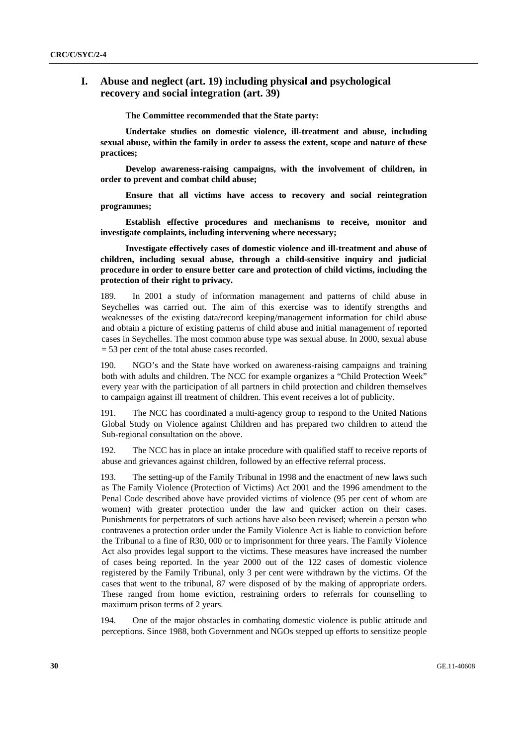## **I. Abuse and neglect (art. 19) including physical and psychological recovery and social integration (art. 39)**

**The Committee recommended that the State party:** 

 **Undertake studies on domestic violence, ill-treatment and abuse, including sexual abuse, within the family in order to assess the extent, scope and nature of these practices;** 

 **Develop awareness-raising campaigns, with the involvement of children, in order to prevent and combat child abuse;** 

 **Ensure that all victims have access to recovery and social reintegration programmes;** 

 **Establish effective procedures and mechanisms to receive, monitor and investigate complaints, including intervening where necessary;** 

 **Investigate effectively cases of domestic violence and ill-treatment and abuse of children, including sexual abuse, through a child-sensitive inquiry and judicial procedure in order to ensure better care and protection of child victims, including the protection of their right to privacy.** 

189. In 2001 a study of information management and patterns of child abuse in Seychelles was carried out. The aim of this exercise was to identify strengths and weaknesses of the existing data/record keeping/management information for child abuse and obtain a picture of existing patterns of child abuse and initial management of reported cases in Seychelles. The most common abuse type was sexual abuse. In 2000, sexual abuse = 53 per cent of the total abuse cases recorded.

190. NGO's and the State have worked on awareness-raising campaigns and training both with adults and children. The NCC for example organizes a "Child Protection Week" every year with the participation of all partners in child protection and children themselves to campaign against ill treatment of children. This event receives a lot of publicity.

191. The NCC has coordinated a multi-agency group to respond to the United Nations Global Study on Violence against Children and has prepared two children to attend the Sub-regional consultation on the above.

192. The NCC has in place an intake procedure with qualified staff to receive reports of abuse and grievances against children, followed by an effective referral process.

193. The setting-up of the Family Tribunal in 1998 and the enactment of new laws such as The Family Violence (Protection of Victims) Act 2001 and the 1996 amendment to the Penal Code described above have provided victims of violence (95 per cent of whom are women) with greater protection under the law and quicker action on their cases. Punishments for perpetrators of such actions have also been revised; wherein a person who contravenes a protection order under the Family Violence Act is liable to conviction before the Tribunal to a fine of R30, 000 or to imprisonment for three years. The Family Violence Act also provides legal support to the victims. These measures have increased the number of cases being reported. In the year 2000 out of the 122 cases of domestic violence registered by the Family Tribunal, only 3 per cent were withdrawn by the victims. Of the cases that went to the tribunal, 87 were disposed of by the making of appropriate orders. These ranged from home eviction, restraining orders to referrals for counselling to maximum prison terms of 2 years.

194. One of the major obstacles in combating domestic violence is public attitude and perceptions. Since 1988, both Government and NGOs stepped up efforts to sensitize people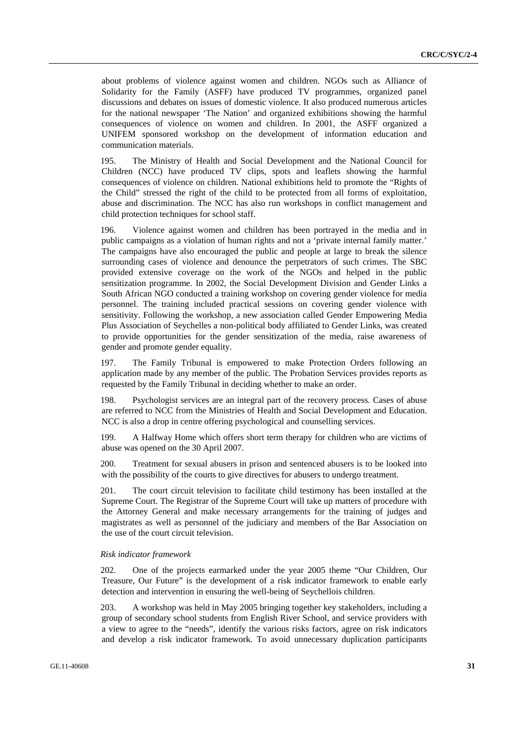about problems of violence against women and children. NGOs such as Alliance of Solidarity for the Family (ASFF) have produced TV programmes, organized panel discussions and debates on issues of domestic violence. It also produced numerous articles for the national newspaper 'The Nation' and organized exhibitions showing the harmful consequences of violence on women and children. In 2001, the ASFF organized a UNIFEM sponsored workshop on the development of information education and communication materials.

195. The Ministry of Health and Social Development and the National Council for Children (NCC) have produced TV clips, spots and leaflets showing the harmful consequences of violence on children. National exhibitions held to promote the "Rights of the Child" stressed the right of the child to be protected from all forms of exploitation, abuse and discrimination. The NCC has also run workshops in conflict management and child protection techniques for school staff.

196. Violence against women and children has been portrayed in the media and in public campaigns as a violation of human rights and not a 'private internal family matter.' The campaigns have also encouraged the public and people at large to break the silence surrounding cases of violence and denounce the perpetrators of such crimes. The SBC provided extensive coverage on the work of the NGOs and helped in the public sensitization programme. In 2002, the Social Development Division and Gender Links a South African NGO conducted a training workshop on covering gender violence for media personnel. The training included practical sessions on covering gender violence with sensitivity. Following the workshop, a new association called Gender Empowering Media Plus Association of Seychelles a non-political body affiliated to Gender Links, was created to provide opportunities for the gender sensitization of the media, raise awareness of gender and promote gender equality.

197. The Family Tribunal is empowered to make Protection Orders following an application made by any member of the public. The Probation Services provides reports as requested by the Family Tribunal in deciding whether to make an order.

198. Psychologist services are an integral part of the recovery process. Cases of abuse are referred to NCC from the Ministries of Health and Social Development and Education. NCC is also a drop in centre offering psychological and counselling services.

199. A Halfway Home which offers short term therapy for children who are victims of abuse was opened on the 30 April 2007.

200. Treatment for sexual abusers in prison and sentenced abusers is to be looked into with the possibility of the courts to give directives for abusers to undergo treatment.

201. The court circuit television to facilitate child testimony has been installed at the Supreme Court. The Registrar of the Supreme Court will take up matters of procedure with the Attorney General and make necessary arrangements for the training of judges and magistrates as well as personnel of the judiciary and members of the Bar Association on the use of the court circuit television.

#### *Risk indicator framework*

202. One of the projects earmarked under the year 2005 theme "Our Children, Our Treasure, Our Future" is the development of a risk indicator framework to enable early detection and intervention in ensuring the well-being of Seychellois children.

203. A workshop was held in May 2005 bringing together key stakeholders, including a group of secondary school students from English River School, and service providers with a view to agree to the "needs", identify the various risks factors, agree on risk indicators and develop a risk indicator framework. To avoid unnecessary duplication participants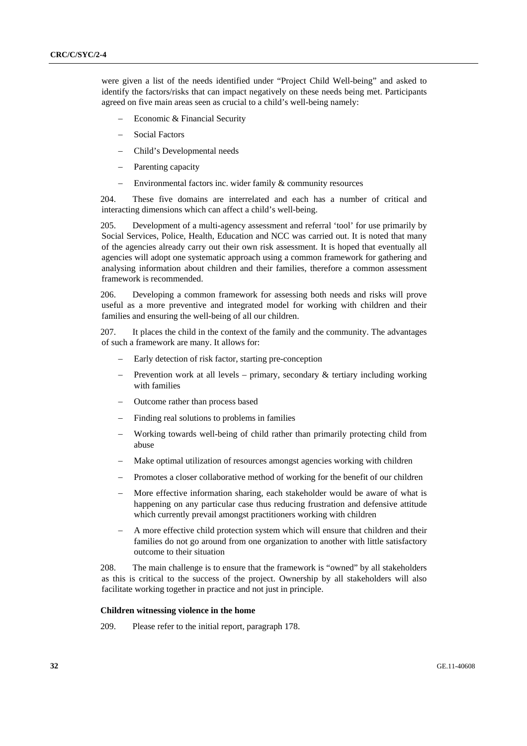were given a list of the needs identified under "Project Child Well-being" and asked to identify the factors/risks that can impact negatively on these needs being met. Participants agreed on five main areas seen as crucial to a child's well-being namely:

- − Economic & Financial Security
- − Social Factors
- − Child's Developmental needs
- Parenting capacity
- − Environmental factors inc. wider family & community resources

204. These five domains are interrelated and each has a number of critical and interacting dimensions which can affect a child's well-being.

205. Development of a multi-agency assessment and referral 'tool' for use primarily by Social Services, Police, Health, Education and NCC was carried out. It is noted that many of the agencies already carry out their own risk assessment. It is hoped that eventually all agencies will adopt one systematic approach using a common framework for gathering and analysing information about children and their families, therefore a common assessment framework is recommended.

206. Developing a common framework for assessing both needs and risks will prove useful as a more preventive and integrated model for working with children and their families and ensuring the well-being of all our children.

207. It places the child in the context of the family and the community. The advantages of such a framework are many. It allows for:

- Early detection of risk factor, starting pre-conception
- Prevention work at all levels primary, secondary  $&$  tertiary including working with families
- − Outcome rather than process based
- Finding real solutions to problems in families
- − Working towards well-being of child rather than primarily protecting child from abuse
- Make optimal utilization of resources amongst agencies working with children
- Promotes a closer collaborative method of working for the benefit of our children
- More effective information sharing, each stakeholder would be aware of what is happening on any particular case thus reducing frustration and defensive attitude which currently prevail amongst practitioners working with children
- − A more effective child protection system which will ensure that children and their families do not go around from one organization to another with little satisfactory outcome to their situation

208. The main challenge is to ensure that the framework is "owned" by all stakeholders as this is critical to the success of the project. Ownership by all stakeholders will also facilitate working together in practice and not just in principle.

#### **Children witnessing violence in the home**

209. Please refer to the initial report, paragraph 178.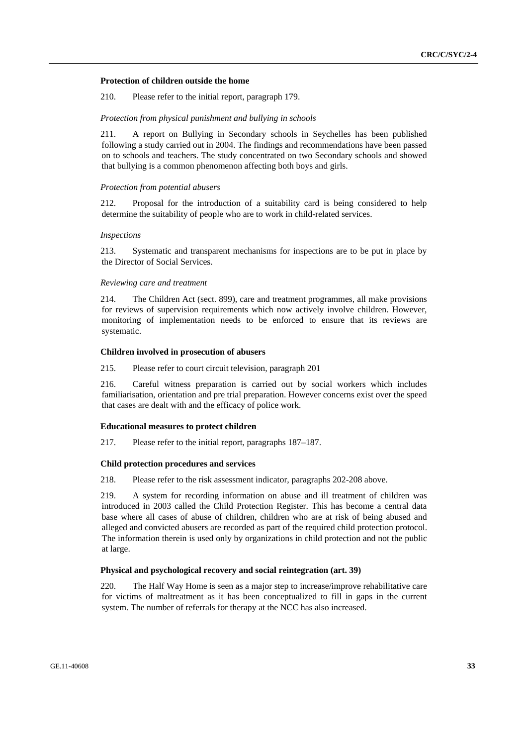### **Protection of children outside the home**

210. Please refer to the initial report, paragraph 179.

### *Protection from physical punishment and bullying in schools*

211. A report on Bullying in Secondary schools in Seychelles has been published following a study carried out in 2004. The findings and recommendations have been passed on to schools and teachers. The study concentrated on two Secondary schools and showed that bullying is a common phenomenon affecting both boys and girls.

### *Protection from potential abusers*

212. Proposal for the introduction of a suitability card is being considered to help determine the suitability of people who are to work in child-related services.

### *Inspections*

213. Systematic and transparent mechanisms for inspections are to be put in place by the Director of Social Services.

#### *Reviewing care and treatment*

214. The Children Act (sect. 899), care and treatment programmes, all make provisions for reviews of supervision requirements which now actively involve children. However, monitoring of implementation needs to be enforced to ensure that its reviews are systematic.

#### **Children involved in prosecution of abusers**

### 215. Please refer to court circuit television, paragraph 201

216. Careful witness preparation is carried out by social workers which includes familiarisation, orientation and pre trial preparation. However concerns exist over the speed that cases are dealt with and the efficacy of police work.

### **Educational measures to protect children**

217. Please refer to the initial report, paragraphs 187–187.

## **Child protection procedures and services**

218. Please refer to the risk assessment indicator, paragraphs 202-208 above.

219. A system for recording information on abuse and ill treatment of children was introduced in 2003 called the Child Protection Register. This has become a central data base where all cases of abuse of children, children who are at risk of being abused and alleged and convicted abusers are recorded as part of the required child protection protocol. The information therein is used only by organizations in child protection and not the public at large.

## **Physical and psychological recovery and social reintegration (art. 39)**

220. The Half Way Home is seen as a major step to increase/improve rehabilitative care for victims of maltreatment as it has been conceptualized to fill in gaps in the current system. The number of referrals for therapy at the NCC has also increased.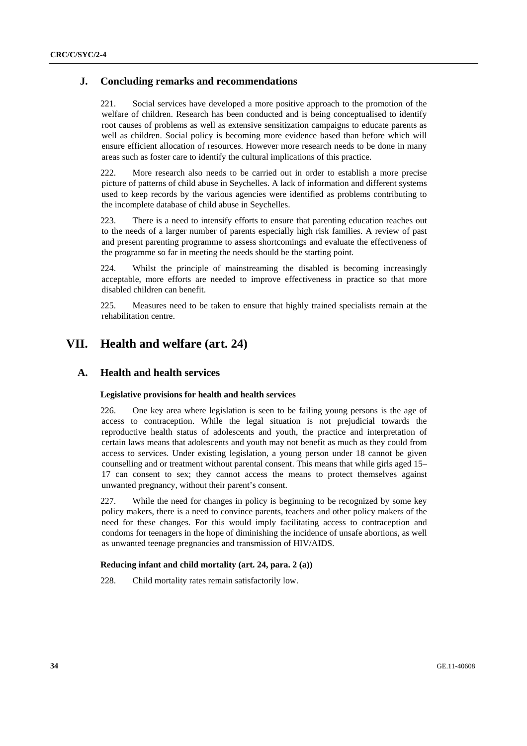## **J. Concluding remarks and recommendations**

221. Social services have developed a more positive approach to the promotion of the welfare of children. Research has been conducted and is being conceptualised to identify root causes of problems as well as extensive sensitization campaigns to educate parents as well as children. Social policy is becoming more evidence based than before which will ensure efficient allocation of resources. However more research needs to be done in many areas such as foster care to identify the cultural implications of this practice.

222. More research also needs to be carried out in order to establish a more precise picture of patterns of child abuse in Seychelles. A lack of information and different systems used to keep records by the various agencies were identified as problems contributing to the incomplete database of child abuse in Seychelles.

223. There is a need to intensify efforts to ensure that parenting education reaches out to the needs of a larger number of parents especially high risk families. A review of past and present parenting programme to assess shortcomings and evaluate the effectiveness of the programme so far in meeting the needs should be the starting point.

224. Whilst the principle of mainstreaming the disabled is becoming increasingly acceptable, more efforts are needed to improve effectiveness in practice so that more disabled children can benefit.

225. Measures need to be taken to ensure that highly trained specialists remain at the rehabilitation centre.

# **VII. Health and welfare (art. 24)**

## **A. Health and health services**

### **Legislative provisions for health and health services**

226. One key area where legislation is seen to be failing young persons is the age of access to contraception. While the legal situation is not prejudicial towards the reproductive health status of adolescents and youth, the practice and interpretation of certain laws means that adolescents and youth may not benefit as much as they could from access to services. Under existing legislation, a young person under 18 cannot be given counselling and or treatment without parental consent. This means that while girls aged 15– 17 can consent to sex; they cannot access the means to protect themselves against unwanted pregnancy, without their parent's consent.

227. While the need for changes in policy is beginning to be recognized by some key policy makers, there is a need to convince parents, teachers and other policy makers of the need for these changes. For this would imply facilitating access to contraception and condoms for teenagers in the hope of diminishing the incidence of unsafe abortions, as well as unwanted teenage pregnancies and transmission of HIV/AIDS.

### **Reducing infant and child mortality (art. 24, para. 2 (a))**

228. Child mortality rates remain satisfactorily low.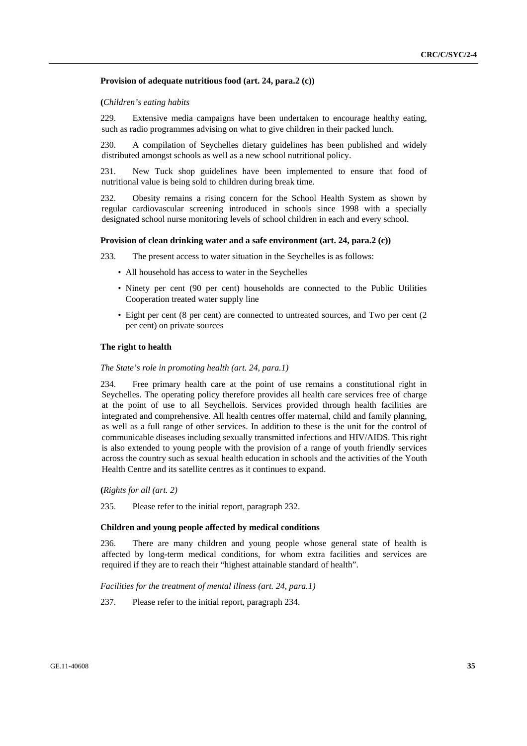### **Provision of adequate nutritious food (art. 24, para.2 (c))**

### **(***Children's eating habits*

229. Extensive media campaigns have been undertaken to encourage healthy eating, such as radio programmes advising on what to give children in their packed lunch.

230. A compilation of Seychelles dietary guidelines has been published and widely distributed amongst schools as well as a new school nutritional policy.

231. New Tuck shop guidelines have been implemented to ensure that food of nutritional value is being sold to children during break time.

232. Obesity remains a rising concern for the School Health System as shown by regular cardiovascular screening introduced in schools since 1998 with a specially designated school nurse monitoring levels of school children in each and every school.

#### **Provision of clean drinking water and a safe environment (art. 24, para.2 (c))**

233. The present access to water situation in the Seychelles is as follows:

- All household has access to water in the Seychelles
- Ninety per cent (90 per cent) households are connected to the Public Utilities Cooperation treated water supply line
- Eight per cent (8 per cent) are connected to untreated sources, and Two per cent (2 per cent) on private sources

## **The right to health**

#### *The State's role in promoting health (art. 24, para.1)*

234. Free primary health care at the point of use remains a constitutional right in Seychelles. The operating policy therefore provides all health care services free of charge at the point of use to all Seychellois. Services provided through health facilities are integrated and comprehensive. All health centres offer maternal, child and family planning, as well as a full range of other services. In addition to these is the unit for the control of communicable diseases including sexually transmitted infections and HIV/AIDS. This right is also extended to young people with the provision of a range of youth friendly services across the country such as sexual health education in schools and the activities of the Youth Health Centre and its satellite centres as it continues to expand.

 **(***Rights for all (art. 2)*

235. Please refer to the initial report, paragraph 232.

### **Children and young people affected by medical conditions**

236. There are many children and young people whose general state of health is affected by long-term medical conditions, for whom extra facilities and services are required if they are to reach their "highest attainable standard of health".

 *Facilities for the treatment of mental illness (art. 24, para.1)* 

237. Please refer to the initial report, paragraph 234.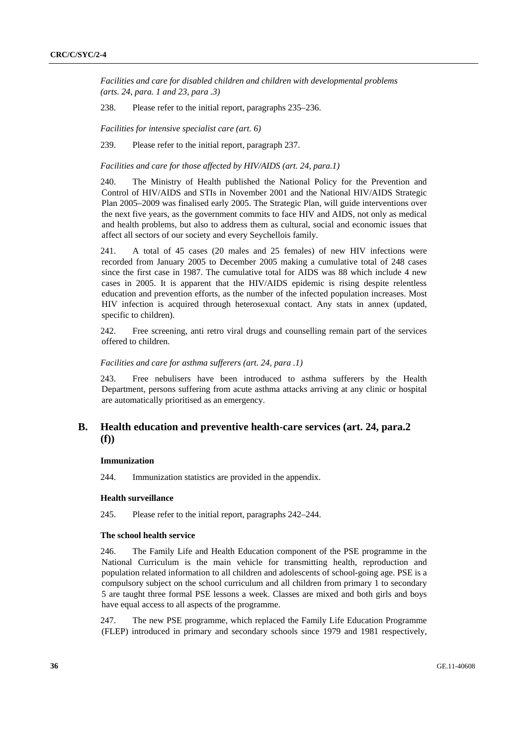*Facilities and care for disabled children and children with developmental problems (arts. 24, para. 1 and 23, para .3)* 

238. Please refer to the initial report, paragraphs 235–236.

 *Facilities for intensive specialist care (art. 6)* 

239. Please refer to the initial report, paragraph 237.

 *Facilities and care for those affected by HIV/AIDS (art. 24, para.1)* 

240. The Ministry of Health published the National Policy for the Prevention and Control of HIV/AIDS and STIs in November 2001 and the National HIV/AIDS Strategic Plan 2005–2009 was finalised early 2005. The Strategic Plan, will guide interventions over the next five years, as the government commits to face HIV and AIDS, not only as medical and health problems, but also to address them as cultural, social and economic issues that affect all sectors of our society and every Seychellois family.

241. A total of 45 cases (20 males and 25 females) of new HIV infections were recorded from January 2005 to December 2005 making a cumulative total of 248 cases since the first case in 1987. The cumulative total for AIDS was 88 which include 4 new cases in 2005. It is apparent that the HIV/AIDS epidemic is rising despite relentless education and prevention efforts, as the number of the infected population increases. Most HIV infection is acquired through heterosexual contact. Any stats in annex (updated, specific to children).

242. Free screening, anti retro viral drugs and counselling remain part of the services offered to children.

## *Facilities and care for asthma sufferers (art. 24, para .1)*

243. Free nebulisers have been introduced to asthma sufferers by the Health Department, persons suffering from acute asthma attacks arriving at any clinic or hospital are automatically prioritised as an emergency.

## **B. Health education and preventive health-care services (art. 24, para.2 (f))**

### **Immunization**

244. Immunization statistics are provided in the appendix.

## **Health surveillance**

245. Please refer to the initial report, paragraphs 242–244.

#### **The school health service**

246. The Family Life and Health Education component of the PSE programme in the National Curriculum is the main vehicle for transmitting health, reproduction and population related information to all children and adolescents of school-going age. PSE is a compulsory subject on the school curriculum and all children from primary 1 to secondary 5 are taught three formal PSE lessons a week. Classes are mixed and both girls and boys have equal access to all aspects of the programme.

247. The new PSE programme, which replaced the Family Life Education Programme (FLEP) introduced in primary and secondary schools since 1979 and 1981 respectively,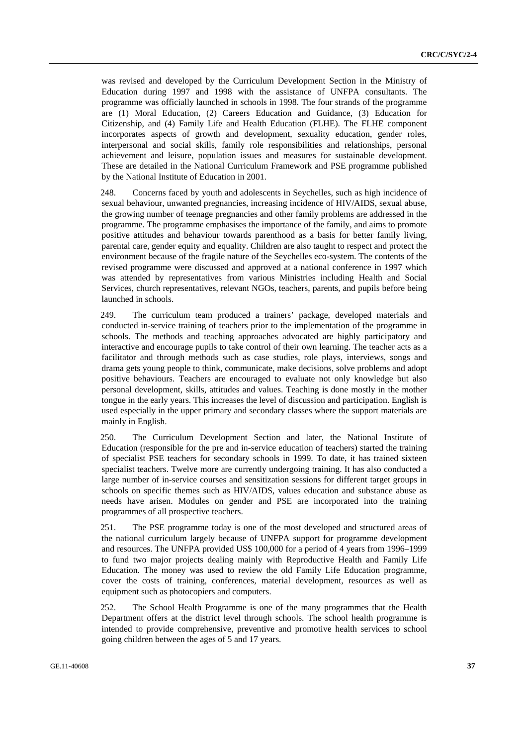was revised and developed by the Curriculum Development Section in the Ministry of Education during 1997 and 1998 with the assistance of UNFPA consultants. The programme was officially launched in schools in 1998. The four strands of the programme are (1) Moral Education, (2) Careers Education and Guidance, (3) Education for Citizenship, and (4) Family Life and Health Education (FLHE). The FLHE component incorporates aspects of growth and development, sexuality education, gender roles, interpersonal and social skills, family role responsibilities and relationships, personal achievement and leisure, population issues and measures for sustainable development. These are detailed in the National Curriculum Framework and PSE programme published by the National Institute of Education in 2001.

248. Concerns faced by youth and adolescents in Seychelles, such as high incidence of sexual behaviour, unwanted pregnancies, increasing incidence of HIV/AIDS, sexual abuse, the growing number of teenage pregnancies and other family problems are addressed in the programme. The programme emphasises the importance of the family, and aims to promote positive attitudes and behaviour towards parenthood as a basis for better family living, parental care, gender equity and equality. Children are also taught to respect and protect the environment because of the fragile nature of the Seychelles eco-system. The contents of the revised programme were discussed and approved at a national conference in 1997 which was attended by representatives from various Ministries including Health and Social Services, church representatives, relevant NGOs, teachers, parents, and pupils before being launched in schools.

249. The curriculum team produced a trainers' package, developed materials and conducted in-service training of teachers prior to the implementation of the programme in schools. The methods and teaching approaches advocated are highly participatory and interactive and encourage pupils to take control of their own learning. The teacher acts as a facilitator and through methods such as case studies, role plays, interviews, songs and drama gets young people to think, communicate, make decisions, solve problems and adopt positive behaviours. Teachers are encouraged to evaluate not only knowledge but also personal development, skills, attitudes and values. Teaching is done mostly in the mother tongue in the early years. This increases the level of discussion and participation. English is used especially in the upper primary and secondary classes where the support materials are mainly in English.

250. The Curriculum Development Section and later, the National Institute of Education (responsible for the pre and in-service education of teachers) started the training of specialist PSE teachers for secondary schools in 1999. To date, it has trained sixteen specialist teachers. Twelve more are currently undergoing training. It has also conducted a large number of in-service courses and sensitization sessions for different target groups in schools on specific themes such as HIV/AIDS, values education and substance abuse as needs have arisen. Modules on gender and PSE are incorporated into the training programmes of all prospective teachers.

251. The PSE programme today is one of the most developed and structured areas of the national curriculum largely because of UNFPA support for programme development and resources. The UNFPA provided US\$ 100,000 for a period of 4 years from 1996–1999 to fund two major projects dealing mainly with Reproductive Health and Family Life Education. The money was used to review the old Family Life Education programme, cover the costs of training, conferences, material development, resources as well as equipment such as photocopiers and computers.

252. The School Health Programme is one of the many programmes that the Health Department offers at the district level through schools. The school health programme is intended to provide comprehensive, preventive and promotive health services to school going children between the ages of 5 and 17 years.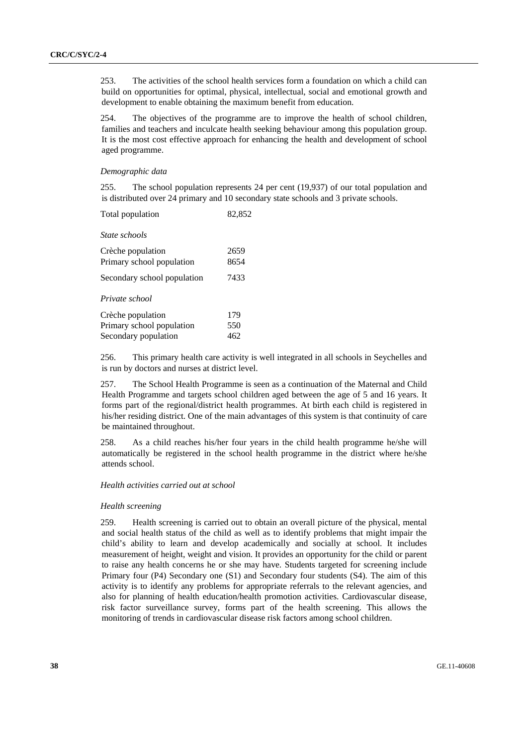253. The activities of the school health services form a foundation on which a child can build on opportunities for optimal, physical, intellectual, social and emotional growth and development to enable obtaining the maximum benefit from education.

254. The objectives of the programme are to improve the health of school children, families and teachers and inculcate health seeking behaviour among this population group. It is the most cost effective approach for enhancing the health and development of school aged programme.

#### *Demographic data*

255. The school population represents 24 per cent (19,937) of our total population and is distributed over 24 primary and 10 secondary state schools and 3 private schools.

| Total population | 82,852 |
|------------------|--------|
|------------------|--------|

 *State schools* 

| Crèche population<br>Primary school population<br>Secondary school population | 2659<br>8654<br>7433 |
|-------------------------------------------------------------------------------|----------------------|
| Private school<br>Crèche population                                           | 179                  |
| Primary school population<br>Secondary population                             | 550<br>462           |

256. This primary health care activity is well integrated in all schools in Seychelles and is run by doctors and nurses at district level.

257. The School Health Programme is seen as a continuation of the Maternal and Child Health Programme and targets school children aged between the age of 5 and 16 years. It forms part of the regional/district health programmes. At birth each child is registered in his/her residing district. One of the main advantages of this system is that continuity of care be maintained throughout.

258. As a child reaches his/her four years in the child health programme he/she will automatically be registered in the school health programme in the district where he/she attends school.

### *Health activities carried out at school*

#### *Health screening*

259. Health screening is carried out to obtain an overall picture of the physical, mental and social health status of the child as well as to identify problems that might impair the child's ability to learn and develop academically and socially at school. It includes measurement of height, weight and vision. It provides an opportunity for the child or parent to raise any health concerns he or she may have. Students targeted for screening include Primary four (P4) Secondary one (S1) and Secondary four students (S4). The aim of this activity is to identify any problems for appropriate referrals to the relevant agencies, and also for planning of health education/health promotion activities. Cardiovascular disease, risk factor surveillance survey, forms part of the health screening. This allows the monitoring of trends in cardiovascular disease risk factors among school children.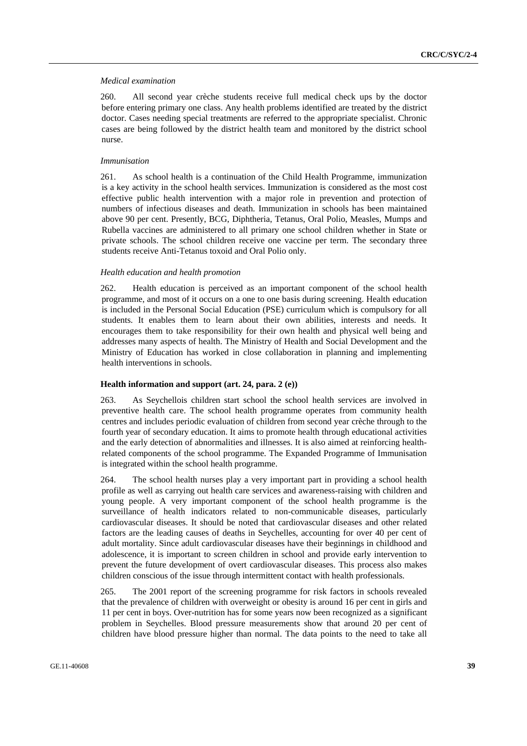#### *Medical examination*

260. All second year crèche students receive full medical check ups by the doctor before entering primary one class. Any health problems identified are treated by the district doctor. Cases needing special treatments are referred to the appropriate specialist. Chronic cases are being followed by the district health team and monitored by the district school nurse.

#### *Immunisation*

261. As school health is a continuation of the Child Health Programme, immunization is a key activity in the school health services. Immunization is considered as the most cost effective public health intervention with a major role in prevention and protection of numbers of infectious diseases and death. Immunization in schools has been maintained above 90 per cent. Presently, BCG, Diphtheria, Tetanus, Oral Polio, Measles, Mumps and Rubella vaccines are administered to all primary one school children whether in State or private schools. The school children receive one vaccine per term. The secondary three students receive Anti-Tetanus toxoid and Oral Polio only.

#### *Health education and health promotion*

262. Health education is perceived as an important component of the school health programme, and most of it occurs on a one to one basis during screening. Health education is included in the Personal Social Education (PSE) curriculum which is compulsory for all students. It enables them to learn about their own abilities, interests and needs. It encourages them to take responsibility for their own health and physical well being and addresses many aspects of health. The Ministry of Health and Social Development and the Ministry of Education has worked in close collaboration in planning and implementing health interventions in schools.

### **Health information and support (art. 24, para. 2 (e))**

263. As Seychellois children start school the school health services are involved in preventive health care. The school health programme operates from community health centres and includes periodic evaluation of children from second year crèche through to the fourth year of secondary education. It aims to promote health through educational activities and the early detection of abnormalities and illnesses. It is also aimed at reinforcing healthrelated components of the school programme. The Expanded Programme of Immunisation is integrated within the school health programme.

264. The school health nurses play a very important part in providing a school health profile as well as carrying out health care services and awareness-raising with children and young people. A very important component of the school health programme is the surveillance of health indicators related to non-communicable diseases, particularly cardiovascular diseases. It should be noted that cardiovascular diseases and other related factors are the leading causes of deaths in Seychelles, accounting for over 40 per cent of adult mortality. Since adult cardiovascular diseases have their beginnings in childhood and adolescence, it is important to screen children in school and provide early intervention to prevent the future development of overt cardiovascular diseases. This process also makes children conscious of the issue through intermittent contact with health professionals.

265. The 2001 report of the screening programme for risk factors in schools revealed that the prevalence of children with overweight or obesity is around 16 per cent in girls and 11 per cent in boys. Over-nutrition has for some years now been recognized as a significant problem in Seychelles. Blood pressure measurements show that around 20 per cent of children have blood pressure higher than normal. The data points to the need to take all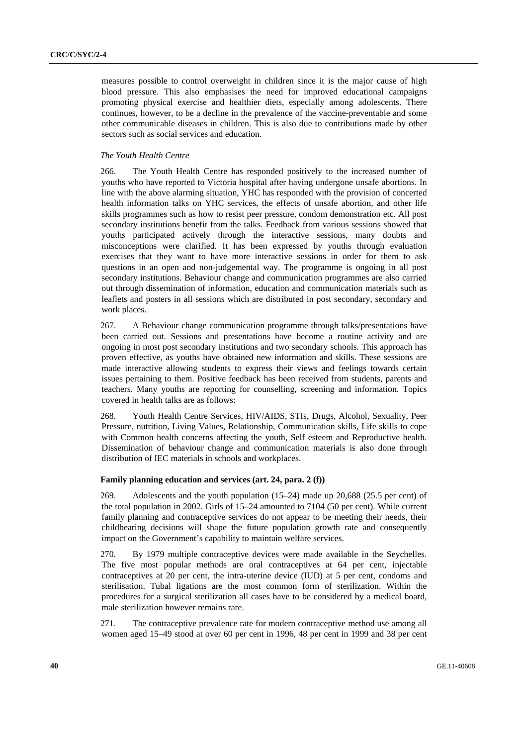measures possible to control overweight in children since it is the major cause of high blood pressure. This also emphasises the need for improved educational campaigns promoting physical exercise and healthier diets, especially among adolescents. There continues, however, to be a decline in the prevalence of the vaccine-preventable and some other communicable diseases in children. This is also due to contributions made by other sectors such as social services and education.

## *The Youth Health Centre*

266. The Youth Health Centre has responded positively to the increased number of youths who have reported to Victoria hospital after having undergone unsafe abortions. In line with the above alarming situation, YHC has responded with the provision of concerted health information talks on YHC services, the effects of unsafe abortion, and other life skills programmes such as how to resist peer pressure, condom demonstration etc. All post secondary institutions benefit from the talks. Feedback from various sessions showed that youths participated actively through the interactive sessions, many doubts and misconceptions were clarified. It has been expressed by youths through evaluation exercises that they want to have more interactive sessions in order for them to ask questions in an open and non-judgemental way. The programme is ongoing in all post secondary institutions. Behaviour change and communication programmes are also carried out through dissemination of information, education and communication materials such as leaflets and posters in all sessions which are distributed in post secondary, secondary and work places.

267. A Behaviour change communication programme through talks/presentations have been carried out. Sessions and presentations have become a routine activity and are ongoing in most post secondary institutions and two secondary schools. This approach has proven effective, as youths have obtained new information and skills. These sessions are made interactive allowing students to express their views and feelings towards certain issues pertaining to them. Positive feedback has been received from students, parents and teachers. Many youths are reporting for counselling, screening and information. Topics covered in health talks are as follows:

268. Youth Health Centre Services, HIV/AIDS, STIs, Drugs, Alcohol, Sexuality, Peer Pressure, nutrition, Living Values, Relationship, Communication skills, Life skills to cope with Common health concerns affecting the youth, Self esteem and Reproductive health. Dissemination of behaviour change and communication materials is also done through distribution of IEC materials in schools and workplaces.

#### **Family planning education and services (art. 24, para. 2 (f))**

269. Adolescents and the youth population (15–24) made up 20,688 (25.5 per cent) of the total population in 2002. Girls of 15–24 amounted to 7104 (50 per cent). While current family planning and contraceptive services do not appear to be meeting their needs, their childbearing decisions will shape the future population growth rate and consequently impact on the Government's capability to maintain welfare services.

270. By 1979 multiple contraceptive devices were made available in the Seychelles. The five most popular methods are oral contraceptives at 64 per cent, injectable contraceptives at 20 per cent, the intra-uterine device (IUD) at 5 per cent, condoms and sterilisation. Tubal ligations are the most common form of sterilization. Within the procedures for a surgical sterilization all cases have to be considered by a medical board, male sterilization however remains rare.

271. The contraceptive prevalence rate for modern contraceptive method use among all women aged 15–49 stood at over 60 per cent in 1996, 48 per cent in 1999 and 38 per cent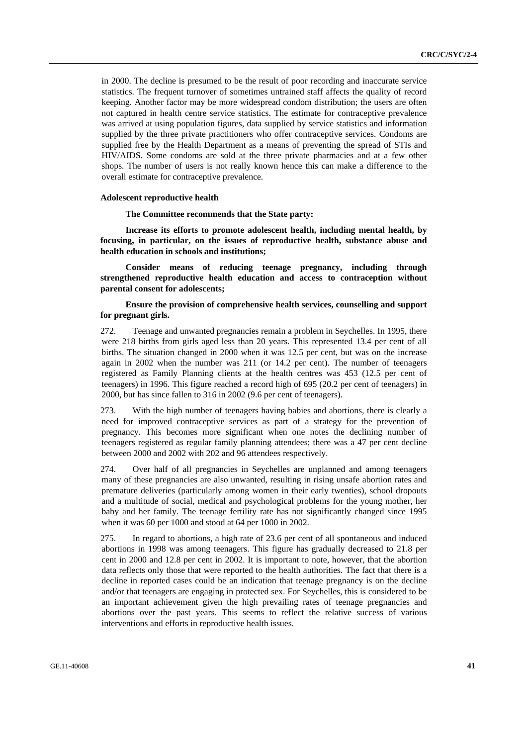in 2000. The decline is presumed to be the result of poor recording and inaccurate service statistics. The frequent turnover of sometimes untrained staff affects the quality of record keeping. Another factor may be more widespread condom distribution; the users are often not captured in health centre service statistics. The estimate for contraceptive prevalence was arrived at using population figures, data supplied by service statistics and information supplied by the three private practitioners who offer contraceptive services. Condoms are supplied free by the Health Department as a means of preventing the spread of STIs and HIV/AIDS. Some condoms are sold at the three private pharmacies and at a few other shops. The number of users is not really known hence this can make a difference to the overall estimate for contraceptive prevalence.

### **Adolescent reproductive health**

#### **The Committee recommends that the State party:**

 **Increase its efforts to promote adolescent health, including mental health, by focusing, in particular, on the issues of reproductive health, substance abuse and health education in schools and institutions;** 

 **Consider means of reducing teenage pregnancy, including through strengthened reproductive health education and access to contraception without parental consent for adolescents;** 

## **Ensure the provision of comprehensive health services, counselling and support for pregnant girls.**

272. Teenage and unwanted pregnancies remain a problem in Seychelles. In 1995, there were 218 births from girls aged less than 20 years. This represented 13.4 per cent of all births. The situation changed in 2000 when it was 12.5 per cent, but was on the increase again in 2002 when the number was 211 (or 14.2 per cent). The number of teenagers registered as Family Planning clients at the health centres was 453 (12.5 per cent of teenagers) in 1996. This figure reached a record high of 695 (20.2 per cent of teenagers) in 2000, but has since fallen to 316 in 2002 (9.6 per cent of teenagers).

273. With the high number of teenagers having babies and abortions, there is clearly a need for improved contraceptive services as part of a strategy for the prevention of pregnancy. This becomes more significant when one notes the declining number of teenagers registered as regular family planning attendees; there was a 47 per cent decline between 2000 and 2002 with 202 and 96 attendees respectively.

274. Over half of all pregnancies in Seychelles are unplanned and among teenagers many of these pregnancies are also unwanted, resulting in rising unsafe abortion rates and premature deliveries (particularly among women in their early twenties), school dropouts and a multitude of social, medical and psychological problems for the young mother, her baby and her family. The teenage fertility rate has not significantly changed since 1995 when it was 60 per 1000 and stood at 64 per 1000 in 2002.

275. In regard to abortions, a high rate of 23.6 per cent of all spontaneous and induced abortions in 1998 was among teenagers. This figure has gradually decreased to 21.8 per cent in 2000 and 12.8 per cent in 2002. It is important to note, however, that the abortion data reflects only those that were reported to the health authorities. The fact that there is a decline in reported cases could be an indication that teenage pregnancy is on the decline and/or that teenagers are engaging in protected sex. For Seychelles, this is considered to be an important achievement given the high prevailing rates of teenage pregnancies and abortions over the past years. This seems to reflect the relative success of various interventions and efforts in reproductive health issues.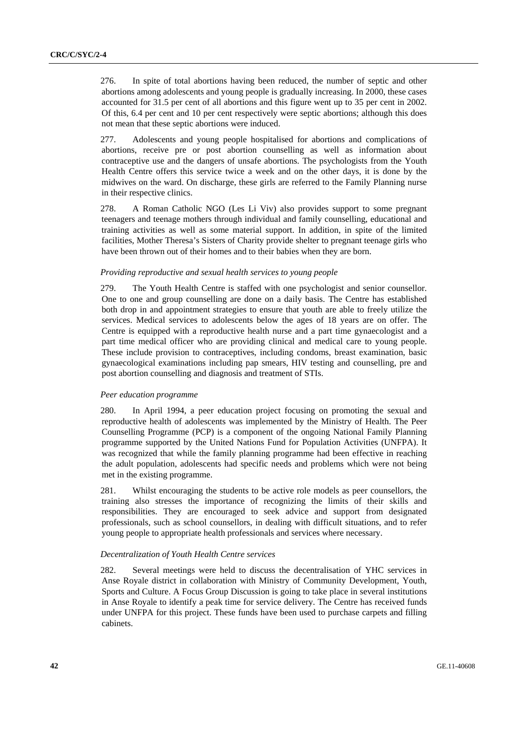276. In spite of total abortions having been reduced, the number of septic and other abortions among adolescents and young people is gradually increasing. In 2000, these cases accounted for 31.5 per cent of all abortions and this figure went up to 35 per cent in 2002. Of this, 6.4 per cent and 10 per cent respectively were septic abortions; although this does not mean that these septic abortions were induced.

277. Adolescents and young people hospitalised for abortions and complications of abortions, receive pre or post abortion counselling as well as information about contraceptive use and the dangers of unsafe abortions. The psychologists from the Youth Health Centre offers this service twice a week and on the other days, it is done by the midwives on the ward. On discharge, these girls are referred to the Family Planning nurse in their respective clinics.

278. A Roman Catholic NGO (Les Li Viv) also provides support to some pregnant teenagers and teenage mothers through individual and family counselling, educational and training activities as well as some material support. In addition, in spite of the limited facilities, Mother Theresa's Sisters of Charity provide shelter to pregnant teenage girls who have been thrown out of their homes and to their babies when they are born.

#### *Providing reproductive and sexual health services to young people*

279. The Youth Health Centre is staffed with one psychologist and senior counsellor. One to one and group counselling are done on a daily basis. The Centre has established both drop in and appointment strategies to ensure that youth are able to freely utilize the services. Medical services to adolescents below the ages of 18 years are on offer. The Centre is equipped with a reproductive health nurse and a part time gynaecologist and a part time medical officer who are providing clinical and medical care to young people. These include provision to contraceptives, including condoms, breast examination, basic gynaecological examinations including pap smears, HIV testing and counselling, pre and post abortion counselling and diagnosis and treatment of STIs.

#### *Peer education programme*

280. In April 1994, a peer education project focusing on promoting the sexual and reproductive health of adolescents was implemented by the Ministry of Health. The Peer Counselling Programme (PCP) is a component of the ongoing National Family Planning programme supported by the United Nations Fund for Population Activities (UNFPA). It was recognized that while the family planning programme had been effective in reaching the adult population, adolescents had specific needs and problems which were not being met in the existing programme.

281. Whilst encouraging the students to be active role models as peer counsellors, the training also stresses the importance of recognizing the limits of their skills and responsibilities. They are encouraged to seek advice and support from designated professionals, such as school counsellors, in dealing with difficult situations, and to refer young people to appropriate health professionals and services where necessary.

### *Decentralization of Youth Health Centre services*

282. Several meetings were held to discuss the decentralisation of YHC services in Anse Royale district in collaboration with Ministry of Community Development, Youth, Sports and Culture. A Focus Group Discussion is going to take place in several institutions in Anse Royale to identify a peak time for service delivery. The Centre has received funds under UNFPA for this project. These funds have been used to purchase carpets and filling cabinets.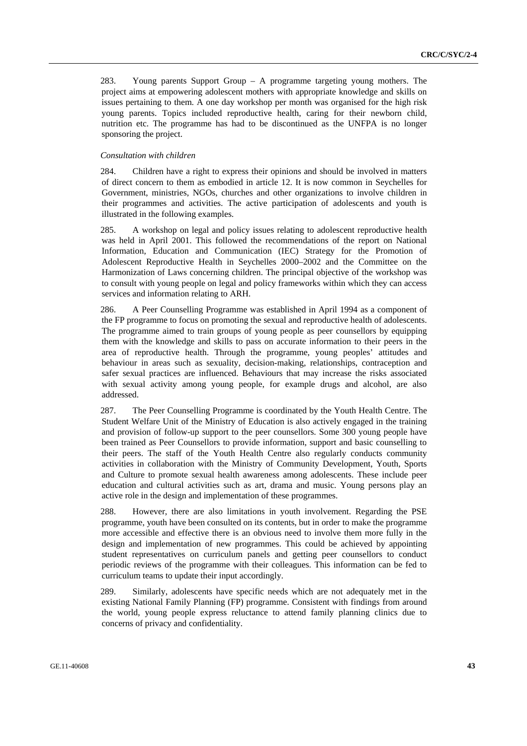283. Young parents Support Group – A programme targeting young mothers. The project aims at empowering adolescent mothers with appropriate knowledge and skills on issues pertaining to them. A one day workshop per month was organised for the high risk young parents. Topics included reproductive health, caring for their newborn child, nutrition etc. The programme has had to be discontinued as the UNFPA is no longer sponsoring the project.

#### *Consultation with children*

284. Children have a right to express their opinions and should be involved in matters of direct concern to them as embodied in article 12. It is now common in Seychelles for Government, ministries, NGOs, churches and other organizations to involve children in their programmes and activities. The active participation of adolescents and youth is illustrated in the following examples.

285. A workshop on legal and policy issues relating to adolescent reproductive health was held in April 2001. This followed the recommendations of the report on National Information, Education and Communication (IEC) Strategy for the Promotion of Adolescent Reproductive Health in Seychelles 2000–2002 and the Committee on the Harmonization of Laws concerning children. The principal objective of the workshop was to consult with young people on legal and policy frameworks within which they can access services and information relating to ARH.

286. A Peer Counselling Programme was established in April 1994 as a component of the FP programme to focus on promoting the sexual and reproductive health of adolescents. The programme aimed to train groups of young people as peer counsellors by equipping them with the knowledge and skills to pass on accurate information to their peers in the area of reproductive health. Through the programme, young peoples' attitudes and behaviour in areas such as sexuality, decision-making, relationships, contraception and safer sexual practices are influenced. Behaviours that may increase the risks associated with sexual activity among young people, for example drugs and alcohol, are also addressed.

287. The Peer Counselling Programme is coordinated by the Youth Health Centre. The Student Welfare Unit of the Ministry of Education is also actively engaged in the training and provision of follow-up support to the peer counsellors. Some 300 young people have been trained as Peer Counsellors to provide information, support and basic counselling to their peers. The staff of the Youth Health Centre also regularly conducts community activities in collaboration with the Ministry of Community Development, Youth, Sports and Culture to promote sexual health awareness among adolescents. These include peer education and cultural activities such as art, drama and music. Young persons play an active role in the design and implementation of these programmes.

288. However, there are also limitations in youth involvement. Regarding the PSE programme, youth have been consulted on its contents, but in order to make the programme more accessible and effective there is an obvious need to involve them more fully in the design and implementation of new programmes. This could be achieved by appointing student representatives on curriculum panels and getting peer counsellors to conduct periodic reviews of the programme with their colleagues. This information can be fed to curriculum teams to update their input accordingly.

289. Similarly, adolescents have specific needs which are not adequately met in the existing National Family Planning (FP) programme. Consistent with findings from around the world, young people express reluctance to attend family planning clinics due to concerns of privacy and confidentiality.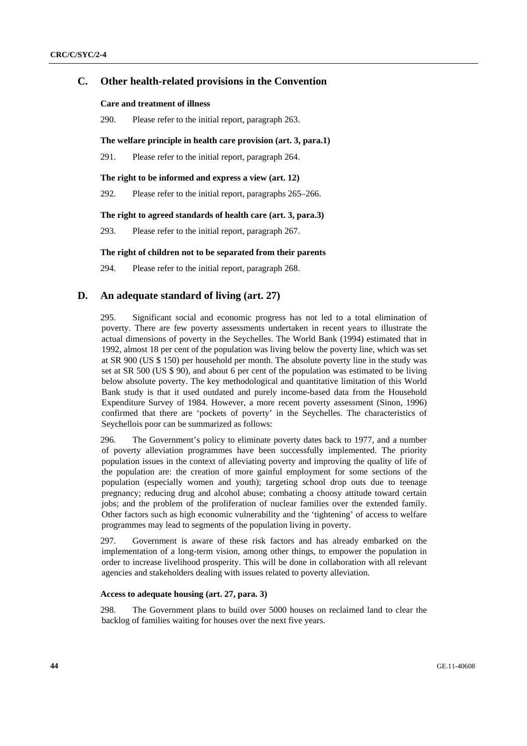## **C. Other health-related provisions in the Convention**

### **Care and treatment of illness**

290. Please refer to the initial report, paragraph 263.

### **The welfare principle in health care provision (art. 3, para.1)**

291. Please refer to the initial report, paragraph 264.

#### **The right to be informed and express a view (art. 12)**

292. Please refer to the initial report, paragraphs 265–266.

### **The right to agreed standards of health care (art. 3, para.3)**

293. Please refer to the initial report, paragraph 267.

## **The right of children not to be separated from their parents**

294. Please refer to the initial report, paragraph 268.

## **D. An adequate standard of living (art. 27)**

295. Significant social and economic progress has not led to a total elimination of poverty. There are few poverty assessments undertaken in recent years to illustrate the actual dimensions of poverty in the Seychelles. The World Bank (1994) estimated that in 1992, almost 18 per cent of the population was living below the poverty line, which was set at SR 900 (US \$ 150) per household per month. The absolute poverty line in the study was set at SR 500 (US \$ 90), and about 6 per cent of the population was estimated to be living below absolute poverty. The key methodological and quantitative limitation of this World Bank study is that it used outdated and purely income-based data from the Household Expenditure Survey of 1984. However, a more recent poverty assessment (Sinon, 1996) confirmed that there are 'pockets of poverty' in the Seychelles. The characteristics of Seychellois poor can be summarized as follows:

296. The Government's policy to eliminate poverty dates back to 1977, and a number of poverty alleviation programmes have been successfully implemented. The priority population issues in the context of alleviating poverty and improving the quality of life of the population are: the creation of more gainful employment for some sections of the population (especially women and youth); targeting school drop outs due to teenage pregnancy; reducing drug and alcohol abuse; combating a choosy attitude toward certain jobs; and the problem of the proliferation of nuclear families over the extended family. Other factors such as high economic vulnerability and the 'tightening' of access to welfare programmes may lead to segments of the population living in poverty.

297. Government is aware of these risk factors and has already embarked on the implementation of a long-term vision, among other things, to empower the population in order to increase livelihood prosperity. This will be done in collaboration with all relevant agencies and stakeholders dealing with issues related to poverty alleviation.

#### **Access to adequate housing (art. 27, para. 3)**

298. The Government plans to build over 5000 houses on reclaimed land to clear the backlog of families waiting for houses over the next five years.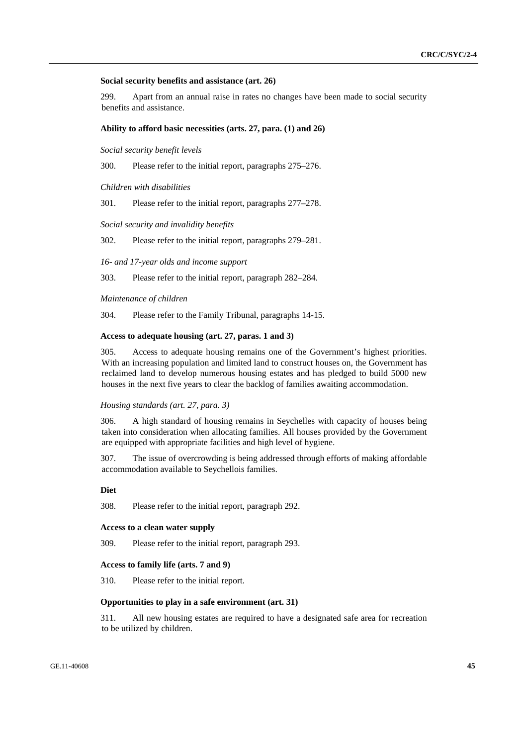#### **Social security benefits and assistance (art. 26)**

299. Apart from an annual raise in rates no changes have been made to social security benefits and assistance.

#### **Ability to afford basic necessities (arts. 27, para. (1) and 26)**

*Social security benefit levels* 

300. Please refer to the initial report, paragraphs 275–276.

*Children with disabilities*

301. Please refer to the initial report, paragraphs 277–278.

*Social security and invalidity benefits*

302. Please refer to the initial report, paragraphs 279–281.

*16- and 17-year olds and income support* 

303. Please refer to the initial report, paragraph 282–284.

*Maintenance of children*

304. Please refer to the Family Tribunal, paragraphs 14-15.

### **Access to adequate housing (art. 27, paras. 1 and 3)**

305. Access to adequate housing remains one of the Government's highest priorities. With an increasing population and limited land to construct houses on, the Government has reclaimed land to develop numerous housing estates and has pledged to build 5000 new houses in the next five years to clear the backlog of families awaiting accommodation.

## *Housing standards (art. 27, para. 3)*

306. A high standard of housing remains in Seychelles with capacity of houses being taken into consideration when allocating families. All houses provided by the Government are equipped with appropriate facilities and high level of hygiene.

307. The issue of overcrowding is being addressed through efforts of making affordable accommodation available to Seychellois families.

## **Diet**

308. Please refer to the initial report, paragraph 292.

## **Access to a clean water supply**

309. Please refer to the initial report, paragraph 293.

#### **Access to family life (arts. 7 and 9)**

310. Please refer to the initial report.

### **Opportunities to play in a safe environment (art. 31)**

311. All new housing estates are required to have a designated safe area for recreation to be utilized by children.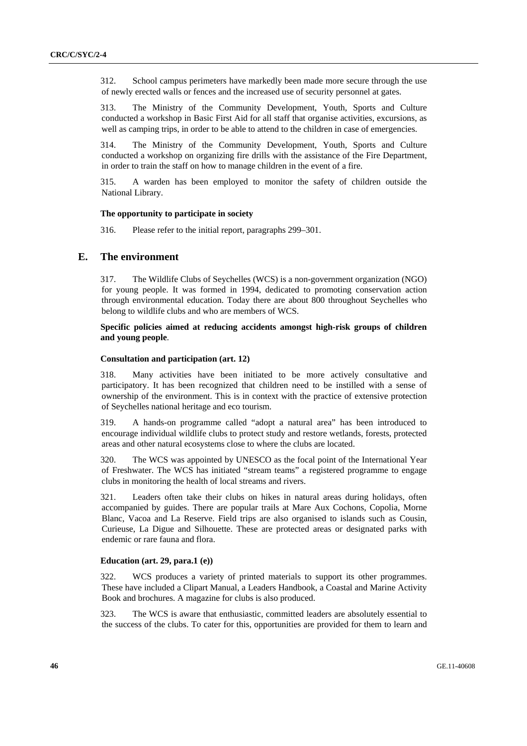312. School campus perimeters have markedly been made more secure through the use of newly erected walls or fences and the increased use of security personnel at gates.

313. The Ministry of the Community Development, Youth, Sports and Culture conducted a workshop in Basic First Aid for all staff that organise activities, excursions, as well as camping trips, in order to be able to attend to the children in case of emergencies.

314. The Ministry of the Community Development, Youth, Sports and Culture conducted a workshop on organizing fire drills with the assistance of the Fire Department, in order to train the staff on how to manage children in the event of a fire.

315. A warden has been employed to monitor the safety of children outside the National Library.

#### **The opportunity to participate in society**

316. Please refer to the initial report, paragraphs 299–301.

## **E. The environment**

317. The Wildlife Clubs of Seychelles (WCS) is a non-government organization (NGO) for young people. It was formed in 1994, dedicated to promoting conservation action through environmental education. Today there are about 800 throughout Seychelles who belong to wildlife clubs and who are members of WCS.

## **Specific policies aimed at reducing accidents amongst high-risk groups of children and young people**.

### **Consultation and participation (art. 12)**

318. Many activities have been initiated to be more actively consultative and participatory. It has been recognized that children need to be instilled with a sense of ownership of the environment. This is in context with the practice of extensive protection of Seychelles national heritage and eco tourism.

319. A hands-on programme called "adopt a natural area" has been introduced to encourage individual wildlife clubs to protect study and restore wetlands, forests, protected areas and other natural ecosystems close to where the clubs are located.

320. The WCS was appointed by UNESCO as the focal point of the International Year of Freshwater. The WCS has initiated "stream teams" a registered programme to engage clubs in monitoring the health of local streams and rivers.

321. Leaders often take their clubs on hikes in natural areas during holidays, often accompanied by guides. There are popular trails at Mare Aux Cochons, Copolia, Morne Blanc, Vacoa and La Reserve. Field trips are also organised to islands such as Cousin, Curieuse, La Digue and Silhouette. These are protected areas or designated parks with endemic or rare fauna and flora.

#### **Education (art. 29, para.1 (e))**

322. WCS produces a variety of printed materials to support its other programmes. These have included a Clipart Manual, a Leaders Handbook, a Coastal and Marine Activity Book and brochures. A magazine for clubs is also produced.

323. The WCS is aware that enthusiastic, committed leaders are absolutely essential to the success of the clubs. To cater for this, opportunities are provided for them to learn and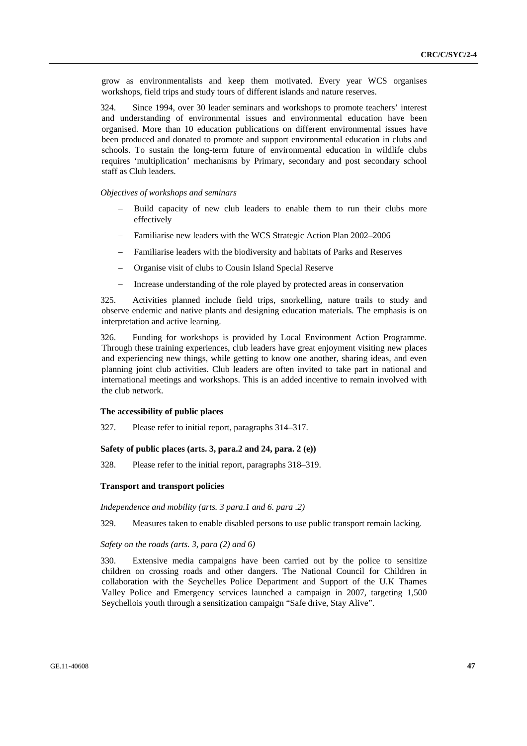grow as environmentalists and keep them motivated. Every year WCS organises workshops, field trips and study tours of different islands and nature reserves.

324. Since 1994, over 30 leader seminars and workshops to promote teachers' interest and understanding of environmental issues and environmental education have been organised. More than 10 education publications on different environmental issues have been produced and donated to promote and support environmental education in clubs and schools. To sustain the long-term future of environmental education in wildlife clubs requires 'multiplication' mechanisms by Primary, secondary and post secondary school staff as Club leaders.

### *Objectives of workshops and seminars*

- Build capacity of new club leaders to enable them to run their clubs more effectively
- − Familiarise new leaders with the WCS Strategic Action Plan 2002–2006
- − Familiarise leaders with the biodiversity and habitats of Parks and Reserves
- − Organise visit of clubs to Cousin Island Special Reserve
- Increase understanding of the role played by protected areas in conservation

325. Activities planned include field trips, snorkelling, nature trails to study and observe endemic and native plants and designing education materials. The emphasis is on interpretation and active learning.

326. Funding for workshops is provided by Local Environment Action Programme. Through these training experiences, club leaders have great enjoyment visiting new places and experiencing new things, while getting to know one another, sharing ideas, and even planning joint club activities. Club leaders are often invited to take part in national and international meetings and workshops. This is an added incentive to remain involved with the club network.

### **The accessibility of public places**

327. Please refer to initial report, paragraphs 314–317.

### **Safety of public places (arts. 3, para.2 and 24, para. 2 (e))**

328. Please refer to the initial report, paragraphs 318–319.

### **Transport and transport policies**

*Independence and mobility (arts. 3 para.1 and 6. para .2)* 

329. Measures taken to enable disabled persons to use public transport remain lacking.

### *Safety on the roads (arts. 3, para (2) and 6)*

330. Extensive media campaigns have been carried out by the police to sensitize children on crossing roads and other dangers. The National Council for Children in collaboration with the Seychelles Police Department and Support of the U.K Thames Valley Police and Emergency services launched a campaign in 2007, targeting 1,500 Seychellois youth through a sensitization campaign "Safe drive, Stay Alive".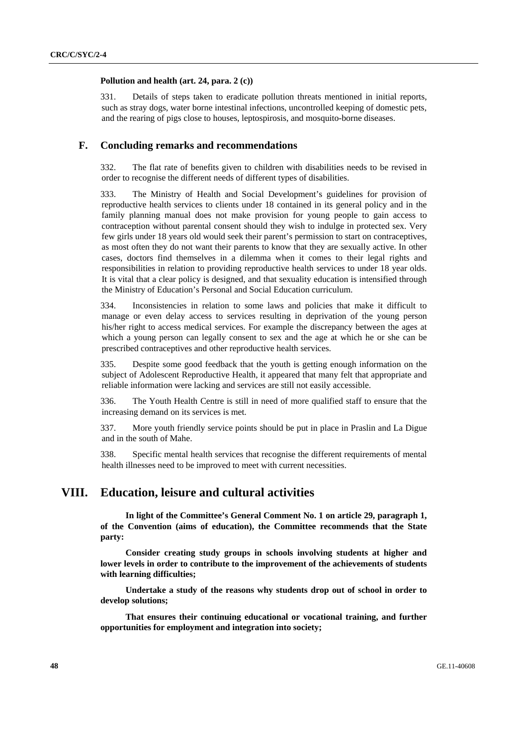#### **Pollution and health (art. 24, para. 2 (c))**

331. Details of steps taken to eradicate pollution threats mentioned in initial reports, such as stray dogs, water borne intestinal infections, uncontrolled keeping of domestic pets, and the rearing of pigs close to houses, leptospirosis, and mosquito-borne diseases.

## **F. Concluding remarks and recommendations**

332. The flat rate of benefits given to children with disabilities needs to be revised in order to recognise the different needs of different types of disabilities.

333. The Ministry of Health and Social Development's guidelines for provision of reproductive health services to clients under 18 contained in its general policy and in the family planning manual does not make provision for young people to gain access to contraception without parental consent should they wish to indulge in protected sex. Very few girls under 18 years old would seek their parent's permission to start on contraceptives, as most often they do not want their parents to know that they are sexually active. In other cases, doctors find themselves in a dilemma when it comes to their legal rights and responsibilities in relation to providing reproductive health services to under 18 year olds. It is vital that a clear policy is designed, and that sexuality education is intensified through the Ministry of Education's Personal and Social Education curriculum.

334. Inconsistencies in relation to some laws and policies that make it difficult to manage or even delay access to services resulting in deprivation of the young person his/her right to access medical services. For example the discrepancy between the ages at which a young person can legally consent to sex and the age at which he or she can be prescribed contraceptives and other reproductive health services.

335. Despite some good feedback that the youth is getting enough information on the subject of Adolescent Reproductive Health, it appeared that many felt that appropriate and reliable information were lacking and services are still not easily accessible.

336. The Youth Health Centre is still in need of more qualified staff to ensure that the increasing demand on its services is met.

337. More youth friendly service points should be put in place in Praslin and La Digue and in the south of Mahe.

338. Specific mental health services that recognise the different requirements of mental health illnesses need to be improved to meet with current necessities.

# **VIII. Education, leisure and cultural activities**

**In light of the Committee's General Comment No. 1 on article 29, paragraph 1, of the Convention (aims of education), the Committee recommends that the State party:** 

 **Consider creating study groups in schools involving students at higher and lower levels in order to contribute to the improvement of the achievements of students with learning difficulties;** 

 **Undertake a study of the reasons why students drop out of school in order to develop solutions;** 

 **That ensures their continuing educational or vocational training, and further opportunities for employment and integration into society;**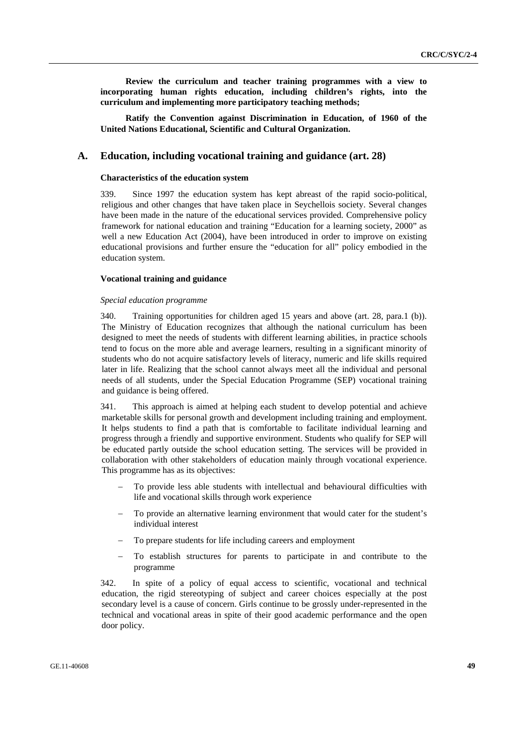**Review the curriculum and teacher training programmes with a view to incorporating human rights education, including children's rights, into the curriculum and implementing more participatory teaching methods;** 

 **Ratify the Convention against Discrimination in Education, of 1960 of the United Nations Educational, Scientific and Cultural Organization.** 

### **A. Education, including vocational training and guidance (art. 28)**

#### **Characteristics of the education system**

339. Since 1997 the education system has kept abreast of the rapid socio-political, religious and other changes that have taken place in Seychellois society. Several changes have been made in the nature of the educational services provided. Comprehensive policy framework for national education and training "Education for a learning society, 2000" as well a new Education Act (2004), have been introduced in order to improve on existing educational provisions and further ensure the "education for all" policy embodied in the education system.

### **Vocational training and guidance**

#### *Special education programme*

340. Training opportunities for children aged 15 years and above (art. 28, para.1 (b)). The Ministry of Education recognizes that although the national curriculum has been designed to meet the needs of students with different learning abilities, in practice schools tend to focus on the more able and average learners, resulting in a significant minority of students who do not acquire satisfactory levels of literacy, numeric and life skills required later in life. Realizing that the school cannot always meet all the individual and personal needs of all students, under the Special Education Programme (SEP) vocational training and guidance is being offered.

341. This approach is aimed at helping each student to develop potential and achieve marketable skills for personal growth and development including training and employment. It helps students to find a path that is comfortable to facilitate individual learning and progress through a friendly and supportive environment. Students who qualify for SEP will be educated partly outside the school education setting. The services will be provided in collaboration with other stakeholders of education mainly through vocational experience. This programme has as its objectives:

- To provide less able students with intellectual and behavioural difficulties with life and vocational skills through work experience
- To provide an alternative learning environment that would cater for the student's individual interest
- To prepare students for life including careers and employment
- To establish structures for parents to participate in and contribute to the programme

342. In spite of a policy of equal access to scientific, vocational and technical education, the rigid stereotyping of subject and career choices especially at the post secondary level is a cause of concern. Girls continue to be grossly under-represented in the technical and vocational areas in spite of their good academic performance and the open door policy.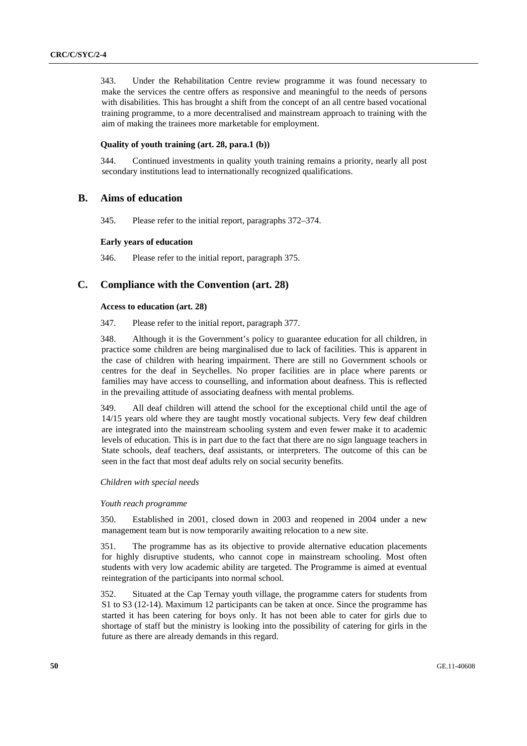343. Under the Rehabilitation Centre review programme it was found necessary to make the services the centre offers as responsive and meaningful to the needs of persons with disabilities. This has brought a shift from the concept of an all centre based vocational training programme, to a more decentralised and mainstream approach to training with the aim of making the trainees more marketable for employment.

## **Quality of youth training (art. 28, para.1 (b))**

344. Continued investments in quality youth training remains a priority, nearly all post secondary institutions lead to internationally recognized qualifications.

## **B. Aims of education**

345. Please refer to the initial report, paragraphs 372–374.

#### **Early years of education**

346. Please refer to the initial report, paragraph 375.

## **C. Compliance with the Convention (art. 28)**

## **Access to education (art. 28)**

347. Please refer to the initial report, paragraph 377.

348. Although it is the Government's policy to guarantee education for all children, in practice some children are being marginalised due to lack of facilities. This is apparent in the case of children with hearing impairment. There are still no Government schools or centres for the deaf in Seychelles. No proper facilities are in place where parents or families may have access to counselling, and information about deafness. This is reflected in the prevailing attitude of associating deafness with mental problems.

349. All deaf children will attend the school for the exceptional child until the age of 14/15 years old where they are taught mostly vocational subjects. Very few deaf children are integrated into the mainstream schooling system and even fewer make it to academic levels of education. This is in part due to the fact that there are no sign language teachers in State schools, deaf teachers, deaf assistants, or interpreters. The outcome of this can be seen in the fact that most deaf adults rely on social security benefits.

#### *Children with special needs*

#### *Youth reach programme*

350. Established in 2001, closed down in 2003 and reopened in 2004 under a new management team but is now temporarily awaiting relocation to a new site.

351. The programme has as its objective to provide alternative education placements for highly disruptive students, who cannot cope in mainstream schooling. Most often students with very low academic ability are targeted. The Programme is aimed at eventual reintegration of the participants into normal school.

352. Situated at the Cap Ternay youth village, the programme caters for students from S1 to S3 (12-14). Maximum 12 participants can be taken at once. Since the programme has started it has been catering for boys only. It has not been able to cater for girls due to shortage of staff but the ministry is looking into the possibility of catering for girls in the future as there are already demands in this regard.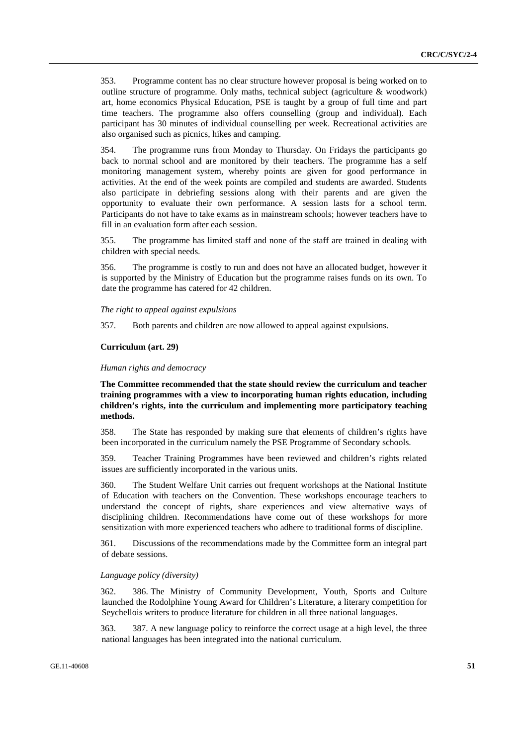353. Programme content has no clear structure however proposal is being worked on to outline structure of programme. Only maths, technical subject (agriculture & woodwork) art, home economics Physical Education, PSE is taught by a group of full time and part time teachers. The programme also offers counselling (group and individual). Each participant has 30 minutes of individual counselling per week. Recreational activities are also organised such as picnics, hikes and camping.

354. The programme runs from Monday to Thursday. On Fridays the participants go back to normal school and are monitored by their teachers. The programme has a self monitoring management system, whereby points are given for good performance in activities. At the end of the week points are compiled and students are awarded. Students also participate in debriefing sessions along with their parents and are given the opportunity to evaluate their own performance. A session lasts for a school term. Participants do not have to take exams as in mainstream schools; however teachers have to fill in an evaluation form after each session.

355. The programme has limited staff and none of the staff are trained in dealing with children with special needs.

356. The programme is costly to run and does not have an allocated budget, however it is supported by the Ministry of Education but the programme raises funds on its own. To date the programme has catered for 42 children.

*The right to appeal against expulsions* 

357. Both parents and children are now allowed to appeal against expulsions.

## **Curriculum (art. 29)**

#### *Human rights and democracy*

**The Committee recommended that the state should review the curriculum and teacher training programmes with a view to incorporating human rights education, including children's rights, into the curriculum and implementing more participatory teaching methods.** 

358. The State has responded by making sure that elements of children's rights have been incorporated in the curriculum namely the PSE Programme of Secondary schools.

359. Teacher Training Programmes have been reviewed and children's rights related issues are sufficiently incorporated in the various units.

360. The Student Welfare Unit carries out frequent workshops at the National Institute of Education with teachers on the Convention. These workshops encourage teachers to understand the concept of rights, share experiences and view alternative ways of disciplining children. Recommendations have come out of these workshops for more sensitization with more experienced teachers who adhere to traditional forms of discipline.

361. Discussions of the recommendations made by the Committee form an integral part of debate sessions.

#### *Language policy (diversity)*

362. 386. The Ministry of Community Development, Youth, Sports and Culture launched the Rodolphine Young Award for Children's Literature, a literary competition for Seychellois writers to produce literature for children in all three national languages.

363. 387. A new language policy to reinforce the correct usage at a high level, the three national languages has been integrated into the national curriculum.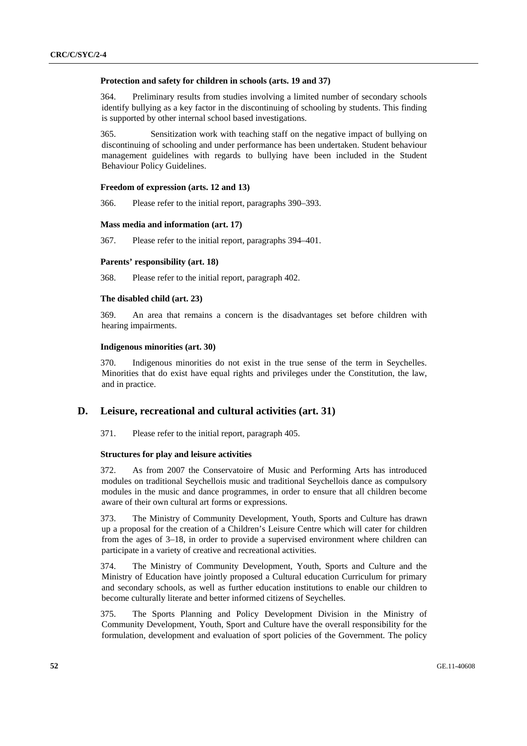#### **Protection and safety for children in schools (arts. 19 and 37)**

364. Preliminary results from studies involving a limited number of secondary schools identify bullying as a key factor in the discontinuing of schooling by students. This finding is supported by other internal school based investigations.

365. Sensitization work with teaching staff on the negative impact of bullying on discontinuing of schooling and under performance has been undertaken. Student behaviour management guidelines with regards to bullying have been included in the Student Behaviour Policy Guidelines.

#### **Freedom of expression (arts. 12 and 13)**

366. Please refer to the initial report, paragraphs 390–393.

### **Mass media and information (art. 17)**

367. Please refer to the initial report, paragraphs 394–401.

### **Parents' responsibility (art. 18)**

368. Please refer to the initial report, paragraph 402.

### **The disabled child (art. 23)**

369. An area that remains a concern is the disadvantages set before children with hearing impairments.

### **Indigenous minorities (art. 30)**

370. Indigenous minorities do not exist in the true sense of the term in Seychelles. Minorities that do exist have equal rights and privileges under the Constitution, the law, and in practice.

## **D. Leisure, recreational and cultural activities (art. 31)**

371. Please refer to the initial report, paragraph 405.

#### **Structures for play and leisure activities**

372. As from 2007 the Conservatoire of Music and Performing Arts has introduced modules on traditional Seychellois music and traditional Seychellois dance as compulsory modules in the music and dance programmes, in order to ensure that all children become aware of their own cultural art forms or expressions.

373. The Ministry of Community Development, Youth, Sports and Culture has drawn up a proposal for the creation of a Children's Leisure Centre which will cater for children from the ages of 3–18, in order to provide a supervised environment where children can participate in a variety of creative and recreational activities.

374. The Ministry of Community Development, Youth, Sports and Culture and the Ministry of Education have jointly proposed a Cultural education Curriculum for primary and secondary schools, as well as further education institutions to enable our children to become culturally literate and better informed citizens of Seychelles.

375. The Sports Planning and Policy Development Division in the Ministry of Community Development, Youth, Sport and Culture have the overall responsibility for the formulation, development and evaluation of sport policies of the Government. The policy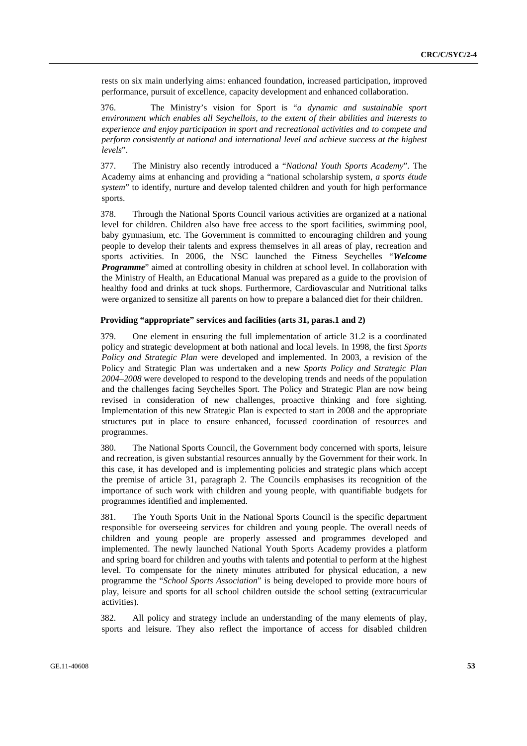rests on six main underlying aims: enhanced foundation, increased participation, improved performance, pursuit of excellence, capacity development and enhanced collaboration.

376. The Ministry's vision for Sport is "*a dynamic and sustainable sport environment which enables all Seychellois, to the extent of their abilities and interests to experience and enjoy participation in sport and recreational activities and to compete and perform consistently at national and international level and achieve success at the highest levels*".

377. The Ministry also recently introduced a "*National Youth Sports Academy*". The Academy aims at enhancing and providing a "national scholarship system, *a sports étude system*" to identify, nurture and develop talented children and youth for high performance sports.

378. Through the National Sports Council various activities are organized at a national level for children. Children also have free access to the sport facilities, swimming pool, baby gymnasium, etc. The Government is committed to encouraging children and young people to develop their talents and express themselves in all areas of play, recreation and sports activities. In 2006, the NSC launched the Fitness Seychelles "*Welcome Programme*" aimed at controlling obesity in children at school level. In collaboration with the Ministry of Health, an Educational Manual was prepared as a guide to the provision of healthy food and drinks at tuck shops. Furthermore, Cardiovascular and Nutritional talks were organized to sensitize all parents on how to prepare a balanced diet for their children.

### **Providing "appropriate" services and facilities (arts 31, paras.1 and 2)**

379. One element in ensuring the full implementation of article 31.2 is a coordinated policy and strategic development at both national and local levels. In 1998, the first *Sports Policy and Strategic Plan* were developed and implemented. In 2003, a revision of the Policy and Strategic Plan was undertaken and a new *Sports Policy and Strategic Plan 2004–2008* were developed to respond to the developing trends and needs of the population and the challenges facing Seychelles Sport. The Policy and Strategic Plan are now being revised in consideration of new challenges, proactive thinking and fore sighting. Implementation of this new Strategic Plan is expected to start in 2008 and the appropriate structures put in place to ensure enhanced, focussed coordination of resources and programmes.

380. The National Sports Council, the Government body concerned with sports, leisure and recreation, is given substantial resources annually by the Government for their work. In this case, it has developed and is implementing policies and strategic plans which accept the premise of article 31, paragraph 2. The Councils emphasises its recognition of the importance of such work with children and young people, with quantifiable budgets for programmes identified and implemented.

381. The Youth Sports Unit in the National Sports Council is the specific department responsible for overseeing services for children and young people. The overall needs of children and young people are properly assessed and programmes developed and implemented. The newly launched National Youth Sports Academy provides a platform and spring board for children and youths with talents and potential to perform at the highest level. To compensate for the ninety minutes attributed for physical education, a new programme the "*School Sports Association*" is being developed to provide more hours of play, leisure and sports for all school children outside the school setting (extracurricular activities).

382. All policy and strategy include an understanding of the many elements of play, sports and leisure. They also reflect the importance of access for disabled children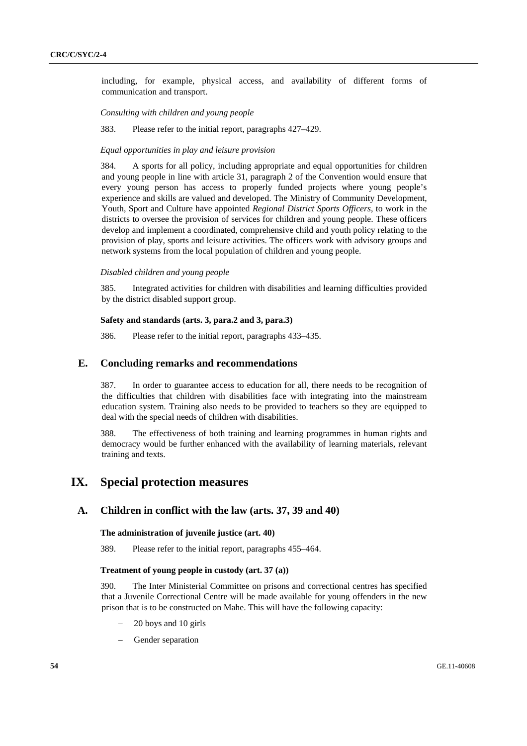including, for example, physical access, and availability of different forms of communication and transport.

*Consulting with children and young people*

383. Please refer to the initial report, paragraphs 427–429.

## *Equal opportunities in play and leisure provision*

384. A sports for all policy, including appropriate and equal opportunities for children and young people in line with article 31, paragraph 2 of the Convention would ensure that every young person has access to properly funded projects where young people's experience and skills are valued and developed. The Ministry of Community Development, Youth, Sport and Culture have appointed *Regional District Sports Officers*, to work in the districts to oversee the provision of services for children and young people. These officers develop and implement a coordinated, comprehensive child and youth policy relating to the provision of play, sports and leisure activities. The officers work with advisory groups and network systems from the local population of children and young people.

#### *Disabled children and young people*

385. Integrated activities for children with disabilities and learning difficulties provided by the district disabled support group.

### **Safety and standards (arts. 3, para.2 and 3, para.3)**

386. Please refer to the initial report, paragraphs 433–435.

## **E. Concluding remarks and recommendations**

387. In order to guarantee access to education for all, there needs to be recognition of the difficulties that children with disabilities face with integrating into the mainstream education system. Training also needs to be provided to teachers so they are equipped to deal with the special needs of children with disabilities.

388. The effectiveness of both training and learning programmes in human rights and democracy would be further enhanced with the availability of learning materials, relevant training and texts.

# **IX. Special protection measures**

## **A. Children in conflict with the law (arts. 37, 39 and 40)**

### **The administration of juvenile justice (art. 40)**

389. Please refer to the initial report, paragraphs 455–464.

### **Treatment of young people in custody (art. 37 (a))**

390. The Inter Ministerial Committee on prisons and correctional centres has specified that a Juvenile Correctional Centre will be made available for young offenders in the new prison that is to be constructed on Mahe. This will have the following capacity:

- − 20 boys and 10 girls
- Gender separation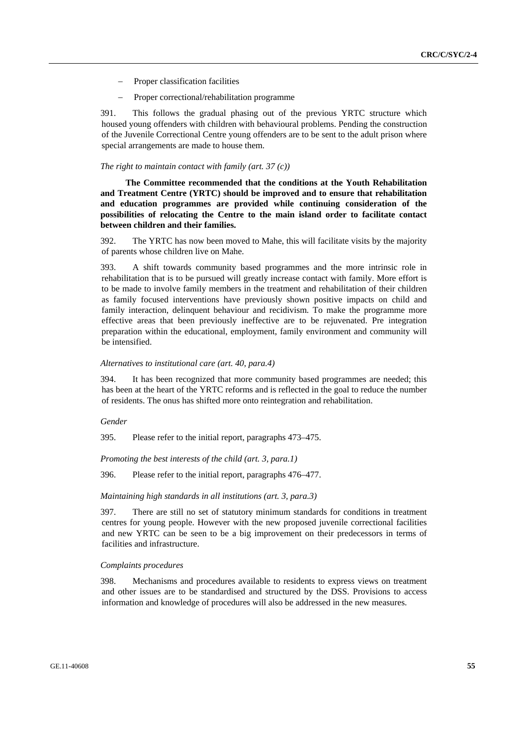- Proper classification facilities
- Proper correctional/rehabilitation programme

391. This follows the gradual phasing out of the previous YRTC structure which housed young offenders with children with behavioural problems. Pending the construction of the Juvenile Correctional Centre young offenders are to be sent to the adult prison where special arrangements are made to house them.

#### *The right to maintain contact with family (art. 37 (c))*

**The Committee recommended that the conditions at the Youth Rehabilitation and Treatment Centre (YRTC) should be improved and to ensure that rehabilitation and education programmes are provided while continuing consideration of the possibilities of relocating the Centre to the main island order to facilitate contact between children and their families.** 

392. The YRTC has now been moved to Mahe, this will facilitate visits by the majority of parents whose children live on Mahe.

393. A shift towards community based programmes and the more intrinsic role in rehabilitation that is to be pursued will greatly increase contact with family. More effort is to be made to involve family members in the treatment and rehabilitation of their children as family focused interventions have previously shown positive impacts on child and family interaction, delinquent behaviour and recidivism. To make the programme more effective areas that been previously ineffective are to be rejuvenated. Pre integration preparation within the educational, employment, family environment and community will be intensified.

### *Alternatives to institutional care (art. 40, para.4)*

394. It has been recognized that more community based programmes are needed; this has been at the heart of the YRTC reforms and is reflected in the goal to reduce the number of residents. The onus has shifted more onto reintegration and rehabilitation.

#### *Gender*

395. Please refer to the initial report, paragraphs 473–475.

*Promoting the best interests of the child (art. 3, para.1)* 

396. Please refer to the initial report, paragraphs 476–477.

#### *Maintaining high standards in all institutions (art. 3, para.3)*

397. There are still no set of statutory minimum standards for conditions in treatment centres for young people. However with the new proposed juvenile correctional facilities and new YRTC can be seen to be a big improvement on their predecessors in terms of facilities and infrastructure.

#### *Complaints procedures*

398. Mechanisms and procedures available to residents to express views on treatment and other issues are to be standardised and structured by the DSS. Provisions to access information and knowledge of procedures will also be addressed in the new measures.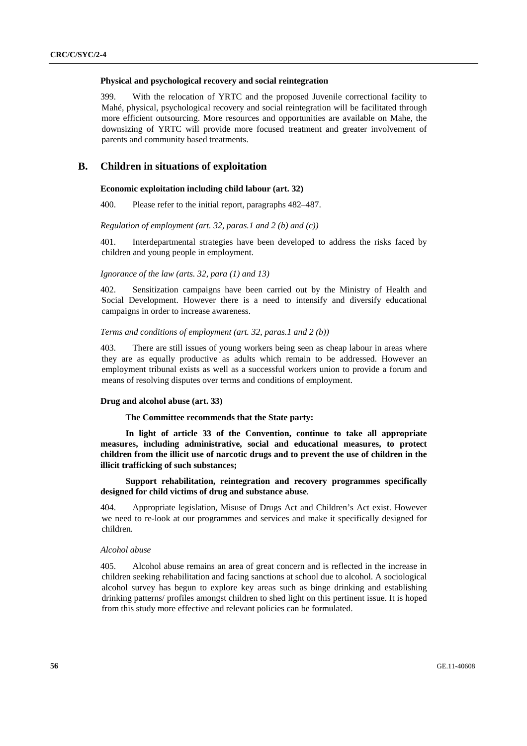#### **Physical and psychological recovery and social reintegration**

399. With the relocation of YRTC and the proposed Juvenile correctional facility to Mahé, physical, psychological recovery and social reintegration will be facilitated through more efficient outsourcing. More resources and opportunities are available on Mahe, the downsizing of YRTC will provide more focused treatment and greater involvement of parents and community based treatments.

## **B. Children in situations of exploitation**

### **Economic exploitation including child labour (art. 32)**

400. Please refer to the initial report, paragraphs 482–487.

#### *Regulation of employment (art. 32, paras.1 and 2 (b) and (c))*

401. Interdepartmental strategies have been developed to address the risks faced by children and young people in employment.

#### *Ignorance of the law (arts. 32, para (1) and 13)*

402. Sensitization campaigns have been carried out by the Ministry of Health and Social Development. However there is a need to intensify and diversify educational campaigns in order to increase awareness.

### *Terms and conditions of employment (art. 32, paras.1 and 2 (b))*

403. There are still issues of young workers being seen as cheap labour in areas where they are as equally productive as adults which remain to be addressed. However an employment tribunal exists as well as a successful workers union to provide a forum and means of resolving disputes over terms and conditions of employment.

## **Drug and alcohol abuse (art. 33)**

#### **The Committee recommends that the State party:**

**In light of article 33 of the Convention, continue to take all appropriate measures, including administrative, social and educational measures, to protect children from the illicit use of narcotic drugs and to prevent the use of children in the illicit trafficking of such substances;** 

 **Support rehabilitation, reintegration and recovery programmes specifically designed for child victims of drug and substance abuse***.*

404. Appropriate legislation, Misuse of Drugs Act and Children's Act exist. However we need to re-look at our programmes and services and make it specifically designed for children.

### *Alcohol abuse*

405. Alcohol abuse remains an area of great concern and is reflected in the increase in children seeking rehabilitation and facing sanctions at school due to alcohol. A sociological alcohol survey has begun to explore key areas such as binge drinking and establishing drinking patterns/ profiles amongst children to shed light on this pertinent issue. It is hoped from this study more effective and relevant policies can be formulated.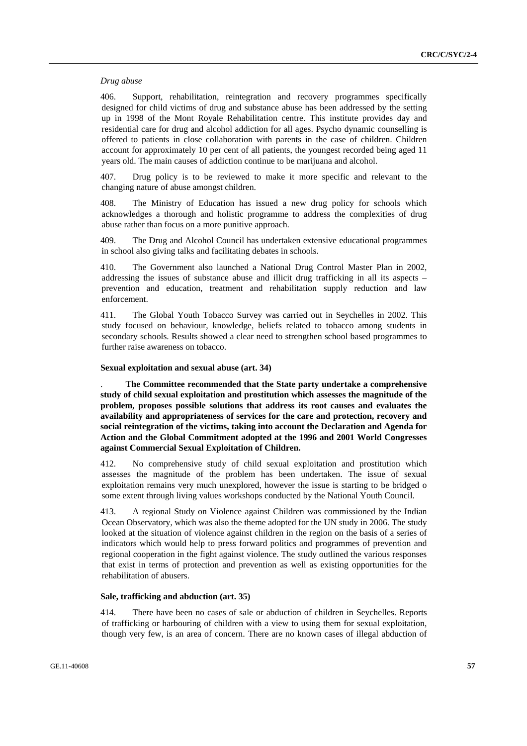#### *Drug abuse*

406. Support, rehabilitation, reintegration and recovery programmes specifically designed for child victims of drug and substance abuse has been addressed by the setting up in 1998 of the Mont Royale Rehabilitation centre. This institute provides day and residential care for drug and alcohol addiction for all ages. Psycho dynamic counselling is offered to patients in close collaboration with parents in the case of children. Children account for approximately 10 per cent of all patients, the youngest recorded being aged 11 years old. The main causes of addiction continue to be marijuana and alcohol.

407. Drug policy is to be reviewed to make it more specific and relevant to the changing nature of abuse amongst children.

408. The Ministry of Education has issued a new drug policy for schools which acknowledges a thorough and holistic programme to address the complexities of drug abuse rather than focus on a more punitive approach.

409. The Drug and Alcohol Council has undertaken extensive educational programmes in school also giving talks and facilitating debates in schools.

410. The Government also launched a National Drug Control Master Plan in 2002, addressing the issues of substance abuse and illicit drug trafficking in all its aspects – prevention and education, treatment and rehabilitation supply reduction and law enforcement.

411. The Global Youth Tobacco Survey was carried out in Seychelles in 2002. This study focused on behaviour, knowledge, beliefs related to tobacco among students in secondary schools. Results showed a clear need to strengthen school based programmes to further raise awareness on tobacco.

### **Sexual exploitation and sexual abuse (art. 34)**

. **The Committee recommended that the State party undertake a comprehensive study of child sexual exploitation and prostitution which assesses the magnitude of the problem, proposes possible solutions that address its root causes and evaluates the availability and appropriateness of services for the care and protection, recovery and social reintegration of the victims, taking into account the Declaration and Agenda for Action and the Global Commitment adopted at the 1996 and 2001 World Congresses against Commercial Sexual Exploitation of Children.** 

412. No comprehensive study of child sexual exploitation and prostitution which assesses the magnitude of the problem has been undertaken. The issue of sexual exploitation remains very much unexplored, however the issue is starting to be bridged o some extent through living values workshops conducted by the National Youth Council.

413. A regional Study on Violence against Children was commissioned by the Indian Ocean Observatory, which was also the theme adopted for the UN study in 2006. The study looked at the situation of violence against children in the region on the basis of a series of indicators which would help to press forward politics and programmes of prevention and regional cooperation in the fight against violence. The study outlined the various responses that exist in terms of protection and prevention as well as existing opportunities for the rehabilitation of abusers.

## **Sale, trafficking and abduction (art. 35)**

414. There have been no cases of sale or abduction of children in Seychelles. Reports of trafficking or harbouring of children with a view to using them for sexual exploitation, though very few, is an area of concern. There are no known cases of illegal abduction of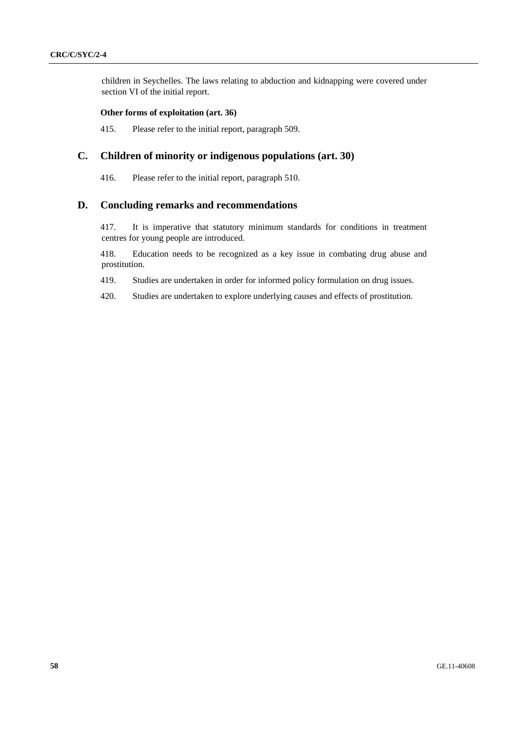children in Seychelles. The laws relating to abduction and kidnapping were covered under section VI of the initial report.

## **Other forms of exploitation (art. 36)**

415. Please refer to the initial report, paragraph 509.

## **C. Children of minority or indigenous populations (art. 30)**

416. Please refer to the initial report, paragraph 510.

## **D. Concluding remarks and recommendations**

417. It is imperative that statutory minimum standards for conditions in treatment centres for young people are introduced.

418. Education needs to be recognized as a key issue in combating drug abuse and prostitution.

419. Studies are undertaken in order for informed policy formulation on drug issues.

420. Studies are undertaken to explore underlying causes and effects of prostitution.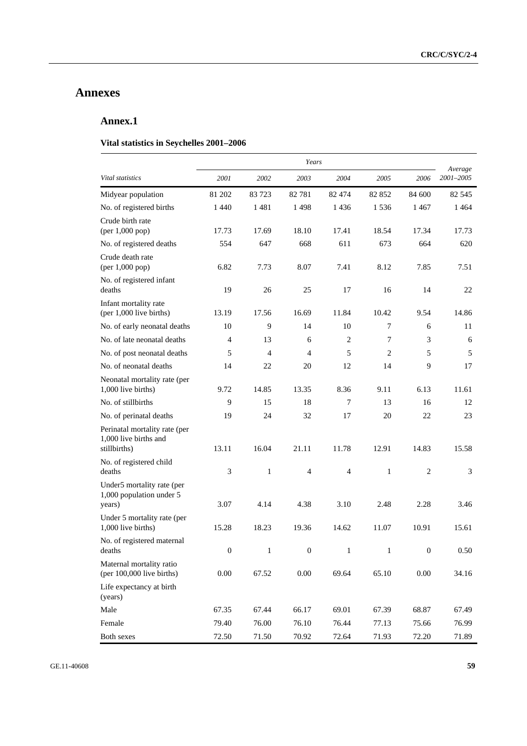# **Annexes**

# **Annex.1**

## **Vital statistics in Seychelles 2001–2006**

|                                                                        | Years            |              |                  |                |                |                  |                      |  |
|------------------------------------------------------------------------|------------------|--------------|------------------|----------------|----------------|------------------|----------------------|--|
| Vital statistics                                                       | 2001             | 2002         | 2003             | 2004           | 2005           | 2006             | Average<br>2001-2005 |  |
| Midyear population                                                     | 81 202           | 83 723       | 82 781           | 82 474         | 82 852         | 84 600           | 82 545               |  |
| No. of registered births                                               | 1440             | 1481         | 1498             | 1436           | 1 5 3 6        | 1467             | 1464                 |  |
| Crude birth rate<br>(per 1,000 pop)                                    | 17.73            | 17.69        | 18.10            | 17.41          | 18.54          | 17.34            | 17.73                |  |
| No. of registered deaths                                               | 554              | 647          | 668              | 611            | 673            | 664              | 620                  |  |
| Crude death rate<br>(per 1,000 pop)                                    | 6.82             | 7.73         | 8.07             | 7.41           | 8.12           | 7.85             | 7.51                 |  |
| No. of registered infant<br>deaths                                     | 19               | 26           | 25               | 17             | 16             | 14               | 22                   |  |
| Infant mortality rate<br>(per 1,000 live births)                       | 13.19            | 17.56        | 16.69            | 11.84          | 10.42          | 9.54             | 14.86                |  |
| No. of early neonatal deaths                                           | 10               | 9            | 14               | 10             | 7              | 6                | 11                   |  |
| No. of late neonatal deaths                                            | 4                | 13           | 6                | 2              | 7              | 3                | 6                    |  |
| No. of post neonatal deaths                                            | 5                | 4            | 4                | 5              | $\overline{2}$ | 5                | 5                    |  |
| No. of neonatal deaths                                                 | 14               | 22           | 20               | 12             | 14             | 9                | 17                   |  |
| Neonatal mortality rate (per<br>1,000 live births)                     | 9.72             | 14.85        | 13.35            | 8.36           | 9.11           | 6.13             | 11.61                |  |
| No. of stillbirths                                                     | 9                | 15           | 18               | 7              | 13             | 16               | 12                   |  |
| No. of perinatal deaths                                                | 19               | 24           | 32               | 17             | 20             | 22               | 23                   |  |
| Perinatal mortality rate (per<br>1,000 live births and<br>stillbirths) | 13.11            | 16.04        | 21.11            | 11.78          | 12.91          | 14.83            | 15.58                |  |
| No. of registered child<br>deaths                                      | 3                | $\mathbf{1}$ | $\overline{4}$   | $\overline{4}$ | $\mathbf{1}$   | $\overline{2}$   | 3                    |  |
| Under5 mortality rate (per<br>1,000 population under 5<br>years)       | 3.07             | 4.14         | 4.38             | 3.10           | 2.48           | 2.28             | 3.46                 |  |
| Under 5 mortality rate (per<br>1,000 live births)                      | 15.28            | 18.23        | 19.36            | 14.62          | 11.07          | 10.91            | 15.61                |  |
| No. of registered maternal<br>deaths                                   | $\boldsymbol{0}$ | $\mathbf{1}$ | $\boldsymbol{0}$ | $\mathbf{1}$   | 1              | $\boldsymbol{0}$ | 0.50                 |  |
| Maternal mortality ratio<br>(per 100,000 live births)                  | $0.00\,$         | 67.52        | $0.00\,$         | 69.64          | 65.10          | 0.00             | 34.16                |  |
| Life expectancy at birth<br>(years)                                    |                  |              |                  |                |                |                  |                      |  |
| Male                                                                   | 67.35            | 67.44        | 66.17            | 69.01          | 67.39          | 68.87            | 67.49                |  |
| Female                                                                 | 79.40            | 76.00        | 76.10            | 76.44          | 77.13          | 75.66            | 76.99                |  |
| Both sexes                                                             | 72.50            | 71.50        | 70.92            | 72.64          | 71.93          | 72.20            | 71.89                |  |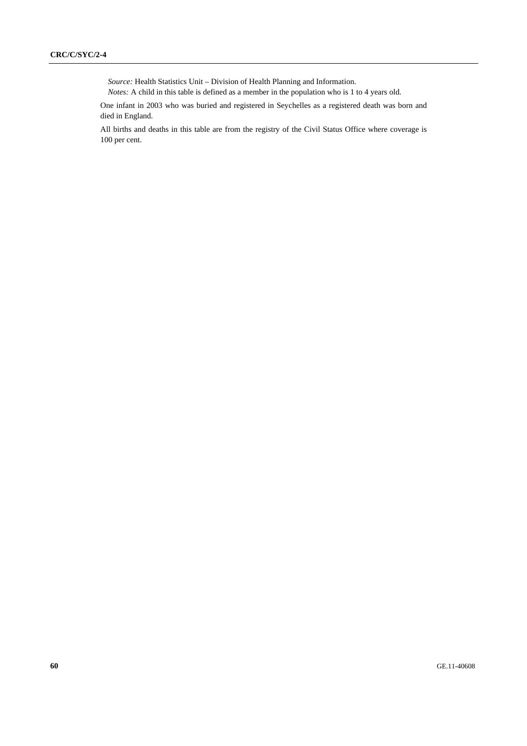*Source:* Health Statistics Unit – Division of Health Planning and Information.

*Notes:* A child in this table is defined as a member in the population who is 1 to 4 years old.

One infant in 2003 who was buried and registered in Seychelles as a registered death was born and died in England.

All births and deaths in this table are from the registry of the Civil Status Office where coverage is 100 per cent.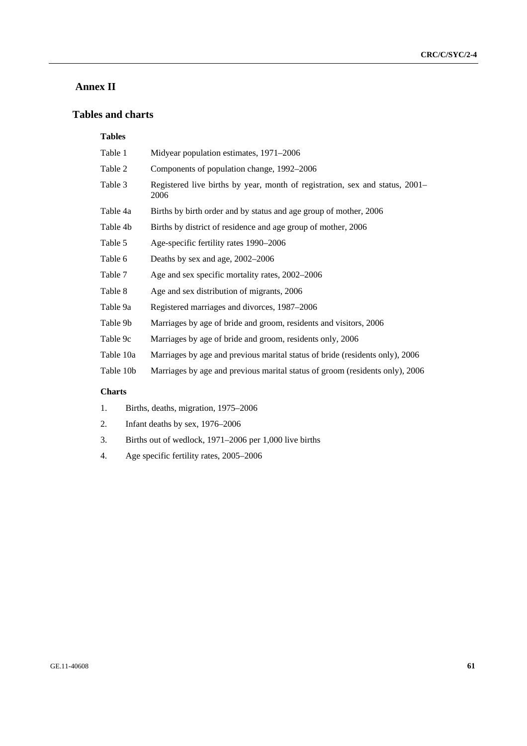# **Annex II**

# **Tables and charts**

## **Tables**

| Table 1   | Midyear population estimates, 1971–2006                                              |
|-----------|--------------------------------------------------------------------------------------|
| Table 2   | Components of population change, 1992–2006                                           |
| Table 3   | Registered live births by year, month of registration, sex and status, 2001–<br>2006 |
| Table 4a  | Births by birth order and by status and age group of mother, 2006                    |
| Table 4b  | Births by district of residence and age group of mother, 2006                        |
| Table 5   | Age-specific fertility rates 1990–2006                                               |
| Table 6   | Deaths by sex and age, 2002–2006                                                     |
| Table 7   | Age and sex specific mortality rates, 2002–2006                                      |
| Table 8   | Age and sex distribution of migrants, 2006                                           |
| Table 9a  | Registered marriages and divorces, 1987–2006                                         |
| Table 9b  | Marriages by age of bride and groom, residents and visitors, 2006                    |
| Table 9c  | Marriages by age of bride and groom, residents only, 2006                            |
| Table 10a | Marriages by age and previous marital status of bride (residents only), 2006         |
| Table 10b | Marriages by age and previous marital status of groom (residents only), 2006         |

## **Charts**

- 1. Births, deaths, migration, 1975–2006
- 2. Infant deaths by sex, 1976–2006
- 3. Births out of wedlock, 1971–2006 per 1,000 live births
- 4. Age specific fertility rates, 2005–2006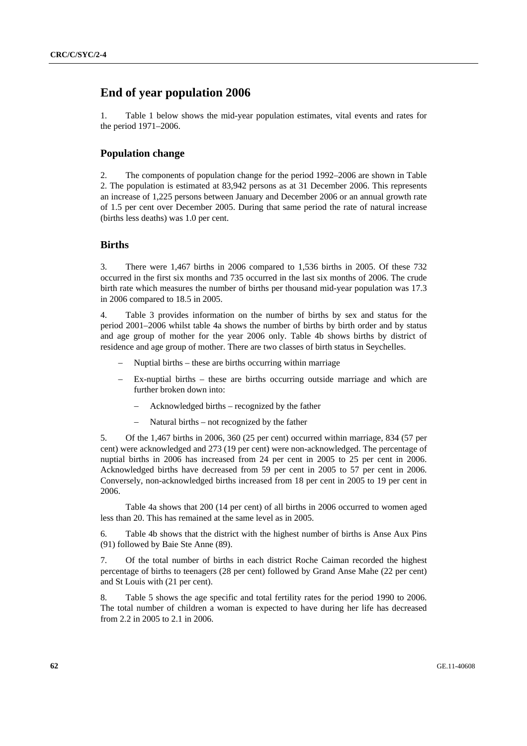# **End of year population 2006**

1. Table 1 below shows the mid-year population estimates, vital events and rates for the period 1971–2006.

## **Population change**

2. The components of population change for the period 1992–2006 are shown in Table 2. The population is estimated at 83,942 persons as at 31 December 2006. This represents an increase of 1,225 persons between January and December 2006 or an annual growth rate of 1.5 per cent over December 2005. During that same period the rate of natural increase (births less deaths) was 1.0 per cent.

## **Births**

3. There were 1,467 births in 2006 compared to 1,536 births in 2005. Of these 732 occurred in the first six months and 735 occurred in the last six months of 2006. The crude birth rate which measures the number of births per thousand mid-year population was 17.3 in 2006 compared to 18.5 in 2005.

4. Table 3 provides information on the number of births by sex and status for the period 2001–2006 whilst table 4a shows the number of births by birth order and by status and age group of mother for the year 2006 only. Table 4b shows births by district of residence and age group of mother. There are two classes of birth status in Seychelles.

- Nuptial births these are births occurring within marriage
- Ex-nuptial births these are births occurring outside marriage and which are further broken down into:
	- Acknowledged births recognized by the father
	- Natural births not recognized by the father

5. Of the 1,467 births in 2006, 360 (25 per cent) occurred within marriage, 834 (57 per cent) were acknowledged and 273 (19 per cent) were non-acknowledged. The percentage of nuptial births in 2006 has increased from 24 per cent in 2005 to 25 per cent in 2006. Acknowledged births have decreased from 59 per cent in 2005 to 57 per cent in 2006. Conversely, non-acknowledged births increased from 18 per cent in 2005 to 19 per cent in 2006.

 Table 4a shows that 200 (14 per cent) of all births in 2006 occurred to women aged less than 20. This has remained at the same level as in 2005.

6. Table 4b shows that the district with the highest number of births is Anse Aux Pins (91) followed by Baie Ste Anne (89).

7. Of the total number of births in each district Roche Caiman recorded the highest percentage of births to teenagers (28 per cent) followed by Grand Anse Mahe (22 per cent) and St Louis with (21 per cent).

8. Table 5 shows the age specific and total fertility rates for the period 1990 to 2006. The total number of children a woman is expected to have during her life has decreased from 2.2 in 2005 to 2.1 in 2006.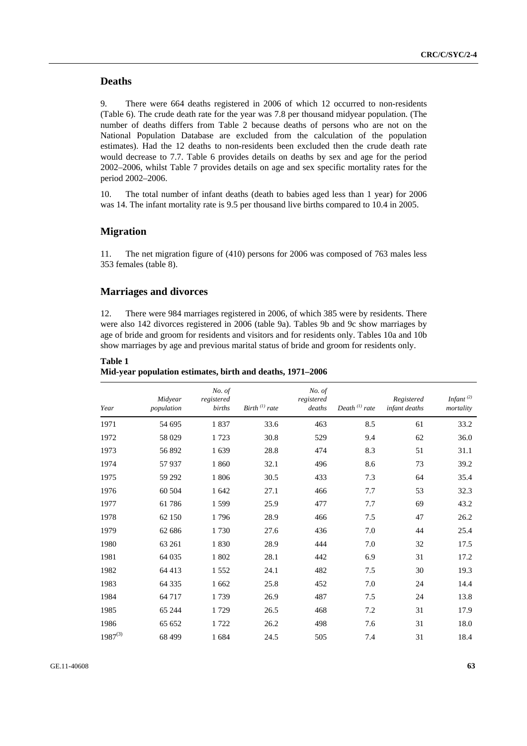## **Deaths**

9. There were 664 deaths registered in 2006 of which 12 occurred to non-residents (Table 6). The crude death rate for the year was 7.8 per thousand midyear population. (The number of deaths differs from Table 2 because deaths of persons who are not on the National Population Database are excluded from the calculation of the population estimates). Had the 12 deaths to non-residents been excluded then the crude death rate would decrease to 7.7. Table 6 provides details on deaths by sex and age for the period 2002–2006, whilst Table 7 provides details on age and sex specific mortality rates for the period 2002–2006.

10. The total number of infant deaths (death to babies aged less than 1 year) for 2006 was 14. The infant mortality rate is 9.5 per thousand live births compared to 10.4 in 2005.

## **Migration**

11. The net migration figure of (410) persons for 2006 was composed of 763 males less 353 females (table 8).

## **Marriages and divorces**

12. There were 984 marriages registered in 2006, of which 385 were by residents. There were also 142 divorces registered in 2006 (table 9a). Tables 9b and 9c show marriages by age of bride and groom for residents and visitors and for residents only. Tables 10a and 10b show marriages by age and previous marital status of bride and groom for residents only.

| Year         | Midyear<br>population | No. of<br>registered<br>births | Birth $^{(1)}$ rate | No. of<br>registered<br>deaths | Death $^{(1)}$ rate | Registered<br>infant deaths | Infant $(2)$<br>mortality |
|--------------|-----------------------|--------------------------------|---------------------|--------------------------------|---------------------|-----------------------------|---------------------------|
| 1971         | 54 695                | 1837                           | 33.6                | 463                            | 8.5                 | 61                          | 33.2                      |
| 1972         | 58 029                | 1723                           | 30.8                | 529                            | 9.4                 | 62                          | 36.0                      |
| 1973         | 56 892                | 1639                           | 28.8                | 474                            | 8.3                 | 51                          | 31.1                      |
| 1974         | 57 937                | 1860                           | 32.1                | 496                            | 8.6                 | 73                          | 39.2                      |
| 1975         | 59 29 2               | 1806                           | 30.5                | 433                            | 7.3                 | 64                          | 35.4                      |
| 1976         | 60 504                | 1 642                          | 27.1                | 466                            | 7.7                 | 53                          | 32.3                      |
| 1977         | 61786                 | 1599                           | 25.9                | 477                            | 7.7                 | 69                          | 43.2                      |
| 1978         | 62 150                | 1796                           | 28.9                | 466                            | 7.5                 | 47                          | 26.2                      |
| 1979         | 62 686                | 1730                           | 27.6                | 436                            | 7.0                 | 44                          | 25.4                      |
| 1980         | 63 261                | 1830                           | 28.9                | 444                            | 7.0                 | 32                          | 17.5                      |
| 1981         | 64 035                | 1802                           | 28.1                | 442                            | 6.9                 | 31                          | 17.2                      |
| 1982         | 64 413                | 1552                           | 24.1                | 482                            | 7.5                 | 30                          | 19.3                      |
| 1983         | 64 3 35               | 1 6 6 2                        | 25.8                | 452                            | 7.0                 | 24                          | 14.4                      |
| 1984         | 64 717                | 1739                           | 26.9                | 487                            | 7.5                 | 24                          | 13.8                      |
| 1985         | 65 244                | 1729                           | 26.5                | 468                            | 7.2                 | 31                          | 17.9                      |
| 1986         | 65 652                | 1722                           | 26.2                | 498                            | 7.6                 | 31                          | 18.0                      |
| $1987^{(3)}$ | 68 499                | 1684                           | 24.5                | 505                            | 7.4                 | 31                          | 18.4                      |

**Table 1 Mid-year population estimates, birth and deaths, 1971–2006**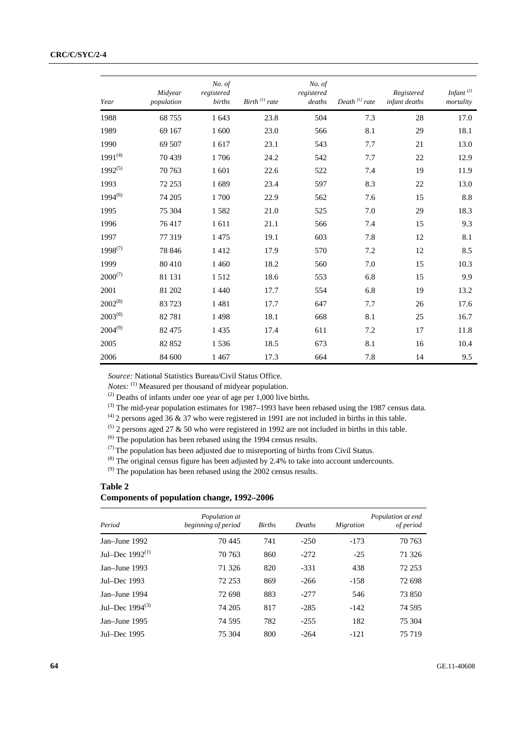| Year         | Midvear<br>population | No. of<br>registered<br>births | Birth $^{(1)}$ rate | No. of<br>registered<br>deaths | Death $^{(1)}$ rate | Registered<br>infant deaths | Infant $(2)$<br>mortality |
|--------------|-----------------------|--------------------------------|---------------------|--------------------------------|---------------------|-----------------------------|---------------------------|
| 1988         | 68 755                | 1 643                          | 23.8                | 504                            | 7.3                 | 28                          | 17.0                      |
| 1989         | 69 167                | 1 600                          | 23.0                | 566                            | 8.1                 | 29                          | 18.1                      |
| 1990         | 69 507                | 1617                           | 23.1                | 543                            | 7.7                 | 21                          | 13.0                      |
| $1991^{(4)}$ | 70 439                | 1706                           | 24.2                | 542                            | 7.7                 | 22                          | 12.9                      |
| $1992^{(5)}$ | 70 763                | 1 601                          | 22.6                | 522                            | 7.4                 | 19                          | 11.9                      |
| 1993         | 72 253                | 1689                           | 23.4                | 597                            | 8.3                 | 22                          | 13.0                      |
| $1994^{(6)}$ | 74 205                | 1700                           | 22.9                | 562                            | 7.6                 | 15                          | 8.8                       |
| 1995         | 75 304                | 1582                           | 21.0                | 525                            | 7.0                 | 29                          | 18.3                      |
| 1996         | 76417                 | 1611                           | 21.1                | 566                            | 7.4                 | 15                          | 9.3                       |
| 1997         | 77 319                | 1475                           | 19.1                | 603                            | 7.8                 | 12                          | 8.1                       |
| $1998^{(7)}$ | 78 846                | 1412                           | 17.9                | 570                            | 7.2                 | 12                          | 8.5                       |
| 1999         | 80 410                | 1 4 6 0                        | 18.2                | 560                            | 7.0                 | 15                          | 10.3                      |
| $2000^{(7)}$ | 81 131                | 1512                           | 18.6                | 553                            | 6.8                 | 15                          | 9.9                       |
| 2001         | 81 202                | 1 4 4 0                        | 17.7                | 554                            | 6.8                 | 19                          | 13.2                      |
| $2002^{(8)}$ | 83 723                | 1481                           | 17.7                | 647                            | 7.7                 | 26                          | 17.6                      |
| $2003^{(8)}$ | 82 781                | 1498                           | 18.1                | 668                            | 8.1                 | 25                          | 16.7                      |
| $2004^{(9)}$ | 82 475                | 1435                           | 17.4                | 611                            | 7.2                 | 17                          | 11.8                      |
| 2005         | 82 852                | 1536                           | 18.5                | 673                            | 8.1                 | 16                          | 10.4                      |
| 2006         | 84 600                | 1467                           | 17.3                | 664                            | 7.8                 | 14                          | 9.5                       |

*Source:* National Statistics Bureau/Civil Status Office.

*Notes*: <sup>(1)</sup> Measured per thousand of midyear population.

(2) Deaths of infants under one year of age per 1,000 live births.

<sup>(3)</sup> The mid-year population estimates for 1987–1993 have been rebased using the 1987 census data.

 $^{(4)}$  2 persons aged 36 & 37 who were registered in 1991 are not included in births in this table.

 $(5)$  2 persons aged 27 & 50 who were registered in 1992 are not included in births in this table.

(6) The population has been rebased using the 1994 census results.

 $(7)$  The population has been adjusted due to misreporting of births from Civil Status.

(8) The original census figure has been adjusted by 2.4% to take into account undercounts.

<sup>(9)</sup> The population has been rebased using the 2002 census results.

## **Table 2 Components of population change, 1992–2006**

| Period               | Population at<br>beginning of period | <b>Births</b> | Deaths | Migration | Population at end<br>of period |
|----------------------|--------------------------------------|---------------|--------|-----------|--------------------------------|
| Jan-June 1992        | 70445                                | 741           | $-250$ | $-173$    | 70 763                         |
| Jul–Dec $1992^{(1)}$ | 70 763                               | 860           | $-272$ | $-25$     | 71 326                         |
| Jan-June 1993        | 71 326                               | 820           | $-331$ | 438       | 72 253                         |
| Jul–Dec $1993$       | 72 253                               | 869           | $-266$ | $-158$    | 72 698                         |
| Jan-June 1994        | 72 698                               | 883           | $-277$ | 546       | 73 850                         |
| Jul–Dec $1994^{(3)}$ | 74 205                               | 817           | $-285$ | $-142$    | 74 595                         |
| Jan-June 1995        | 74 5 95                              | 782           | $-255$ | 182       | 75 304                         |
| Jul–Dec 1995         | 75 304                               | 800           | $-264$ | $-121$    | 75 719                         |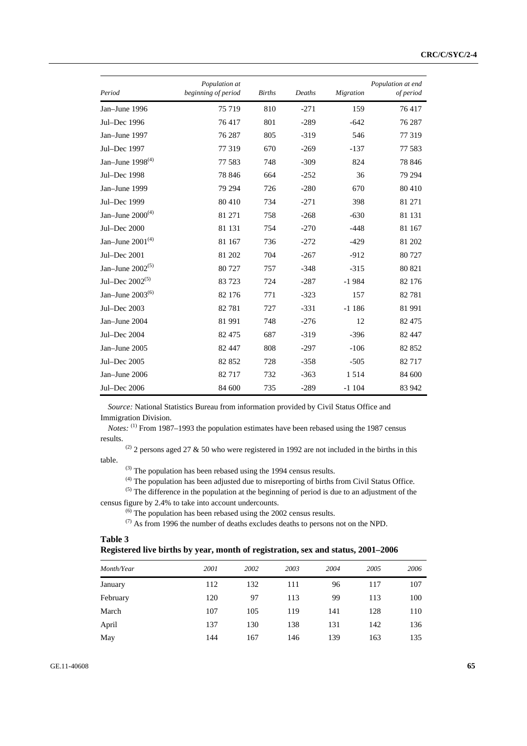| Period                | Population at<br>beginning of period | <b>Births</b> | Deaths | <b>Migration</b> | Population at end<br>of period |
|-----------------------|--------------------------------------|---------------|--------|------------------|--------------------------------|
| Jan-June 1996         | 75 719                               | 810           | $-271$ | 159              | 76417                          |
| Jul-Dec 1996          | 76417                                | 801           | $-289$ | $-642$           | 76 287                         |
| Jan-June 1997         | 76 287                               | 805           | $-319$ | 546              | 77319                          |
| Jul-Dec 1997          | 77 319                               | 670           | $-269$ | $-137$           | 77 583                         |
| Jan-June $1998^{(4)}$ | 77 583                               | 748           | $-309$ | 824              | 78 846                         |
| Jul-Dec 1998          | 78 846                               | 664           | $-252$ | 36               | 79 294                         |
| Jan-June 1999         | 79 294                               | 726           | $-280$ | 670              | 80 410                         |
| Jul-Dec 1999          | 80 410                               | 734           | $-271$ | 398              | 81 271                         |
| Jan-June $2000^{(4)}$ | 81 271                               | 758           | $-268$ | $-630$           | 81 131                         |
| Jul-Dec 2000          | 81 131                               | 754           | $-270$ | $-448$           | 81 167                         |
| Jan-June $2001^{(4)}$ | 81 167                               | 736           | $-272$ | $-429$           | 81 202                         |
| Jul-Dec 2001          | 81 202                               | 704           | $-267$ | $-912$           | 80 727                         |
| Jan-June $2002^{(5)}$ | 80727                                | 757           | $-348$ | $-315$           | 80 821                         |
| Jul-Dec $2002^{(5)}$  | 83723                                | 724           | $-287$ | $-1984$          | 82 176                         |
| Jan-June $2003^{(6)}$ | 82 176                               | 771           | $-323$ | 157              | 82781                          |
| Jul-Dec 2003          | 82781                                | 727           | $-331$ | $-1186$          | 81 991                         |
| Jan-June 2004         | 81 991                               | 748           | $-276$ | 12               | 82 4 7 5                       |
| Jul-Dec 2004          | 82 475                               | 687           | $-319$ | $-396$           | 82 447                         |
| Jan-June 2005         | 82 447                               | 808           | $-297$ | $-106$           | 82 852                         |
| Jul-Dec 2005          | 82 852                               | 728           | $-358$ | $-505$           | 82 717                         |
| Jan-June 2006         | 82717                                | 732           | $-363$ | 1514             | 84 600                         |
| Jul-Dec 2006          | 84 600                               | 735           | $-289$ | $-1104$          | 83 942                         |

*Source:* National Statistics Bureau from information provided by Civil Status Office and Immigration Division.

*Notes:* (1) From 1987–1993 the population estimates have been rebased using the 1987 census results.

(2) 2 persons aged 27  $\&$  50 who were registered in 1992 are not included in the births in this table.

 $^{(3)}$  The population has been rebased using the 1994 census results.

(4) The population has been adjusted due to misreporting of births from Civil Status Office.

 $<sup>(5)</sup>$  The difference in the population at the beginning of period is due to an adjustment of the</sup> census figure by 2.4% to take into account undercounts.

(6) The population has been rebased using the 2002 census results.

<sup>(7)</sup> As from 1996 the number of deaths excludes deaths to persons not on the NPD.

## **Table 3**

| raviv J                                                                          |  |  |
|----------------------------------------------------------------------------------|--|--|
| Registered live births by year, month of registration, sex and status, 2001–2006 |  |  |

| Month/Year | 2001 | 2002 | 2003 | 2004 | 2005 | 2006 |
|------------|------|------|------|------|------|------|
| January    | 112  | 132  | 111  | 96   | 117  | 107  |
| February   | 120  | 97   | 113  | 99   | 113  | 100  |
| March      | 107  | 105  | 119  | 141  | 128  | 110  |
| April      | 137  | 130  | 138  | 131  | 142  | 136  |
| May        | 144  | 167  | 146  | 139  | 163  | 135  |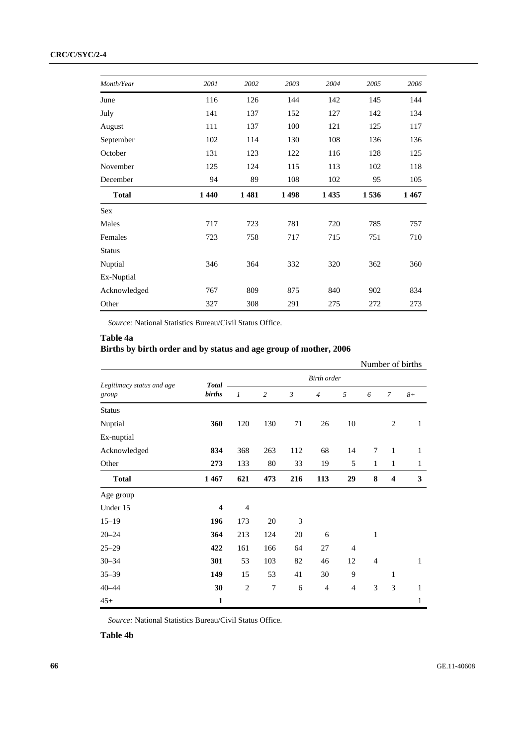## **CRC/C/SYC/2-4**

| Month/Year    | 2001 | 2002 | 2003 | 2004    | 2005 | 2006 |
|---------------|------|------|------|---------|------|------|
| June          | 116  | 126  | 144  | 142     | 145  | 144  |
| July          | 141  | 137  | 152  | 127     | 142  | 134  |
|               |      |      |      |         |      |      |
| August        | 111  | 137  | 100  | 121     | 125  | 117  |
| September     | 102  | 114  | 130  | 108     | 136  | 136  |
| October       | 131  | 123  | 122  | 116     | 128  | 125  |
| November      | 125  | 124  | 115  | 113     | 102  | 118  |
| December      | 94   | 89   | 108  | 102     | 95   | 105  |
| <b>Total</b>  | 1440 | 1481 | 1498 | 1 4 3 5 | 1536 | 1467 |
| <b>Sex</b>    |      |      |      |         |      |      |
| Males         | 717  | 723  | 781  | 720     | 785  | 757  |
| Females       | 723  | 758  | 717  | 715     | 751  | 710  |
| <b>Status</b> |      |      |      |         |      |      |
| Nuptial       | 346  | 364  | 332  | 320     | 362  | 360  |
| Ex-Nuptial    |      |      |      |         |      |      |
| Acknowledged  | 767  | 809  | 875  | 840     | 902  | 834  |
| Other         | 327  | 308  | 291  | 275     | 272  | 273  |

*Source:* National Statistics Bureau/Civil Status Office.

## **Table 4a**

# **Births by birth order and by status and age group of mother, 2006**

|                                    |                         |                    |                  |                |                |                |                |                         | Number of births |
|------------------------------------|-------------------------|--------------------|------------------|----------------|----------------|----------------|----------------|-------------------------|------------------|
|                                    | <b>Total</b>            | <b>Birth</b> order |                  |                |                |                |                |                         |                  |
| Legitimacy status and age<br>group | <b>births</b>           | 1                  | $\overline{c}$   | $\mathfrak{Z}$ | $\overline{4}$ | 5              | 6              | $\overline{7}$          | $8+$             |
| <b>Status</b>                      |                         |                    |                  |                |                |                |                |                         |                  |
| Nuptial                            | 360                     | 120                | 130              | 71             | 26             | 10             |                | 2                       | 1                |
| Ex-nuptial                         |                         |                    |                  |                |                |                |                |                         |                  |
| Acknowledged                       | 834                     | 368                | 263              | 112            | 68             | 14             | $\overline{7}$ | $\mathbf{1}$            | 1                |
| Other                              | 273                     | 133                | 80               | 33             | 19             | 5              | $\mathbf{1}$   | 1                       | $\mathbf{1}$     |
| <b>Total</b>                       | 1467                    | 621                | 473              | 216            | 113            | 29             | 8              | $\overline{\mathbf{4}}$ | 3                |
| Age group                          |                         |                    |                  |                |                |                |                |                         |                  |
| Under 15                           | $\overline{\mathbf{4}}$ | $\overline{4}$     |                  |                |                |                |                |                         |                  |
| $15 - 19$                          | 196                     | 173                | 20               | 3              |                |                |                |                         |                  |
| $20 - 24$                          | 364                     | 213                | 124              | 20             | 6              |                | 1              |                         |                  |
| $25 - 29$                          | 422                     | 161                | 166              | 64             | 27             | $\overline{4}$ |                |                         |                  |
| $30 - 34$                          | 301                     | 53                 | 103              | 82             | 46             | 12             | $\overline{4}$ |                         | 1                |
| $35 - 39$                          | 149                     | 15                 | 53               | 41             | 30             | 9              |                | 1                       |                  |
| $40 - 44$                          | 30                      | $\mathbf{2}$       | $\boldsymbol{7}$ | 6              | $\overline{4}$ | 4              | 3              | 3                       | 1                |
| $45+$                              | 1                       |                    |                  |                |                |                |                |                         | 1                |

*Source:* National Statistics Bureau/Civil Status Office.

**Table 4b**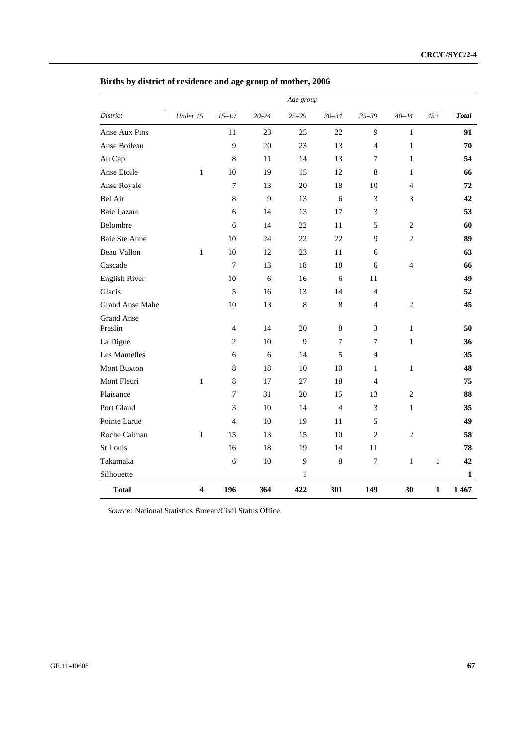|                              |                         |                |           | Age group |                |                |                |              |              |
|------------------------------|-------------------------|----------------|-----------|-----------|----------------|----------------|----------------|--------------|--------------|
| District                     | Under 15                | $15 - 19$      | $20 - 24$ | $25 - 29$ | $30 - 34$      | $35 - 39$      | $40 - 44$      | $45+$        | <b>Total</b> |
| Anse Aux Pins                |                         | 11             | 23        | 25        | 22             | 9              | $\mathbf{1}$   |              | 91           |
| Anse Boileau                 |                         | 9              | 20        | 23        | 13             | $\overline{4}$ | $\mathbf{1}$   |              | 70           |
| Au Cap                       |                         | $\,$ 8 $\,$    | 11        | 14        | 13             | 7              | $\mathbf{1}$   |              | 54           |
| Anse Etoile                  | $\mathbf{1}$            | 10             | 19        | 15        | 12             | 8              | $\mathbf{1}$   |              | 66           |
| Anse Royale                  |                         | $\tau$         | 13        | 20        | 18             | 10             | $\overline{4}$ |              | 72           |
| Bel Air                      |                         | $\,8\,$        | 9         | 13        | 6              | $\mathfrak{Z}$ | 3              |              | 42           |
| <b>Baie Lazare</b>           |                         | 6              | 14        | 13        | 17             | 3              |                |              | 53           |
| Belombre                     |                         | 6              | 14        | 22        | 11             | 5              | $\mathbf{2}$   |              | 60           |
| Baie Ste Anne                |                         | 10             | 24        | 22        | 22             | 9              | $\mathbf{2}$   |              | 89           |
| Beau Vallon                  | $\mathbf{1}$            | 10             | 12        | 23        | 11             | 6              |                |              | 63           |
| Cascade                      |                         | $\tau$         | 13        | 18        | 18             | 6              | $\overline{4}$ |              | 66           |
| <b>English River</b>         |                         | 10             | 6         | 16        | 6              | 11             |                |              | 49           |
| Glacis                       |                         | 5              | 16        | 13        | 14             | $\overline{4}$ |                |              | 52           |
| Grand Anse Mahe              |                         | 10             | 13        | 8         | $\,8\,$        | $\overline{4}$ | $\mathbf{2}$   |              | 45           |
| <b>Grand Anse</b><br>Praslin |                         | $\overline{4}$ | 14        | 20        | 8              | $\mathfrak{Z}$ | $\mathbf{1}$   |              | 50           |
| La Digue                     |                         | $\overline{c}$ | 10        | 9         | $\tau$         | 7              | $\mathbf{1}$   |              | 36           |
| Les Mamelles                 |                         | 6              | 6         | 14        | 5              | $\overline{4}$ |                |              | 35           |
| Mont Buxton                  |                         | $\,$ 8 $\,$    | 18        | 10        | 10             | 1              | $\mathbf{1}$   |              | 48           |
| Mont Fleuri                  | $\mathbf{1}$            | $\,$ 8 $\,$    | 17        | 27        | 18             | $\overline{4}$ |                |              | 75           |
| Plaisance                    |                         | 7              | 31        | 20        | 15             | 13             | $\overline{c}$ |              | 88           |
| Port Glaud                   |                         | 3              | 10        | 14        | $\overline{4}$ | 3              | $\mathbf{1}$   |              | 35           |
| Pointe Larue                 |                         | $\overline{4}$ | 10        | 19        | 11             | 5              |                |              | 49           |
| Roche Caiman                 | $\mathbf{1}$            | 15             | 13        | 15        | 10             | $\overline{2}$ | $\overline{c}$ |              | 58           |
| St Louis                     |                         | 16             | 18        | 19        | 14             | 11             |                |              | 78           |
| Takamaka                     |                         | 6              | 10        | 9         | $\,$ 8 $\,$    | $\tau$         | $\mathbf{1}$   | $\mathbf{1}$ | 42           |
| Silhouette                   |                         |                |           | 1         |                |                |                |              | 1            |
| <b>Total</b>                 | $\overline{\mathbf{4}}$ | 196            | 364       | 422       | 301            | 149            | 30             | $\mathbf{1}$ | 1467         |

# **Births by district of residence and age group of mother, 2006**

*Source:* National Statistics Bureau/Civil Status Office.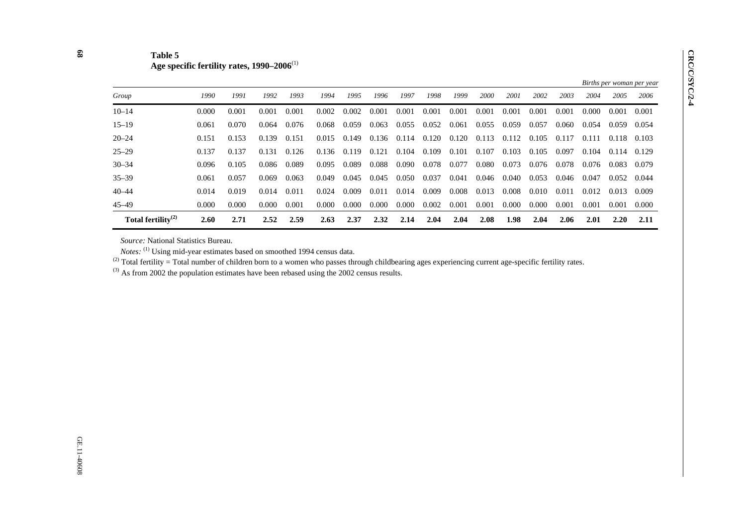| Table 5                                                  |
|----------------------------------------------------------|
| Age specific fertility rates, $1990-2006$ <sup>(1)</sup> |

|                                |       |       |       |       |       |       |       |       |       |       |             |       |       |       |       |       | Births per woman per year |
|--------------------------------|-------|-------|-------|-------|-------|-------|-------|-------|-------|-------|-------------|-------|-------|-------|-------|-------|---------------------------|
| Group                          | 1990  | 1991  | 1992  | 1993  | 1994  | 1995  | 1996  | 1997  | 1998  | 1999  | <b>2000</b> | 2001  | 2002  | 2003  | 2004  | 2005  | 2006                      |
| $10 - 14$                      | 0.000 | 0.001 | 0.001 | 0.001 | 0.002 | 0.002 | 0.001 | 0.001 | 0.001 | 0.001 | 0.001       | 0.001 | 0.001 | 0.001 | 0.000 | 0.001 | 0.001                     |
| $15 - 19$                      | 0.061 | 0.070 | 0.064 | 0.076 | 0.068 | 0.059 | 0.063 | 0.055 | 0.052 | 0.061 | 0.055       | 0.059 | 0.057 | 0.060 | 0.054 | 0.059 | 0.054                     |
| $20 - 24$                      | 0.151 | 0.153 | 0.139 | 0.151 | 0.015 | 0.149 | 0.136 | 0.114 | 0.120 | 0.120 | 0.113       | 0.112 | 0.105 | 0.117 | 0.111 | 0.118 | 0.103                     |
| $25 - 29$                      | 0.137 | 0.137 | 0.131 | 0.126 | 0.136 | 0.119 | 0.121 | 0.104 | 0.109 | 0.101 | 0.107       | 0.103 | 0.105 | 0.097 | 0.104 | 0.114 | 0.129                     |
| $30 - 34$                      | 0.096 | 0.105 | 0.086 | 0.089 | 0.095 | 0.089 | 0.088 | 0.090 | 0.078 | 0.077 | 0.080       | 0.073 | 0.076 | 0.078 | 0.076 | 0.083 | 0.079                     |
| $35 - 39$                      | 0.061 | 0.057 | 0.069 | 0.063 | 0.049 | 0.045 | 0.045 | 0.050 | 0.037 | 0.041 | 0.046       | 0.040 | 0.053 | 0.046 | 0.047 | 0.052 | 0.044                     |
| $40 - 44$                      | 0.014 | 0.019 | 0.014 | 0.011 | 0.024 | 0.009 | 0.011 | 0.014 | 0.009 | 0.008 | 0.013       | 0.008 | 0.010 | 0.011 | 0.012 | 0.013 | 0.009                     |
| $45 - 49$                      | 0.000 | 0.000 | 0.000 | 0.001 | 0.000 | 0.000 | 0.000 | 0.000 | 0.002 | 0.001 | 0.001       | 0.000 | 0.000 | 0.001 | 0.001 | 0.001 | 0.000                     |
| Total fertility <sup>(2)</sup> | 2.60  | 2.71  | 2.52  | 2.59  | 2.63  | 2.37  | 2.32  | 2.14  | 2.04  | 2.04  | 2.08        | 1.98  | 2.04  | 2.06  | 2.01  | 2.20  | 2.11                      |

*Source:* National Statistics Bureau.

*Notes*: <sup>(1)</sup> Using mid-year estimates based on smoothed 1994 census data.

 $^{(2)}$  Total fertility = Total number of children born to a women who passes through childbearing ages experiencing current age-specific fertility rates.

 $(3)$  As from 2002 the population estimates have been rebased using the 2002 census results.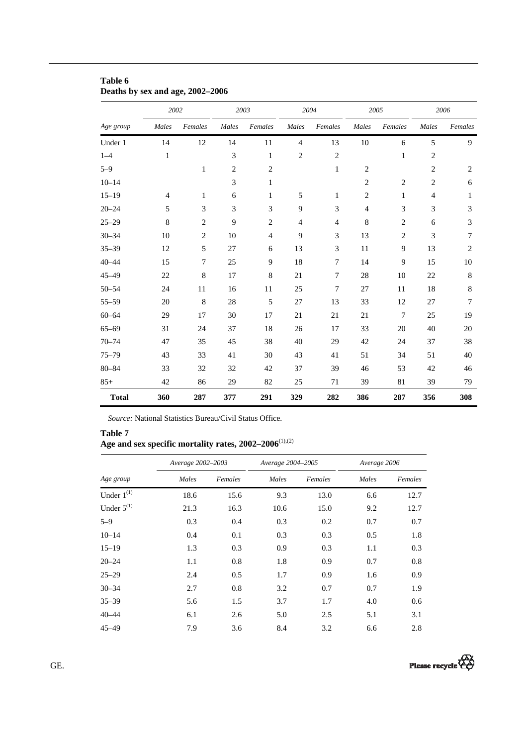|              | 2002           |                | 2003           |                | 2004           |                | 2005           |                  |                | 2006           |
|--------------|----------------|----------------|----------------|----------------|----------------|----------------|----------------|------------------|----------------|----------------|
| Age group    | Males          | Females        | Males          | Females        | Males          | Females        | Males          | Females          | Males          | Females        |
| Under 1      | 14             | 12             | 14             | 11             | $\overline{4}$ | 13             | 10             | 6                | 5              | 9              |
| $1 - 4$      | $\mathbf{1}$   |                | 3              | $\mathbf{1}$   | $\overline{c}$ | $\overline{c}$ |                | $\mathbf{1}$     | $\overline{c}$ |                |
| $5 - 9$      |                | $\mathbf{1}$   | $\overline{2}$ | $\overline{2}$ |                | $\mathbf{1}$   | $\overline{2}$ |                  | $\overline{c}$ | $\overline{2}$ |
| $10 - 14$    |                |                | 3              | 1              |                |                | $\overline{2}$ | $\overline{c}$   | $\overline{c}$ | $\sqrt{6}$     |
| $15 - 19$    | $\overline{4}$ | 1              | 6              | 1              | 5              | 1              | $\overline{c}$ | $\mathbf{1}$     | 4              | $\mathbf{1}$   |
| $20 - 24$    | 5              | 3              | 3              | 3              | 9              | 3              | $\overline{4}$ | 3                | 3              | 3              |
| $25 - 29$    | $\,8\,$        | $\overline{c}$ | $\overline{9}$ | $\sqrt{2}$     | $\overline{4}$ | $\overline{4}$ | $\,$ 8 $\,$    | $\sqrt{2}$       | 6              | $\mathfrak{Z}$ |
| $30 - 34$    | 10             | $\overline{c}$ | 10             | $\overline{4}$ | 9              | 3              | 13             | $\overline{c}$   | 3              | 7              |
| $35 - 39$    | 12             | 5              | 27             | 6              | 13             | 3              | 11             | 9                | 13             | $\overline{2}$ |
| $40 - 44$    | 15             | 7              | 25             | $\overline{9}$ | 18             | $\overline{7}$ | 14             | $\mathbf{9}$     | 15             | 10             |
| $45 - 49$    | 22             | $\,8$          | 17             | 8              | 21             | $\overline{7}$ | 28             | 10               | 22             | $\,8\,$        |
| $50 - 54$    | 24             | 11             | 16             | 11             | 25             | 7              | 27             | 11               | 18             | 8              |
| $55 - 59$    | 20             | $\,8\,$        | 28             | $\sqrt{5}$     | 27             | 13             | 33             | 12               | 27             | $\overline{7}$ |
| $60 - 64$    | 29             | 17             | 30             | 17             | 21             | 21             | 21             | $\boldsymbol{7}$ | 25             | 19             |
| $65 - 69$    | 31             | 24             | 37             | $18\,$         | 26             | 17             | 33             | 20               | 40             | 20             |
| $70 - 74$    | 47             | 35             | 45             | 38             | 40             | 29             | 42             | 24               | 37             | 38             |
| $75 - 79$    | 43             | 33             | 41             | 30             | 43             | 41             | 51             | 34               | 51             | 40             |
| $80 - 84$    | 33             | 32             | 32             | 42             | 37             | 39             | 46             | 53               | 42             | 46             |
| $85+$        | 42             | 86             | 29             | 82             | 25             | 71             | 39             | 81               | 39             | 79             |
| <b>Total</b> | 360            | 287            | 377            | 291            | 329            | 282            | 386            | 287              | 356            | 308            |

## **Table 6 Deaths by sex and age, 2002–2006**

*Source:* National Statistics Bureau/Civil Status Office.

**Table 7**  Age and sex specific mortality rates, 2002–2006<sup>(1),(2)</sup>

|                 | Average 2002-2003 |         | Average 2004-2005 |         | Average 2006 |         |  |
|-----------------|-------------------|---------|-------------------|---------|--------------|---------|--|
| Age group       | Males             | Females | Males             | Females | Males        | Females |  |
| Under $1^{(1)}$ | 18.6              | 15.6    | 9.3               | 13.0    | 6.6          | 12.7    |  |
| Under $5^{(1)}$ | 21.3              | 16.3    | 10.6              | 15.0    | 9.2          | 12.7    |  |
| $5 - 9$         | 0.3               | 0.4     | 0.3               | 0.2     | 0.7          | 0.7     |  |
| $10 - 14$       | 0.4               | 0.1     | 0.3               | 0.3     | 0.5          | 1.8     |  |
| $15 - 19$       | 1.3               | 0.3     | 0.9               | 0.3     | 1.1          | 0.3     |  |
| $20 - 24$       | 1.1               | 0.8     | 1.8               | 0.9     | 0.7          | 0.8     |  |
| $25 - 29$       | 2.4               | 0.5     | 1.7               | 0.9     | 1.6          | 0.9     |  |
| $30 - 34$       | 2.7               | 0.8     | 3.2               | 0.7     | 0.7          | 1.9     |  |
| $35 - 39$       | 5.6               | 1.5     | 3.7               | 1.7     | 4.0          | 0.6     |  |
| $40 - 44$       | 6.1               | 2.6     | 5.0               | 2.5     | 5.1          | 3.1     |  |
| $45 - 49$       | 7.9               | 3.6     | 8.4               | 3.2     | 6.6          | 2.8     |  |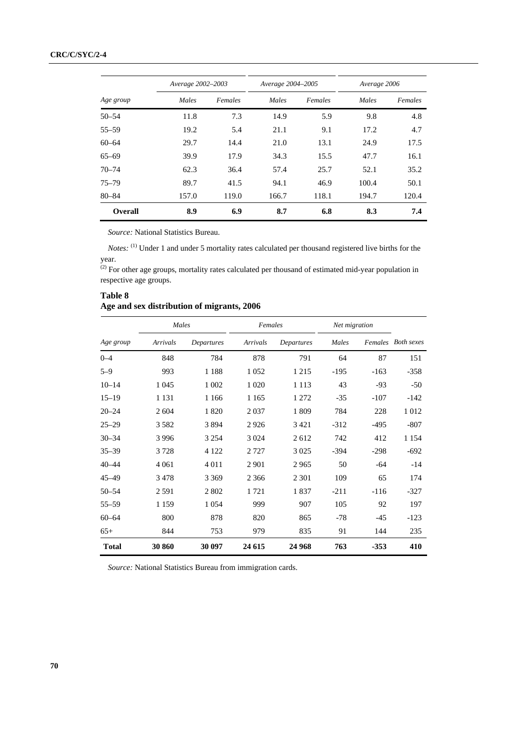|           | Average 2002-2003 |         | Average 2004-2005 |         | Average 2006 |         |
|-----------|-------------------|---------|-------------------|---------|--------------|---------|
| Age group | Males             | Females | Males             | Females | Males        | Females |
| $50 - 54$ | 11.8              | 7.3     | 14.9              | 5.9     | 9.8          | 4.8     |
| $55 - 59$ | 19.2              | 5.4     | 21.1              | 9.1     | 17.2         | 4.7     |
| $60 - 64$ | 29.7              | 14.4    | 21.0              | 13.1    | 24.9         | 17.5    |
| $65 - 69$ | 39.9              | 17.9    | 34.3              | 15.5    | 47.7         | 16.1    |
| $70 - 74$ | 62.3              | 36.4    | 57.4              | 25.7    | 52.1         | 35.2    |
| $75 - 79$ | 89.7              | 41.5    | 94.1              | 46.9    | 100.4        | 50.1    |
| $80 - 84$ | 157.0             | 119.0   | 166.7             | 118.1   | 194.7        | 120.4   |
| Overall   | 8.9               | 6.9     | 8.7               | 6.8     | 8.3          | 7.4     |

*Source:* National Statistics Bureau.

*Notes*: <sup>(1)</sup> Under 1 and under 5 mortality rates calculated per thousand registered live births for the year.

 $^{(2)}$  For other age groups, mortality rates calculated per thousand of estimated mid-year population in respective age groups.

#### **Table 8 Age and sex distribution of migrants, 2006**

|              | Males    |            | Females  |            | Net migration |        |                    |
|--------------|----------|------------|----------|------------|---------------|--------|--------------------|
| Age group    | Arrivals | Departures | Arrivals | Departures | Males         |        | Females Both sexes |
| $0 - 4$      | 848      | 784        | 878      | 791        | 64            | 87     | 151                |
| $5 - 9$      | 993      | 1 1 8 8    | 1 0 5 2  | 1 2 1 5    | $-195$        | $-163$ | $-358$             |
| $10 - 14$    | 1 0 4 5  | 1 0 0 2    | 1 0 20   | 1 1 1 3    | 43            | $-93$  | $-50$              |
| $15 - 19$    | 1 1 3 1  | 1 1 6 6    | 1 1 6 5  | 1 272      | $-35$         | $-107$ | $-142$             |
| $20 - 24$    | 2 604    | 1820       | 2037     | 1809       | 784           | 228    | 1012               |
| $25 - 29$    | 3582     | 3894       | 2926     | 3 4 2 1    | $-312$        | $-495$ | $-807$             |
| $30 - 34$    | 3996     | 3 2 5 4    | 3 0 24   | 2612       | 742           | 412    | 1 1 5 4            |
| $35 - 39$    | 3728     | 4 1 2 2    | 2 7 2 7  | 3 0 2 5    | $-394$        | $-298$ | $-692$             |
| $40 - 44$    | 4 0 6 1  | 4 0 1 1    | 2 9 0 1  | 2965       | 50            | $-64$  | $-14$              |
| $45 - 49$    | 3478     | 3 3 6 9    | 2 3 6 6  | 2 3 0 1    | 109           | 65     | 174                |
| $50 - 54$    | 2 5 9 1  | 2 802      | 1721     | 1837       | $-211$        | $-116$ | $-327$             |
| $55 - 59$    | 1 1 5 9  | 1 0 5 4    | 999      | 907        | 105           | 92     | 197                |
| $60 - 64$    | 800      | 878        | 820      | 865        | $-78$         | $-45$  | $-123$             |
| $65+$        | 844      | 753        | 979      | 835        | 91            | 144    | 235                |
| <b>Total</b> | 30 860   | 30 097     | 24 615   | 24 968     | 763           | $-353$ | 410                |

*Source:* National Statistics Bureau from immigration cards.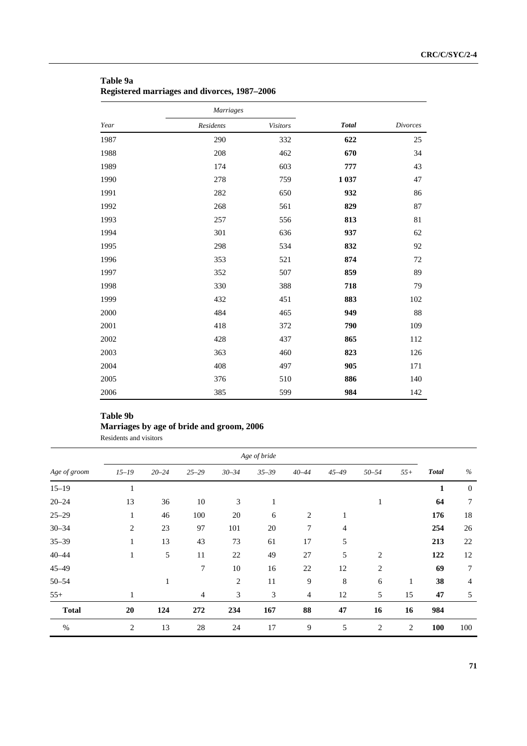|      | <b>Marriages</b> |                 |              |                 |
|------|------------------|-----------------|--------------|-----------------|
| Year | Residents        | <b>Visitors</b> | <b>Total</b> | <b>Divorces</b> |
| 1987 | 290              | 332             | 622          | 25              |
| 1988 | 208              | 462             | 670          | 34              |
| 1989 | 174              | 603             | 777          | 43              |
| 1990 | 278              | 759             | 1 0 3 7      | 47              |
| 1991 | 282              | 650             | 932          | 86              |
| 1992 | 268              | 561             | 829          | 87              |
| 1993 | 257              | 556             | 813          | 81              |
| 1994 | 301              | 636             | 937          | 62              |
| 1995 | 298              | 534             | 832          | 92              |
| 1996 | 353              | 521             | 874          | 72              |
| 1997 | 352              | 507             | 859          | 89              |
| 1998 | 330              | 388             | 718          | 79              |
| 1999 | 432              | 451             | 883          | 102             |
| 2000 | 484              | 465             | 949          | 88              |
| 2001 | 418              | 372             | 790          | 109             |
| 2002 | 428              | 437             | 865          | 112             |
| 2003 | 363              | 460             | 823          | 126             |
| 2004 | 408              | 497             | 905          | 171             |
| 2005 | 376              | 510             | 886          | 140             |
| 2006 | 385              | 599             | 984          | 142             |

## **Table 9a Registered marriages and divorces, 1987–2006**

## **Table 9b**

# **Marriages by age of bride and groom, 2006**

Residents and visitors

|              |                |           |                |           | Age of bride |                |           |                |       |              |                |
|--------------|----------------|-----------|----------------|-----------|--------------|----------------|-----------|----------------|-------|--------------|----------------|
| Age of groom | $15 - 19$      | $20 - 24$ | $25 - 29$      | $30 - 34$ | $35 - 39$    | $40 - 44$      | $45 - 49$ | $50 - 54$      | $55+$ | <b>Total</b> | $\%$           |
| $15 - 19$    | 1              |           |                |           |              |                |           |                |       | 1            | $\mathbf{0}$   |
| $20 - 24$    | 13             | 36        | 10             | 3         | 1            |                |           | 1              |       | 64           | $\overline{7}$ |
| $25 - 29$    | $\mathbf{1}$   | 46        | 100            | 20        | 6            | $\overline{2}$ | 1         |                |       | 176          | 18             |
| $30 - 34$    | $\overline{2}$ | 23        | 97             | 101       | 20           | 7              | 4         |                |       | 254          | 26             |
| $35 - 39$    | 1              | 13        | 43             | 73        | 61           | 17             | 5         |                |       | 213          | 22             |
| $40 - 44$    | $\mathbf{1}$   | 5         | 11             | 22        | 49           | 27             | 5         | $\overline{c}$ |       | 122          | 12             |
| $45 - 49$    |                |           | $\tau$         | 10        | 16           | 22             | 12        | $\overline{c}$ |       | 69           | 7              |
| $50 - 54$    |                |           |                | 2         | 11           | 9              | 8         | 6              | 1     | 38           | 4              |
| $55+$        | 1              |           | $\overline{4}$ | 3         | 3            | 4              | 12        | 5              | 15    | 47           | 5              |
| <b>Total</b> | 20             | 124       | 272            | 234       | 167          | 88             | 47        | 16             | 16    | 984          |                |
| %            | $\overline{2}$ | 13        | 28             | 24        | 17           | 9              | 5         | 2              | 2     | 100          | 100            |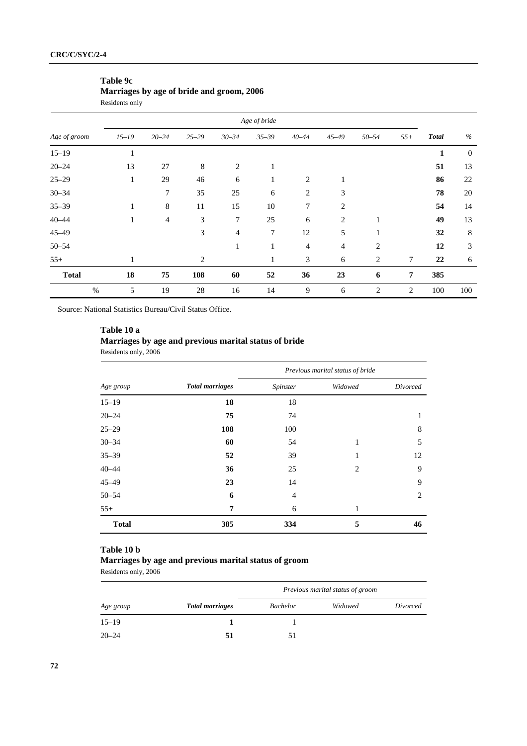## **Table 9c Marriages by age of bride and groom, 2006**

Residents only

|              |              |                |                |                | Age of bride |                |                |                |        |              |              |
|--------------|--------------|----------------|----------------|----------------|--------------|----------------|----------------|----------------|--------|--------------|--------------|
| Age of groom | $15 - 19$    | $20 - 24$      | $25 - 29$      | $30 - 34$      | $35 - 39$    | $40 - 44$      | $45 - 49$      | $50 - 54$      | $55+$  | <b>Total</b> | %            |
| $15 - 19$    | $\mathbf{1}$ |                |                |                |              |                |                |                |        | 1            | $\mathbf{0}$ |
| $20 - 24$    | 13           | 27             | $\,8$          | 2              | 1            |                |                |                |        | 51           | 13           |
| $25 - 29$    | $\mathbf{1}$ | 29             | 46             | 6              | $\mathbf{1}$ | $\overline{2}$ | 1              |                |        | 86           | 22           |
| $30 - 34$    |              | 7              | 35             | 25             | 6            | $\overline{2}$ | 3              |                |        | 78           | 20           |
| $35 - 39$    | $\mathbf{1}$ | $\,8\,$        | 11             | 15             | 10           | $\tau$         | $\overline{2}$ |                |        | 54           | 14           |
| $40 - 44$    | $\mathbf{1}$ | $\overline{4}$ | 3              | $\tau$         | 25           | 6              | $\overline{2}$ | 1              |        | 49           | 13           |
| $45 - 49$    |              |                | 3              | $\overline{4}$ | 7            | 12             | 5              | 1              |        | 32           | 8            |
| $50 - 54$    |              |                |                | $\mathbf{1}$   | 1            | $\overline{4}$ | $\overline{4}$ | $\overline{2}$ |        | 12           | 3            |
| $55+$        | $\mathbf{1}$ |                | $\overline{c}$ |                |              | 3              | 6              | $\overline{c}$ | $\tau$ | 22           | 6            |
| <b>Total</b> | 18           | 75             | 108            | 60             | 52           | 36             | 23             | 6              | 7      | 385          |              |
| $\%$         | 5            | 19             | 28             | 16             | 14           | 9              | 6              | $\overline{2}$ | 2      | 100          | 100          |

Source: National Statistics Bureau/Civil Status Office.

## **Table 10 a**

## **Marriages by age and previous marital status of bride**

Residents only, 2006

|              |                        | Previous marital status of bride |         |          |  |  |  |  |  |  |
|--------------|------------------------|----------------------------------|---------|----------|--|--|--|--|--|--|
| Age group    | <b>Total marriages</b> | Spinster                         | Widowed | Divorced |  |  |  |  |  |  |
| $15 - 19$    | 18                     | 18                               |         |          |  |  |  |  |  |  |
| $20 - 24$    | 75                     | 74                               |         | 1        |  |  |  |  |  |  |
| $25 - 29$    | 108                    | 100                              |         | 8        |  |  |  |  |  |  |
| $30 - 34$    | 60                     | 54                               | 1       | 5        |  |  |  |  |  |  |
| $35 - 39$    | 52                     | 39                               |         | 12       |  |  |  |  |  |  |
| $40 - 44$    | 36                     | 25                               | 2       | 9        |  |  |  |  |  |  |
| $45 - 49$    | 23                     | 14                               |         | 9        |  |  |  |  |  |  |
| $50 - 54$    | 6                      | 4                                |         | 2        |  |  |  |  |  |  |
| $55+$        | 7                      | 6                                | 1       |          |  |  |  |  |  |  |
| <b>Total</b> | 385                    | 334                              | 5       | 46       |  |  |  |  |  |  |

## **Table 10 b**

## **Marriages by age and previous marital status of groom**

Residents only, 2006

|           |                        | Previous marital status of groom |         |          |  |  |  |  |  |
|-----------|------------------------|----------------------------------|---------|----------|--|--|--|--|--|
| Age group | <b>Total marriages</b> | <b>Bachelor</b>                  | Widowed | Divorced |  |  |  |  |  |
| $15 - 19$ |                        |                                  |         |          |  |  |  |  |  |
| $20 - 24$ |                        | 51                               |         |          |  |  |  |  |  |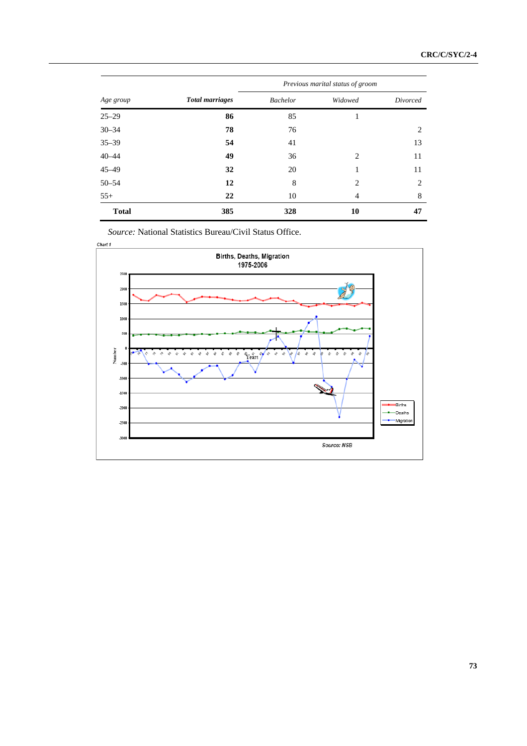|              |                        | Previous marital status of groom |         |          |  |  |  |
|--------------|------------------------|----------------------------------|---------|----------|--|--|--|
| Age group    | <b>Total marriages</b> | <b>Bachelor</b>                  | Widowed | Divorced |  |  |  |
| $25 - 29$    | 86                     | 85                               | 1       |          |  |  |  |
| $30 - 34$    | 78                     | 76                               |         | 2        |  |  |  |
| $35 - 39$    | 54                     | 41                               |         | 13       |  |  |  |
| $40 - 44$    | 49                     | 36                               | 2       | 11       |  |  |  |
| $45 - 49$    | 32                     | 20                               | 1       | 11       |  |  |  |
| $50 - 54$    | 12                     | 8                                | 2       | 2        |  |  |  |
| $55+$        | 22                     | 10                               | 4       | 8        |  |  |  |
| <b>Total</b> | 385                    | 328                              | 10      | 47       |  |  |  |

*Source:* National Statistics Bureau/Civil Status Office.

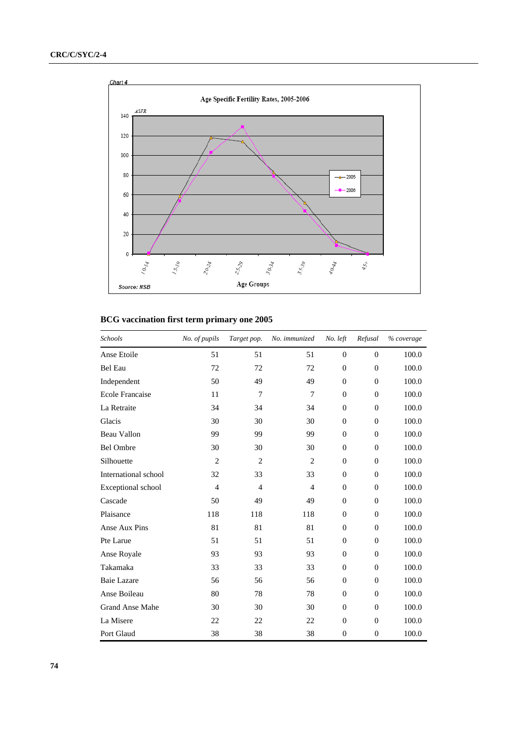

### **BCG vaccination first term primary one 2005**

| Schools                | No. of pupils  | Target pop.    | No. immunized  | No. left     | Refusal      | % coverage |
|------------------------|----------------|----------------|----------------|--------------|--------------|------------|
| Anse Etoile            | 51             | 51             | 51             | $\mathbf{0}$ | $\theta$     | 100.0      |
| <b>Bel Eau</b>         | 72             | 72             | 72             | $\theta$     | $\theta$     | 100.0      |
| Independent            | 50             | 49             | 49             | $\Omega$     | $\theta$     | 100.0      |
| <b>Ecole Francaise</b> | 11             | $\overline{7}$ | 7              | $\Omega$     | $\Omega$     | 100.0      |
| La Retraite            | 34             | 34             | 34             | $\mathbf{0}$ | $\theta$     | 100.0      |
| Glacis                 | 30             | 30             | 30             | $\mathbf{0}$ | $\theta$     | 100.0      |
| Beau Vallon            | 99             | 99             | 99             | $\theta$     | $\theta$     | 100.0      |
| <b>Bel Ombre</b>       | 30             | 30             | 30             | $\mathbf{0}$ | $\theta$     | 100.0      |
| Silhouette             | $\overline{2}$ | 2              | $\overline{2}$ | $\Omega$     | $\Omega$     | 100.0      |
| International school   | 32             | 33             | 33             | $\mathbf{0}$ | $\theta$     | 100.0      |
| Exceptional school     | $\overline{4}$ | $\overline{4}$ | $\overline{4}$ | $\mathbf{0}$ | $\theta$     | 100.0      |
| Cascade                | 50             | 49             | 49             | $\theta$     | $\theta$     | 100.0      |
| Plaisance              | 118            | 118            | 118            | $\mathbf{0}$ | $\theta$     | 100.0      |
| Anse Aux Pins          | 81             | 81             | 81             | $\Omega$     | $\Omega$     | 100.0      |
| Pte Larue              | 51             | 51             | 51             | $\mathbf{0}$ | $\theta$     | 100.0      |
| Anse Royale            | 93             | 93             | 93             | $\theta$     | $\theta$     | 100.0      |
| Takamaka               | 33             | 33             | 33             | $\theta$     | $\theta$     | 100.0      |
| <b>Baie Lazare</b>     | 56             | 56             | 56             | $\mathbf{0}$ | $\theta$     | 100.0      |
| Anse Boileau           | 80             | 78             | 78             | $\mathbf{0}$ | $\theta$     | 100.0      |
| <b>Grand Anse Mahe</b> | 30             | 30             | 30             | $\mathbf{0}$ | $\theta$     | 100.0      |
| La Misere              | 22             | 22             | 22             | $\mathbf{0}$ | $\theta$     | 100.0      |
| Port Glaud             | 38             | 38             | 38             | $\theta$     | $\mathbf{0}$ | 100.0      |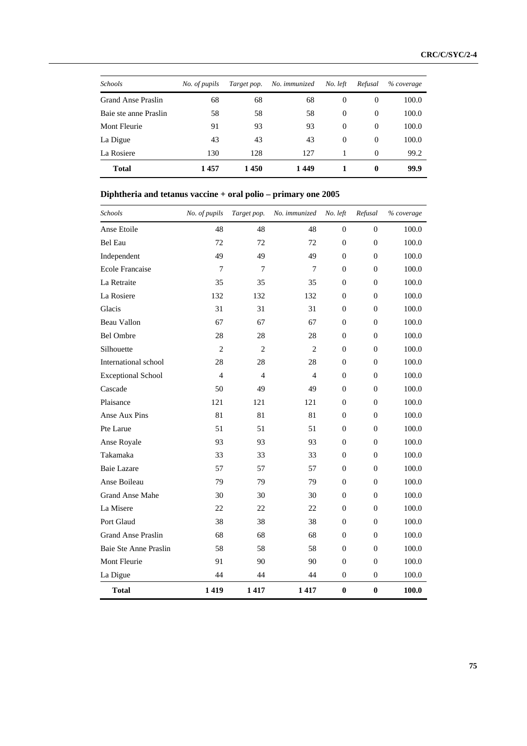| <b>Schools</b>        | No. of pupils | Target pop. | No. immunized | No. left | Refusal     | % coverage |
|-----------------------|---------------|-------------|---------------|----------|-------------|------------|
| Grand Anse Praslin    | 68            | 68          | 68            | $\Omega$ | $\Omega$    | 100.0      |
| Baie ste anne Praslin | 58            | 58          | 58            | $\Omega$ | $\Omega$    | 100.0      |
| Mont Fleurie          | 91            | 93          | 93            | $\Omega$ | $\Omega$    | 100.0      |
| La Digue              | 43            | 43          | 43            | $\Omega$ | $\Omega$    | 100.0      |
| La Rosiere            | 130           | 128         | 127           |          | $\Omega$    | 99.2       |
| <b>Total</b>          | 1457          | 1450        | 1449          |          | $\mathbf 0$ | 99.9       |

## **Diphtheria and tetanus vaccine + oral polio – primary one 2005**

| Schools                   | No. of pupils               | Target pop.    | No. immunized  | No. left         | Refusal        | % coverage |
|---------------------------|-----------------------------|----------------|----------------|------------------|----------------|------------|
| Anse Etoile               | 48                          | 48             | 48             | $\boldsymbol{0}$ | $\overline{0}$ | 100.0      |
| <b>Bel Eau</b>            | 72                          | 72             | 72             | $\overline{0}$   | $\overline{0}$ | 100.0      |
| Independent               | 49                          | 49             | 49             | $\overline{0}$   | $\overline{0}$ | 100.0      |
| <b>Ecole Francaise</b>    | $\overline{7}$              | $\overline{7}$ | 7              | $\boldsymbol{0}$ | $\overline{0}$ | 100.0      |
| La Retraite               | 35                          | 35             | 35             | $\overline{0}$   | $\theta$       | 100.0      |
| La Rosiere                | 132                         | 132            | 132            | $\overline{0}$   | $\overline{0}$ | 100.0      |
| Glacis                    | 31                          | 31             | 31             | $\Omega$         | $\Omega$       | 100.0      |
| <b>Beau Vallon</b>        | 67                          | 67             | 67             | $\overline{0}$   | $\overline{0}$ | 100.0      |
| <b>Bel Ombre</b>          | 28                          | 28             | 28             | $\overline{0}$   | $\Omega$       | 100.0      |
| Silhouette                | $\mathcal{D}_{\mathcal{L}}$ | 2              | 2              | $\mathbf{0}$     | $\Omega$       | 100.0      |
| International school      | 28                          | 28             | 28             | $\overline{0}$   | $\overline{0}$ | 100.0      |
| <b>Exceptional School</b> | $\overline{4}$              | $\overline{4}$ | $\overline{4}$ | $\mathbf{0}$     | $\overline{0}$ | 100.0      |
| Cascade                   | 50                          | 49             | 49             | $\overline{0}$   | $\Omega$       | 100.0      |
| Plaisance                 | 121                         | 121            | 121            | $\overline{0}$   | $\overline{0}$ | 100.0      |
| Anse Aux Pins             | 81                          | 81             | 81             | $\boldsymbol{0}$ | $\overline{0}$ | 100.0      |
| Pte Larue                 | 51                          | 51             | 51             | $\overline{0}$   | $\theta$       | 100.0      |
| Anse Royale               | 93                          | 93             | 93             | $\overline{0}$   | $\overline{0}$ | 100.0      |
| Takamaka                  | 33                          | 33             | 33             | $\Omega$         | $\Omega$       | 100.0      |
| <b>Baie Lazare</b>        | 57                          | 57             | 57             | $\overline{0}$   | $\Omega$       | 100.0      |
| Anse Boileau              | 79                          | 79             | 79             | $\overline{0}$   | $\Omega$       | 100.0      |
| <b>Grand Anse Mahe</b>    | 30                          | 30             | 30             | $\theta$         | $\Omega$       | 100.0      |
| La Misere                 | 22                          | 22             | 22             | $\boldsymbol{0}$ | $\overline{0}$ | 100.0      |
| Port Glaud                | 38                          | 38             | 38             | $\boldsymbol{0}$ | $\overline{0}$ | 100.0      |
| <b>Grand Anse Praslin</b> | 68                          | 68             | 68             | $\overline{0}$   | $\theta$       | 100.0      |
| Baie Ste Anne Praslin     | 58                          | 58             | 58             | $\boldsymbol{0}$ | $\overline{0}$ | 100.0      |
| Mont Fleurie              | 91                          | 90             | 90             | $\theta$         | $\theta$       | 100.0      |
| La Digue                  | 44                          | 44             | 44             | $\boldsymbol{0}$ | $\overline{0}$ | 100.0      |
| <b>Total</b>              | 1419                        | 1417           | 1417           | $\bf{0}$         | $\bf{0}$       | 100.0      |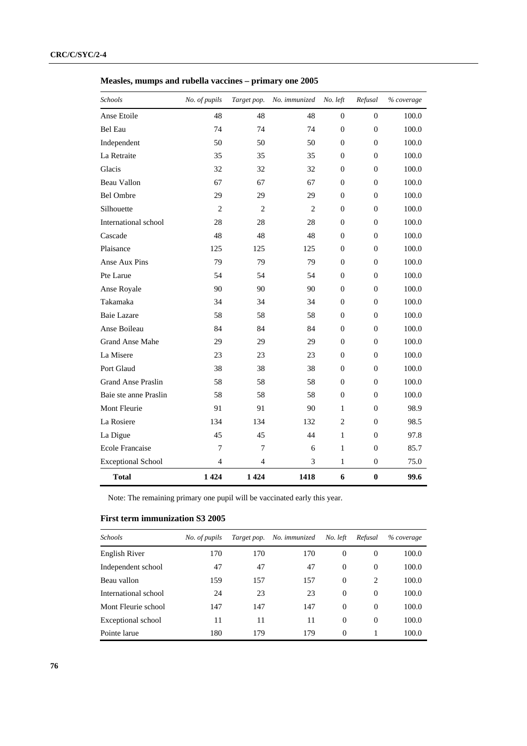**Measles, mumps and rubella vaccines – primary one 2005** 

| Schools                   | No. of pupils  | Target pop.    | No. immunized  | No. left       | Refusal        | % coverage |
|---------------------------|----------------|----------------|----------------|----------------|----------------|------------|
| Anse Etoile               | 48             | 48             | 48             | $\Omega$       | $\Omega$       | 100.0      |
| <b>Bel Eau</b>            | 74             | 74             | 74             | $\overline{0}$ | $\overline{0}$ | 100.0      |
| Independent               | 50             | 50             | 50             | $\overline{0}$ | $\overline{0}$ | 100.0      |
| La Retraite               | 35             | 35             | 35             | $\overline{0}$ | $\mathbf{0}$   | 100.0      |
| Glacis                    | 32             | 32             | 32             | $\Omega$       | $\Omega$       | 100.0      |
| Beau Vallon               | 67             | 67             | 67             | $\Omega$       | $\Omega$       | 100.0      |
| <b>Bel Ombre</b>          | 29             | 29             | 29             | $\theta$       | $\Omega$       | 100.0      |
| Silhouette                | $\overline{2}$ | $\overline{2}$ | $\overline{2}$ | $\theta$       | $\overline{0}$ | 100.0      |
| International school      | 28             | 28             | 28             | $\theta$       | $\Omega$       | 100.0      |
| Cascade                   | 48             | 48             | 48             | $\theta$       | $\overline{0}$ | 100.0      |
| Plaisance                 | 125            | 125            | 125            | $\theta$       | $\Omega$       | 100.0      |
| Anse Aux Pins             | 79             | 79             | 79             | $\theta$       | $\Omega$       | 100.0      |
| Pte Larue                 | 54             | 54             | 54             | $\theta$       | $\Omega$       | 100.0      |
| Anse Royale               | 90             | 90             | 90             | $\theta$       | $\overline{0}$ | 100.0      |
| Takamaka                  | 34             | 34             | 34             | $\overline{0}$ | $\overline{0}$ | 100.0      |
| Baie Lazare               | 58             | 58             | 58             | $\overline{0}$ | $\mathbf{0}$   | 100.0      |
| Anse Boileau              | 84             | 84             | 84             | $\Omega$       | $\Omega$       | 100.0      |
| <b>Grand Anse Mahe</b>    | 29             | 29             | 29             | $\theta$       | $\Omega$       | 100.0      |
| La Misere                 | 23             | 23             | 23             | $\theta$       | $\mathbf{0}$   | 100.0      |
| Port Glaud                | 38             | 38             | 38             | $\theta$       | $\Omega$       | 100.0      |
| <b>Grand Anse Praslin</b> | 58             | 58             | 58             | $\Omega$       | $\theta$       | 100.0      |
| Baie ste anne Praslin     | 58             | 58             | 58             | $\theta$       | $\overline{0}$ | 100.0      |
| Mont Fleurie              | 91             | 91             | 90             | 1              | $\Omega$       | 98.9       |
| La Rosiere                | 134            | 134            | 132            | $\overline{2}$ | $\Omega$       | 98.5       |
| La Digue                  | 45             | 45             | 44             | $\mathbf{1}$   | $\Omega$       | 97.8       |
| <b>Ecole Francaise</b>    | 7              | 7              | 6              | $\mathbf{1}$   | $\Omega$       | 85.7       |
| <b>Exceptional School</b> | $\overline{4}$ | 4              | 3              | $\mathbf{1}$   | $\mathbf{0}$   | 75.0       |
| <b>Total</b>              | 1424           | 1 4 2 4        | 1418           | 6              | $\bf{0}$       | 99.6       |

Note: The remaining primary one pupil will be vaccinated early this year.

#### **First term immunization S3 2005**

| <b>Schools</b>       | No. of pupils | Target pop. | No. immunized | No. left | Refusal  | % coverage |
|----------------------|---------------|-------------|---------------|----------|----------|------------|
| English River        | 170           | 170         | 170           | $\Omega$ | $\Omega$ | 100.0      |
| Independent school   | 47            | 47          | 47            | $\Omega$ | $\Omega$ | 100.0      |
| Beau vallon          | 159           | 157         | 157           | $\Omega$ | 2        | 100.0      |
| International school | 24            | 23          | 23            | $\Omega$ | $\Omega$ | 100.0      |
| Mont Fleurie school  | 147           | 147         | 147           | $\Omega$ | $\Omega$ | 100.0      |
| Exceptional school   | 11            | 11          | 11            | $\Omega$ | $\Omega$ | 100.0      |
| Pointe larue         | 180           | 179         | 179           | $\Omega$ |          | 100.0      |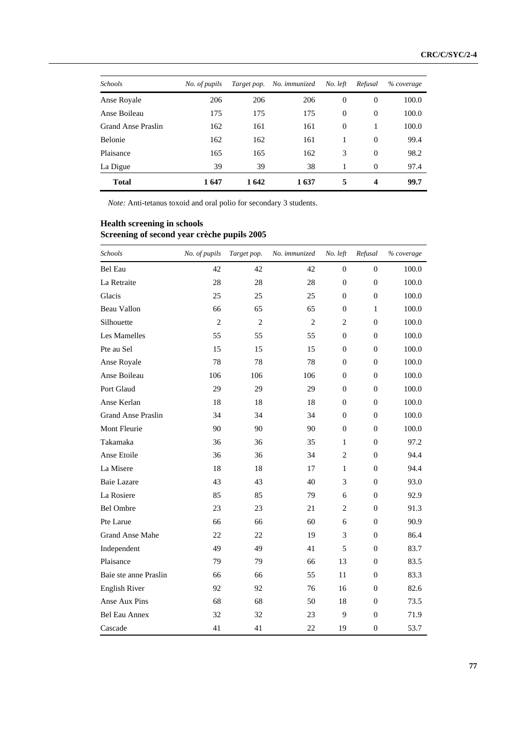| <b>Schools</b>     | No. of pupils | Target pop. | No. immunized | No. left       | Refusal        | % coverage |
|--------------------|---------------|-------------|---------------|----------------|----------------|------------|
| Anse Royale        | 206           | 206         | 206           | $\theta$       | $\theta$       | 100.0      |
| Anse Boileau       | 175           | 175         | 175           | $\overline{0}$ | $\overline{0}$ | 100.0      |
| Grand Anse Praslin | 162           | 161         | 161           | $\Omega$       |                | 100.0      |
| Belonie            | 162           | 162         | 161           | 1              | $\overline{0}$ | 99.4       |
| Plaisance          | 165           | 165         | 162           | 3              | $\mathbf{0}$   | 98.2       |
| La Digue           | 39            | 39          | 38            |                | $\theta$       | 97.4       |
| <b>Total</b>       | 1647          | 1642        | 1637          | 5              | 4              | 99.7       |

*Note:* Anti-tetanus toxoid and oral polio for secondary 3 students.

#### **Health screening in schools Screening of second year crèche pupils 2005**

| Schools                   | No. of pupils  | Target pop.    | No. immunized  | No. left       | Refusal          | % coverage |
|---------------------------|----------------|----------------|----------------|----------------|------------------|------------|
| <b>Bel Eau</b>            | 42             | 42             | 42             | $\overline{0}$ | $\overline{0}$   | 100.0      |
| La Retraite               | 28             | 28             | 28             | $\theta$       | $\overline{0}$   | 100.0      |
| Glacis                    | 25             | 25             | 25             | $\overline{0}$ | $\mathbf{0}$     | 100.0      |
| Beau Vallon               | 66             | 65             | 65             | $\overline{0}$ | 1                | 100.0      |
| Silhouette                | $\overline{2}$ | $\overline{2}$ | $\overline{2}$ | $\overline{c}$ | $\theta$         | 100.0      |
| Les Mamelles              | 55             | 55             | 55             | $\overline{0}$ | $\boldsymbol{0}$ | 100.0      |
| Pte au Sel                | 15             | 15             | 15             | $\Omega$       | $\theta$         | 100.0      |
| Anse Royale               | 78             | 78             | 78             | $\overline{0}$ | $\overline{0}$   | 100.0      |
| Anse Boileau              | 106            | 106            | 106            | $\overline{0}$ | $\overline{0}$   | 100.0      |
| Port Glaud                | 29             | 29             | 29             | $\overline{0}$ | $\overline{0}$   | 100.0      |
| Anse Kerlan               | 18             | 18             | 18             | $\overline{0}$ | $\overline{0}$   | 100.0      |
| <b>Grand Anse Praslin</b> | 34             | 34             | 34             | $\overline{0}$ | $\overline{0}$   | 100.0      |
| Mont Fleurie              | 90             | 90             | 90             | $\Omega$       | $\Omega$         | 100.0      |
| Takamaka                  | 36             | 36             | 35             | $\mathbf{1}$   | $\overline{0}$   | 97.2       |
| Anse Etoile               | 36             | 36             | 34             | 2              | $\Omega$         | 94.4       |
| La Misere                 | 18             | 18             | 17             | 1              | $\overline{0}$   | 94.4       |
| <b>Baie Lazare</b>        | 43             | 43             | 40             | 3              | $\overline{0}$   | 93.0       |
| La Rosiere                | 85             | 85             | 79             | 6              | $\mathbf{0}$     | 92.9       |
| <b>Bel Ombre</b>          | 23             | 23             | 21             | $\overline{2}$ | $\overline{0}$   | 91.3       |
| Pte Larue                 | 66             | 66             | 60             | 6              | $\overline{0}$   | 90.9       |
| <b>Grand Anse Mahe</b>    | 22             | 22             | 19             | 3              | $\overline{0}$   | 86.4       |
| Independent               | 49             | 49             | 41             | 5              | $\mathbf{0}$     | 83.7       |
| Plaisance                 | 79             | 79             | 66             | 13             | $\Omega$         | 83.5       |
| Baie ste anne Praslin     | 66             | 66             | 55             | 11             | $\Omega$         | 83.3       |
| <b>English River</b>      | 92             | 92             | 76             | 16             | $\mathbf{0}$     | 82.6       |
| Anse Aux Pins             | 68             | 68             | 50             | 18             | $\theta$         | 73.5       |
| Bel Eau Annex             | 32             | 32             | 23             | 9              | $\overline{0}$   | 71.9       |
| Cascade                   | 41             | 41             | 22             | 19             | $\boldsymbol{0}$ | 53.7       |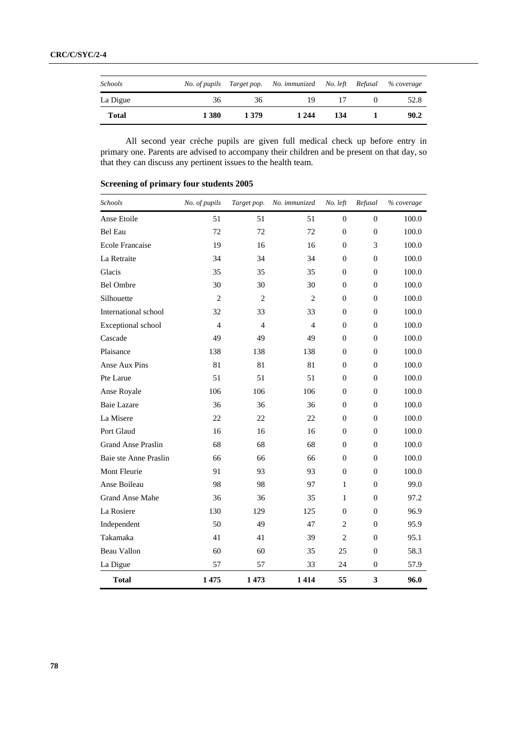| <b>Schools</b> | No. of pupils |       | Target pop. No. immunized No. left Refusal |     | % coverage |
|----------------|---------------|-------|--------------------------------------------|-----|------------|
| La Digue       | 36            | 36    | 19                                         |     | 52.8       |
| <b>Total</b>   | 1 3 8 0       | 1 379 | 1 2 4 4                                    | 134 | 90.2       |

 All second year crèche pupils are given full medical check up before entry in primary one. Parents are advised to accompany their children and be present on that day, so that they can discuss any pertinent issues to the health team.

| Schools                   | No. of pupils  | Target pop.    | No. immunized  | No. left         | Refusal        | % coverage |
|---------------------------|----------------|----------------|----------------|------------------|----------------|------------|
| Anse Etoile               | 51             | 51             | 51             | $\mathbf{0}$     | $\Omega$       | 100.0      |
| Bel Eau                   | 72             | 72             | 72             | $\overline{0}$   | 0              | 100.0      |
| <b>Ecole Francaise</b>    | 19             | 16             | 16             | $\theta$         | 3              | 100.0      |
| La Retraite               | 34             | 34             | 34             | $\overline{0}$   | $\overline{0}$ | 100.0      |
| Glacis                    | 35             | 35             | 35             | $\overline{0}$   | $\theta$       | 100.0      |
| <b>Bel Ombre</b>          | 30             | 30             | 30             | $\mathbf{0}$     | $\Omega$       | 100.0      |
| Silhouette                | $\overline{2}$ | $\overline{2}$ | $\overline{2}$ | $\overline{0}$   | 0              | 100.0      |
| International school      | 32             | 33             | 33             | $\mathbf{0}$     | $\theta$       | 100.0      |
| Exceptional school        | $\overline{4}$ | $\overline{4}$ | $\overline{4}$ | $\boldsymbol{0}$ | $\overline{0}$ | 100.0      |
| Cascade                   | 49             | 49             | 49             | $\overline{0}$   | $\Omega$       | 100.0      |
| Plaisance                 | 138            | 138            | 138            | $\overline{0}$   | $\overline{0}$ | 100.0      |
| Anse Aux Pins             | 81             | 81             | 81             | $\boldsymbol{0}$ | $\Omega$       | 100.0      |
| Pte Larue                 | 51             | 51             | 51             | $\mathbf{0}$     | $\Omega$       | 100.0      |
| Anse Royale               | 106            | 106            | 106            | $\overline{0}$   | 0              | 100.0      |
| <b>Baie Lazare</b>        | 36             | 36             | 36             | $\mathbf{0}$     | $\overline{0}$ | 100.0      |
| La Misere                 | 22             | 22             | 22             | $\overline{0}$   | 0              | 100.0      |
| Port Glaud                | 16             | 16             | 16             | $\overline{0}$   | $\Omega$       | 100.0      |
| <b>Grand Anse Praslin</b> | 68             | 68             | 68             | $\overline{0}$   | 0              | 100.0      |
| Baie ste Anne Praslin     | 66             | 66             | 66             | $\boldsymbol{0}$ | 0              | 100.0      |
| Mont Fleurie              | 91             | 93             | 93             | $\theta$         | $\Omega$       | 100.0      |
| Anse Boileau              | 98             | 98             | 97             | $\mathbf{1}$     | $\overline{0}$ | 99.0       |
| <b>Grand Anse Mahe</b>    | 36             | 36             | 35             | $\mathbf{1}$     | $\Omega$       | 97.2       |
| La Rosiere                | 130            | 129            | 125            | $\overline{0}$   | $\overline{0}$ | 96.9       |
| Independent               | 50             | 49             | 47             | $\overline{2}$   | $\Omega$       | 95.9       |
| Takamaka                  | 41             | 41             | 39             | $\overline{2}$   | $\Omega$       | 95.1       |
| Beau Vallon               | 60             | 60             | 35             | 25               | $\overline{0}$ | 58.3       |
| La Digue                  | 57             | 57             | 33             | 24               | $\theta$       | 57.9       |
| <b>Total</b>              | 1475           | 1473           | 1414           | 55               | 3              | 96.0       |

#### **Screening of primary four students 2005**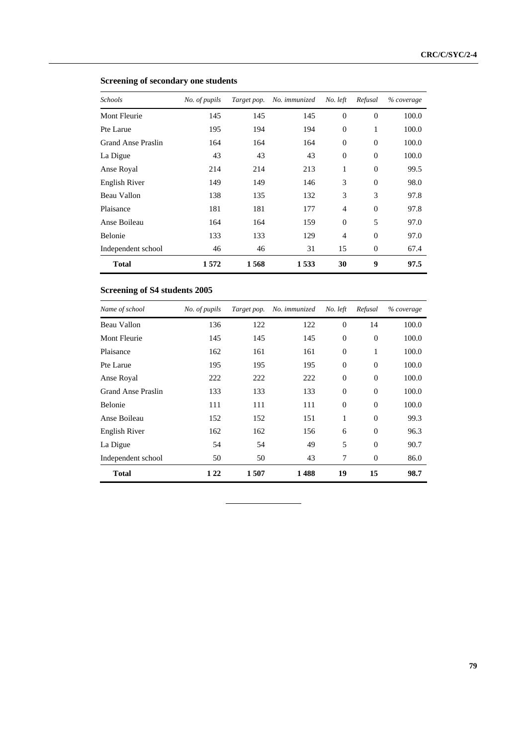| Schools            | No. of pupils | Target pop. | No. immunized | No. left       | Refusal        | % coverage |
|--------------------|---------------|-------------|---------------|----------------|----------------|------------|
| Mont Fleurie       | 145           | 145         | 145           | $\overline{0}$ | $\overline{0}$ | 100.0      |
| Pte Larue          | 195           | 194         | 194           | $\overline{0}$ | 1              | 100.0      |
| Grand Anse Praslin | 164           | 164         | 164           | $\overline{0}$ | $\Omega$       | 100.0      |
| La Digue           | 43            | 43          | 43            | $\overline{0}$ | $\overline{0}$ | 100.0      |
| Anse Royal         | 214           | 214         | 213           | 1              | $\theta$       | 99.5       |
| English River      | 149           | 149         | 146           | 3              | $\Omega$       | 98.0       |
| Beau Vallon        | 138           | 135         | 132           | 3              | 3              | 97.8       |
| Plaisance          | 181           | 181         | 177           | $\overline{4}$ | $\Omega$       | 97.8       |
| Anse Boileau       | 164           | 164         | 159           | $\overline{0}$ | 5              | 97.0       |
| <b>Belonie</b>     | 133           | 133         | 129           | $\overline{4}$ | $\Omega$       | 97.0       |
| Independent school | 46            | 46          | 31            | 15             | $\overline{0}$ | 67.4       |
| <b>Total</b>       | 1572          | 1568        | 1533          | 30             | 9              | 97.5       |

#### **Screening of secondary one students**

### **Screening of S4 students 2005**

| Name of school     | No. of pupils | Target pop. | No. immunized | No. left       | Refusal        | % coverage |
|--------------------|---------------|-------------|---------------|----------------|----------------|------------|
| Beau Vallon        | 136           | 122         | 122           | $\overline{0}$ | 14             | 100.0      |
| Mont Fleurie       | 145           | 145         | 145           | $\mathbf{0}$   | $\overline{0}$ | 100.0      |
| Plaisance          | 162           | 161         | 161           | $\overline{0}$ | 1              | 100.0      |
| Pte Larue          | 195           | 195         | 195           | $\overline{0}$ | $\Omega$       | 100.0      |
| Anse Royal         | 222           | 222         | 222           | $\mathbf{0}$   | $\overline{0}$ | 100.0      |
| Grand Anse Praslin | 133           | 133         | 133           | $\overline{0}$ | $\Omega$       | 100.0      |
| <b>Belonie</b>     | 111           | 111         | 111           | $\Omega$       | $\Omega$       | 100.0      |
| Anse Boileau       | 152           | 152         | 151           | 1              | $\Omega$       | 99.3       |
| English River      | 162           | 162         | 156           | 6              | $\Omega$       | 96.3       |
| La Digue           | 54            | 54          | 49            | 5              | $\Omega$       | 90.7       |
| Independent school | 50            | 50          | 43            | 7              | $\Omega$       | 86.0       |
| <b>Total</b>       | 1 2 2         | 1507        | 1488          | 19             | 15             | 98.7       |

 $\ddot{\phantom{a}}$